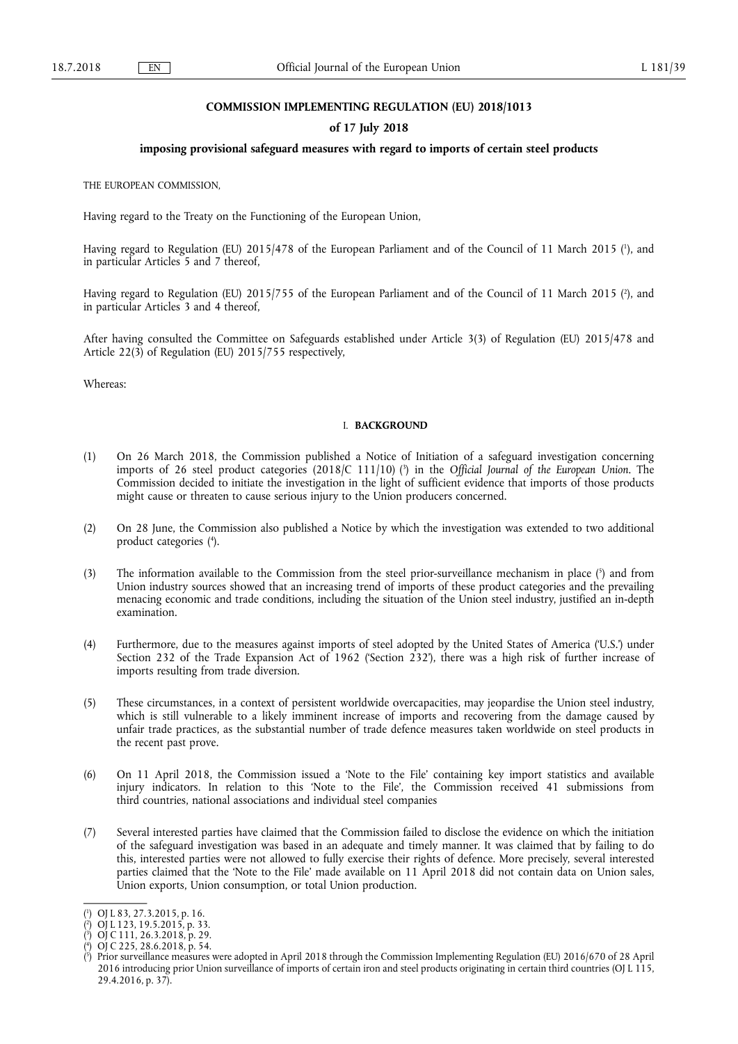### **COMMISSION IMPLEMENTING REGULATION (EU) 2018/1013**

### **of 17 July 2018**

### **imposing provisional safeguard measures with regard to imports of certain steel products**

THE EUROPEAN COMMISSION,

Having regard to the Treaty on the Functioning of the European Union,

Having regard to Regulation (EU) 2015/478 of the European Parliament and of the Council of 11 March 2015 ( 1 ), and in particular Articles 5 and 7 thereof,

Having regard to Regulation (EU) 2015/755 of the European Parliament and of the Council of 11 March 2015 ( 2 ), and in particular Articles 3 and 4 thereof,

After having consulted the Committee on Safeguards established under Article 3(3) of Regulation (EU) 2015/478 and Article 22(3) of Regulation (EU) 2015/755 respectively,

Whereas:

### I. **BACKGROUND**

- (1) On 26 March 2018, the Commission published a Notice of Initiation of a safeguard investigation concerning imports of 26 steel product categories (2018/C 111/10) ( 3 ) in the *Official Journal of the European Union*. The Commission decided to initiate the investigation in the light of sufficient evidence that imports of those products might cause or threaten to cause serious injury to the Union producers concerned.
- (2) On 28 June, the Commission also published a Notice by which the investigation was extended to two additional product categories ( 4 ).
- (3) The information available to the Commission from the steel prior-surveillance mechanism in place  $\binom{5}{1}$  and from Union industry sources showed that an increasing trend of imports of these product categories and the prevailing menacing economic and trade conditions, including the situation of the Union steel industry, justified an in-depth examination.
- (4) Furthermore, due to the measures against imports of steel adopted by the United States of America ('U.S.') under Section 232 of the Trade Expansion Act of 1962 ('Section 232'), there was a high risk of further increase of imports resulting from trade diversion.
- (5) These circumstances, in a context of persistent worldwide overcapacities, may jeopardise the Union steel industry, which is still vulnerable to a likely imminent increase of imports and recovering from the damage caused by unfair trade practices, as the substantial number of trade defence measures taken worldwide on steel products in the recent past prove.
- (6) On 11 April 2018, the Commission issued a 'Note to the File' containing key import statistics and available injury indicators. In relation to this 'Note to the File', the Commission received 41 submissions from third countries, national associations and individual steel companies
- (7) Several interested parties have claimed that the Commission failed to disclose the evidence on which the initiation of the safeguard investigation was based in an adequate and timely manner. It was claimed that by failing to do this, interested parties were not allowed to fully exercise their rights of defence. More precisely, several interested parties claimed that the 'Note to the File' made available on 11 April 2018 did not contain data on Union sales, Union exports, Union consumption, or total Union production.

<sup>(</sup> 1 ) OJ L 83, 27.3.2015, p. 16.

<sup>(</sup> 2 ) OJ L 123, 19.5.2015, p. 33.

<sup>(</sup> 3 ) OJ C 111, 26.3.2018, p. 29.

<sup>(</sup> 4 ) OJ C 225, 28.6.2018, p. 54.

<sup>(</sup> 5 ) Prior surveillance measures were adopted in April 2018 through the Commission Implementing Regulation (EU) 2016/670 of 28 April 2016 introducing prior Union surveillance of imports of certain iron and steel products originating in certain third countries (OJ L 115, 29.4.2016, p. 37).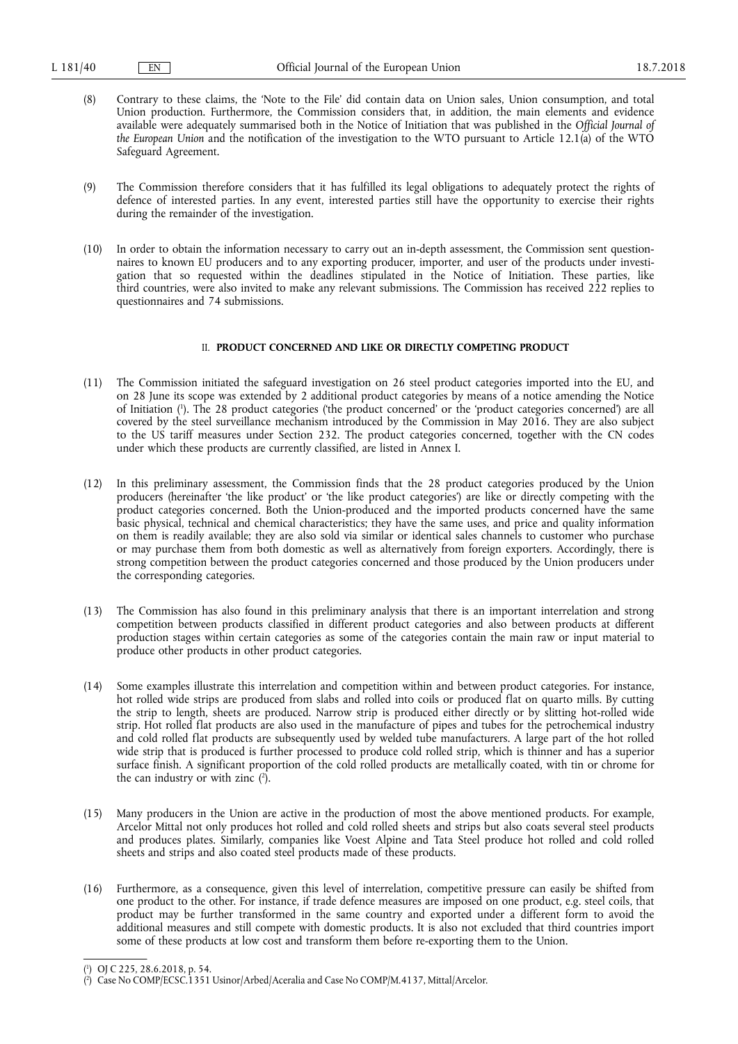- (8) Contrary to these claims, the 'Note to the File' did contain data on Union sales, Union consumption, and total Union production. Furthermore, the Commission considers that, in addition, the main elements and evidence available were adequately summarised both in the Notice of Initiation that was published in the *Official Journal of the European Union* and the notification of the investigation to the WTO pursuant to Article 12.1(a) of the WTO Safeguard Agreement.
- (9) The Commission therefore considers that it has fulfilled its legal obligations to adequately protect the rights of defence of interested parties. In any event, interested parties still have the opportunity to exercise their rights during the remainder of the investigation.
- (10) In order to obtain the information necessary to carry out an in-depth assessment, the Commission sent questionnaires to known EU producers and to any exporting producer, importer, and user of the products under investigation that so requested within the deadlines stipulated in the Notice of Initiation. These parties, like third countries, were also invited to make any relevant submissions. The Commission has received 222 replies to questionnaires and 74 submissions.

### II. **PRODUCT CONCERNED AND LIKE OR DIRECTLY COMPETING PRODUCT**

- (11) The Commission initiated the safeguard investigation on 26 steel product categories imported into the EU, and on 28 June its scope was extended by 2 additional product categories by means of a notice amending the Notice of Initiation ( 1 ). The 28 product categories ('the product concerned' or the 'product categories concerned') are all covered by the steel surveillance mechanism introduced by the Commission in May 2016. They are also subject to the US tariff measures under Section 232. The product categories concerned, together with the CN codes under which these products are currently classified, are listed in Annex I.
- (12) In this preliminary assessment, the Commission finds that the 28 product categories produced by the Union producers (hereinafter 'the like product' or 'the like product categories') are like or directly competing with the product categories concerned. Both the Union-produced and the imported products concerned have the same basic physical, technical and chemical characteristics; they have the same uses, and price and quality information on them is readily available; they are also sold via similar or identical sales channels to customer who purchase or may purchase them from both domestic as well as alternatively from foreign exporters. Accordingly, there is strong competition between the product categories concerned and those produced by the Union producers under the corresponding categories.
- (13) The Commission has also found in this preliminary analysis that there is an important interrelation and strong competition between products classified in different product categories and also between products at different production stages within certain categories as some of the categories contain the main raw or input material to produce other products in other product categories.
- (14) Some examples illustrate this interrelation and competition within and between product categories. For instance, hot rolled wide strips are produced from slabs and rolled into coils or produced flat on quarto mills. By cutting the strip to length, sheets are produced. Narrow strip is produced either directly or by slitting hot-rolled wide strip. Hot rolled flat products are also used in the manufacture of pipes and tubes for the petrochemical industry and cold rolled flat products are subsequently used by welded tube manufacturers. A large part of the hot rolled wide strip that is produced is further processed to produce cold rolled strip, which is thinner and has a superior surface finish. A significant proportion of the cold rolled products are metallically coated, with tin or chrome for the can industry or with zinc  $(2)$ .
- (15) Many producers in the Union are active in the production of most the above mentioned products. For example, Arcelor Mittal not only produces hot rolled and cold rolled sheets and strips but also coats several steel products and produces plates. Similarly, companies like Voest Alpine and Tata Steel produce hot rolled and cold rolled sheets and strips and also coated steel products made of these products.
- (16) Furthermore, as a consequence, given this level of interrelation, competitive pressure can easily be shifted from one product to the other. For instance, if trade defence measures are imposed on one product, e.g. steel coils, that product may be further transformed in the same country and exported under a different form to avoid the additional measures and still compete with domestic products. It is also not excluded that third countries import some of these products at low cost and transform them before re-exporting them to the Union.

<sup>(</sup> 1 ) OJ C 225, 28.6.2018, p. 54.

<sup>(</sup> 2 ) Case No COMP/ECSC.1351 Usinor/Arbed/Aceralia and Case No COMP/M.4137, Mittal/Arcelor.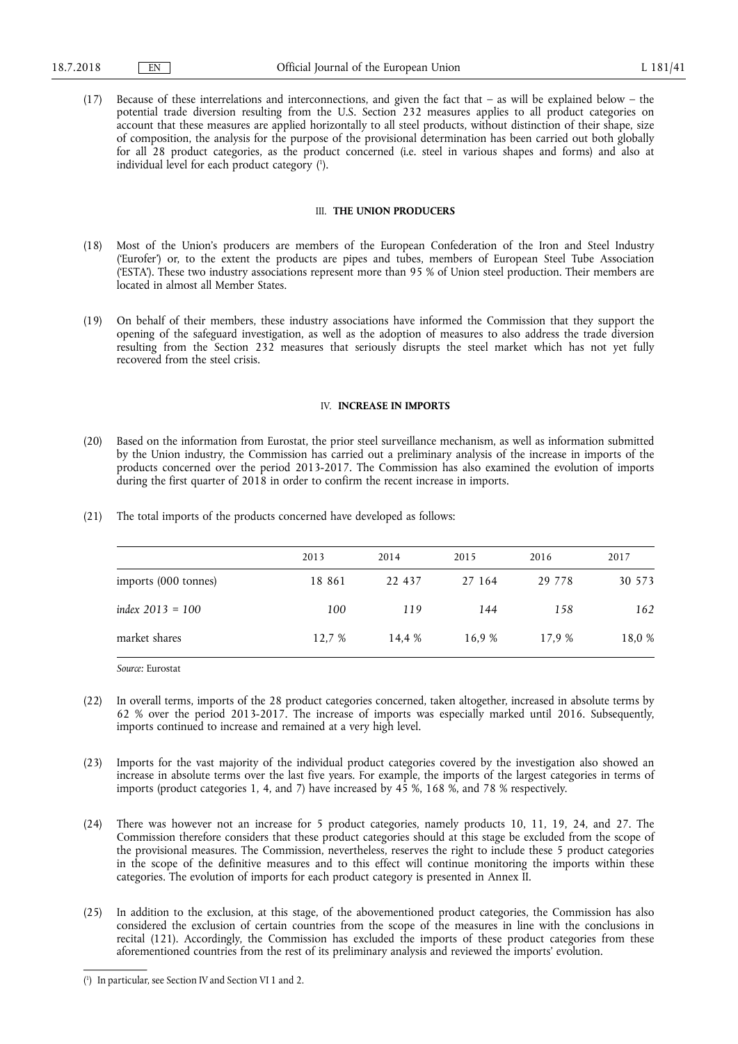(17) Because of these interrelations and interconnections, and given the fact that – as will be explained below – the potential trade diversion resulting from the U.S. Section 232 measures applies to all product categories on account that these measures are applied horizontally to all steel products, without distinction of their shape, size of composition, the analysis for the purpose of the provisional determination has been carried out both globally for all 28 product categories, as the product concerned (i.e. steel in various shapes and forms) and also at individual level for each product category ( 1 ).

### III. **THE UNION PRODUCERS**

- (18) Most of the Union's producers are members of the European Confederation of the Iron and Steel Industry ('Eurofer') or, to the extent the products are pipes and tubes, members of European Steel Tube Association ('ESTA'). These two industry associations represent more than 95 % of Union steel production. Their members are located in almost all Member States.
- (19) On behalf of their members, these industry associations have informed the Commission that they support the opening of the safeguard investigation, as well as the adoption of measures to also address the trade diversion resulting from the Section 232 measures that seriously disrupts the steel market which has not yet fully recovered from the steel crisis.

#### IV. **INCREASE IN IMPORTS**

- (20) Based on the information from Eurostat, the prior steel surveillance mechanism, as well as information submitted by the Union industry, the Commission has carried out a preliminary analysis of the increase in imports of the products concerned over the period 2013-2017. The Commission has also examined the evolution of imports during the first quarter of 2018 in order to confirm the recent increase in imports.
- (21) The total imports of the products concerned have developed as follows:

|                      | 2013   | 2014   | 2015   | 2016     | 2017   |
|----------------------|--------|--------|--------|----------|--------|
| imports (000 tonnes) | 18 861 | 22 437 | 27 164 | 29 7 7 8 | 30 573 |
| index $2013 = 100$   | 100    | 119    | 144    | 158      | 162    |
| market shares        | 12.7 % | 14.4 % | 16.9 % | 17.9 %   | 18.0 % |

*Source:* Eurostat

- (22) In overall terms, imports of the 28 product categories concerned, taken altogether, increased in absolute terms by 62 % over the period 2013-2017. The increase of imports was especially marked until 2016. Subsequently, imports continued to increase and remained at a very high level.
- (23) Imports for the vast majority of the individual product categories covered by the investigation also showed an increase in absolute terms over the last five years. For example, the imports of the largest categories in terms of imports (product categories 1, 4, and 7) have increased by  $4\overline{5}$  %, 168 %, and 78 % respectively.
- (24) There was however not an increase for 5 product categories, namely products 10, 11, 19, 24, and 27. The Commission therefore considers that these product categories should at this stage be excluded from the scope of the provisional measures. The Commission, nevertheless, reserves the right to include these 5 product categories in the scope of the definitive measures and to this effect will continue monitoring the imports within these categories. The evolution of imports for each product category is presented in Annex II.
- (25) In addition to the exclusion, at this stage, of the abovementioned product categories, the Commission has also considered the exclusion of certain countries from the scope of the measures in line with the conclusions in recital (121). Accordingly, the Commission has excluded the imports of these product categories from these aforementioned countries from the rest of its preliminary analysis and reviewed the imports' evolution.

<sup>(</sup> 1 ) In particular, see Section IV and Section VI 1 and 2.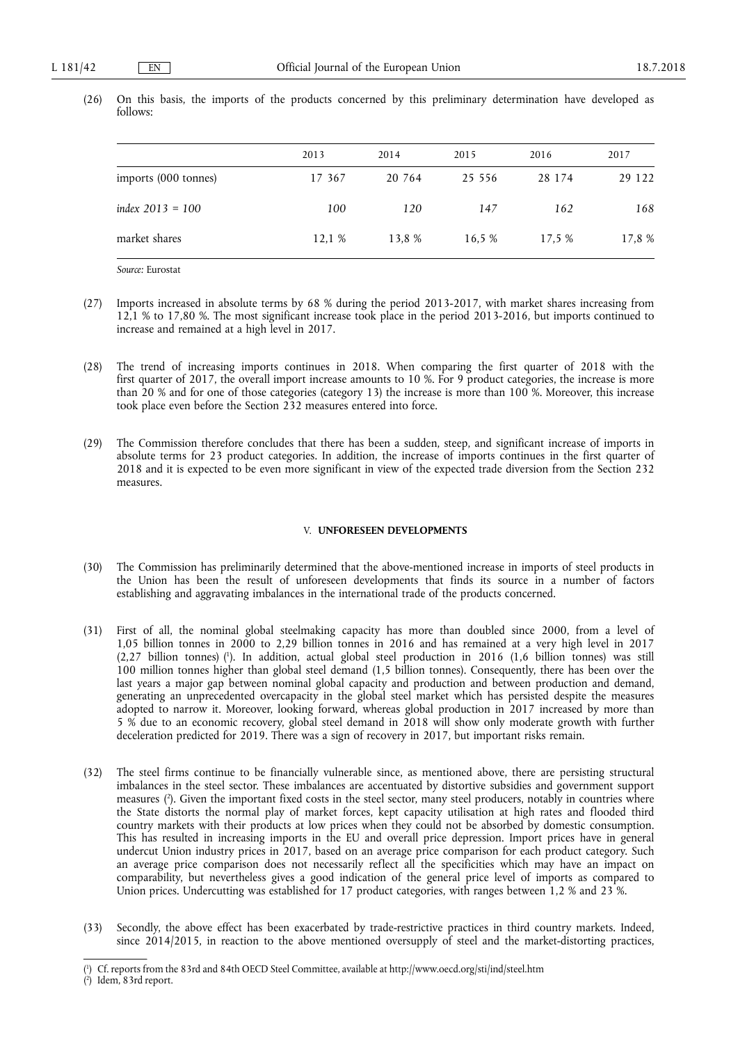|                      | 2013   | 2014   | 2015     | 2016   | 2017   |
|----------------------|--------|--------|----------|--------|--------|
| imports (000 tonnes) | 17 367 | 20 764 | 25 5 5 6 | 28 174 | 29 122 |
| index $2013 = 100$   | 100    | 120    | 147      | 162    | 168    |
| market shares        | 12.1 % | 13.8 % | 16.5 %   | 17.5 % | 17,8 % |

(26) On this basis, the imports of the products concerned by this preliminary determination have developed as follows:

*Source:* Eurostat

- (27) Imports increased in absolute terms by 68 % during the period 2013-2017, with market shares increasing from 12,1 % to 17,80 %. The most significant increase took place in the period 2013-2016, but imports continued to increase and remained at a high level in 2017.
- (28) The trend of increasing imports continues in 2018. When comparing the first quarter of 2018 with the first quarter of 2017, the overall import increase amounts to 10 %. For 9 product categories, the increase is more than 20 % and for one of those categories (category 13) the increase is more than 100 %. Moreover, this increase took place even before the Section 232 measures entered into force.
- (29) The Commission therefore concludes that there has been a sudden, steep, and significant increase of imports in absolute terms for 23 product categories. In addition, the increase of imports continues in the first quarter of 2018 and it is expected to be even more significant in view of the expected trade diversion from the Section 232 measures.

#### V. **UNFORESEEN DEVELOPMENTS**

- (30) The Commission has preliminarily determined that the above-mentioned increase in imports of steel products in the Union has been the result of unforeseen developments that finds its source in a number of factors establishing and aggravating imbalances in the international trade of the products concerned.
- (31) First of all, the nominal global steelmaking capacity has more than doubled since 2000, from a level of 1,05 billion tonnes in 2000 to 2,29 billion tonnes in 2016 and has remained at a very high level in 2017 (2,27 billion tonnes) ( 1 ). In addition, actual global steel production in 2016 (1,6 billion tonnes) was still 100 million tonnes higher than global steel demand (1,5 billion tonnes). Consequently, there has been over the last years a major gap between nominal global capacity and production and between production and demand, generating an unprecedented overcapacity in the global steel market which has persisted despite the measures adopted to narrow it. Moreover, looking forward, whereas global production in 2017 increased by more than 5 % due to an economic recovery, global steel demand in 2018 will show only moderate growth with further deceleration predicted for 2019. There was a sign of recovery in 2017, but important risks remain.
- (32) The steel firms continue to be financially vulnerable since, as mentioned above, there are persisting structural imbalances in the steel sector. These imbalances are accentuated by distortive subsidies and government support measures ( 2 ). Given the important fixed costs in the steel sector, many steel producers, notably in countries where the State distorts the normal play of market forces, kept capacity utilisation at high rates and flooded third country markets with their products at low prices when they could not be absorbed by domestic consumption. This has resulted in increasing imports in the EU and overall price depression. Import prices have in general undercut Union industry prices in 2017, based on an average price comparison for each product category. Such an average price comparison does not necessarily reflect all the specificities which may have an impact on comparability, but nevertheless gives a good indication of the general price level of imports as compared to Union prices. Undercutting was established for 17 product categories, with ranges between 1,2 % and 23 %.
- (33) Secondly, the above effect has been exacerbated by trade-restrictive practices in third country markets. Indeed, since 2014/2015, in reaction to the above mentioned oversupply of steel and the market-distorting practices,

<sup>(</sup> 1 ) Cf. reports from the 83rd and 84th OECD Steel Committee, available at<http://www.oecd.org/sti/ind/steel.htm>

<sup>(</sup> 2 ) Idem, 83rd report.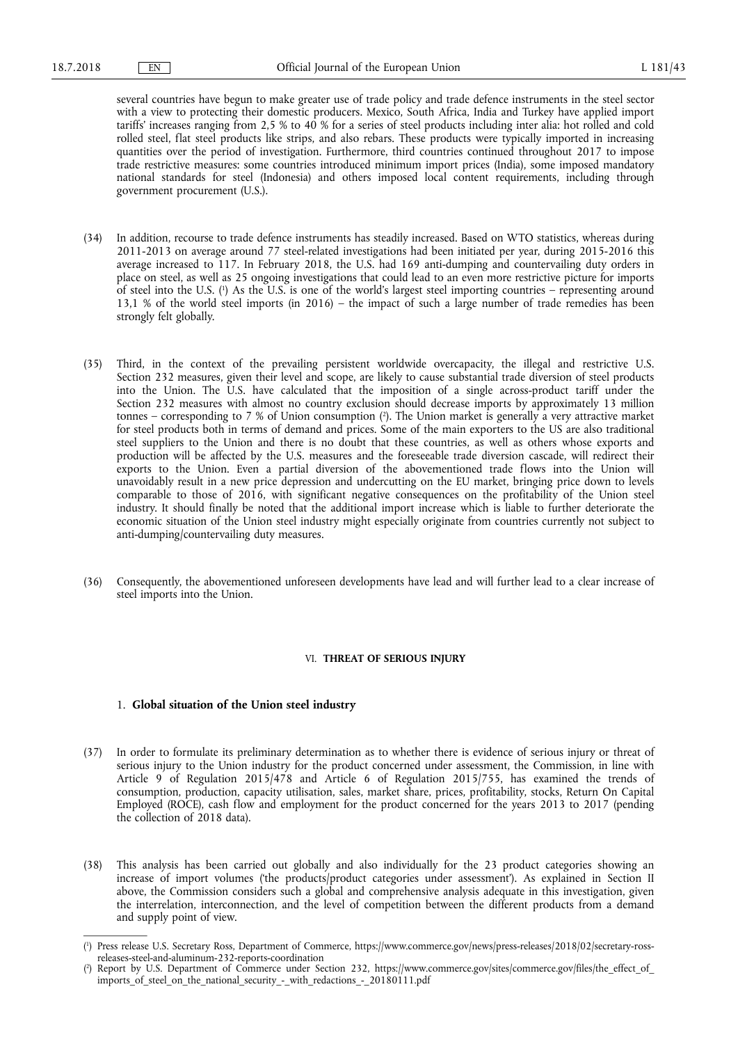several countries have begun to make greater use of trade policy and trade defence instruments in the steel sector with a view to protecting their domestic producers. Mexico, South Africa, India and Turkey have applied import tariffs' increases ranging from 2,5 % to 40 % for a series of steel products including inter alia: hot rolled and cold rolled steel, flat steel products like strips, and also rebars. These products were typically imported in increasing quantities over the period of investigation. Furthermore, third countries continued throughout 2017 to impose trade restrictive measures: some countries introduced minimum import prices (India), some imposed mandatory national standards for steel (Indonesia) and others imposed local content requirements, including through government procurement (U.S.).

- (34) In addition, recourse to trade defence instruments has steadily increased. Based on WTO statistics, whereas during 2011-2013 on average around 77 steel-related investigations had been initiated per year, during 2015-2016 this average increased to 117. In February 2018, the U.S. had 169 anti-dumping and countervailing duty orders in place on steel, as well as 25 ongoing investigations that could lead to an even more restrictive picture for imports of steel into the U.S. ( 1 ) As the U.S. is one of the world's largest steel importing countries – representing around 13,1 % of the world steel imports (in 2016) – the impact of such a large number of trade remedies has been strongly felt globally.
- (35) Third, in the context of the prevailing persistent worldwide overcapacity, the illegal and restrictive U.S. Section 232 measures, given their level and scope, are likely to cause substantial trade diversion of steel products into the Union. The U.S. have calculated that the imposition of a single across-product tariff under the Section 232 measures with almost no country exclusion should decrease imports by approximately 13 million tonnes – corresponding to 7 % of Union consumption ( 2 ). The Union market is generally a very attractive market for steel products both in terms of demand and prices. Some of the main exporters to the US are also traditional steel suppliers to the Union and there is no doubt that these countries, as well as others whose exports and production will be affected by the U.S. measures and the foreseeable trade diversion cascade, will redirect their exports to the Union. Even a partial diversion of the abovementioned trade flows into the Union will unavoidably result in a new price depression and undercutting on the EU market, bringing price down to levels comparable to those of 2016, with significant negative consequences on the profitability of the Union steel industry. It should finally be noted that the additional import increase which is liable to further deteriorate the economic situation of the Union steel industry might especially originate from countries currently not subject to anti-dumping/countervailing duty measures.
- (36) Consequently, the abovementioned unforeseen developments have lead and will further lead to a clear increase of steel imports into the Union.

### VI. **THREAT OF SERIOUS INJURY**

### 1. **Global situation of the Union steel industry**

- (37) In order to formulate its preliminary determination as to whether there is evidence of serious injury or threat of serious injury to the Union industry for the product concerned under assessment, the Commission, in line with Article 9 of Regulation 2015/478 and Article 6 of Regulation 2015/755, has examined the trends of consumption, production, capacity utilisation, sales, market share, prices, profitability, stocks, Return On Capital Employed (ROCE), cash flow and employment for the product concerned for the years 2013 to 2017 (pending the collection of 2018 data).
- (38) This analysis has been carried out globally and also individually for the 23 product categories showing an increase of import volumes ('the products/product categories under assessment'). As explained in Section II above, the Commission considers such a global and comprehensive analysis adequate in this investigation, given the interrelation, interconnection, and the level of competition between the different products from a demand and supply point of view.

<sup>(</sup> 1 ) Press release U.S. Secretary Ross, Department of Commerce, [https://www.commerce.gov/news/press-releases/2018/02/secretary-ross](https://www.commerce.gov/news/press-releases/2018/02/secretary-ross-releases-steel-and-aluminum-232-reports-coordination)[releases-steel-and-aluminum-232-reports-coordination](https://www.commerce.gov/news/press-releases/2018/02/secretary-ross-releases-steel-and-aluminum-232-reports-coordination)

<sup>(</sup> 2 ) Report by U.S. Department of Commerce under Section 232, [https://www.commerce.gov/sites/commerce.gov/files/the\\_effect\\_of\\_](https://www.commerce.gov/sites/commerce.gov/files/the_effect_of_imports_of_steel_on_the_national_security_-_with_redactions_-_20180111.pdf)  [imports\\_of\\_steel\\_on\\_the\\_national\\_security\\_-\\_with\\_redactions\\_-\\_20180111.pdf](https://www.commerce.gov/sites/commerce.gov/files/the_effect_of_imports_of_steel_on_the_national_security_-_with_redactions_-_20180111.pdf)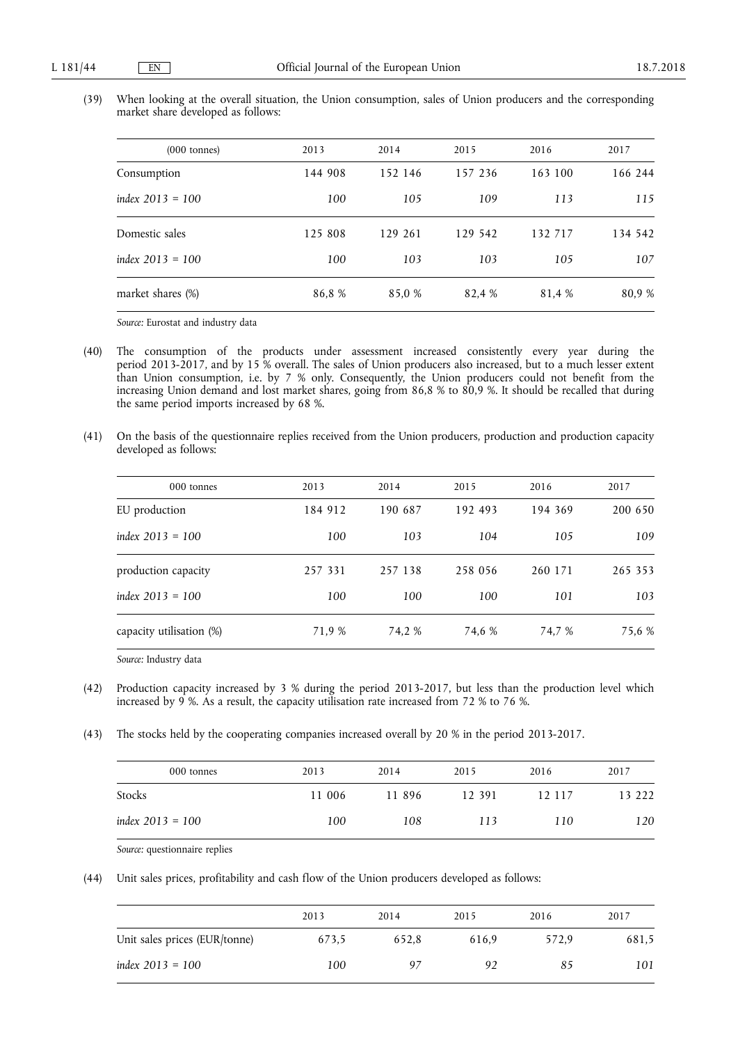| (39) When looking at the overall situation, the Union consumption, sales of Union producers and the corresponding |  |  |  |  |  |
|-------------------------------------------------------------------------------------------------------------------|--|--|--|--|--|
| market share developed as follows:                                                                                |  |  |  |  |  |

| $(000 \t{tonnes})$ | 2013    | 2014    | 2015    | 2016    | 2017    |
|--------------------|---------|---------|---------|---------|---------|
| Consumption        | 144 908 | 152 146 | 157 236 | 163 100 | 166 244 |
| index $2013 = 100$ | 100     | 105     | 109     | 113     | 115     |
| Domestic sales     | 125 808 | 129 261 | 129 542 | 132 717 | 134 542 |
| index $2013 = 100$ | 100     | 103     | 103     | 105     | 107     |
| market shares (%)  | 86,8%   | 85,0 %  | 82,4 %  | 81,4 %  | 80.9 %  |

*Source:* Eurostat and industry data

- (40) The consumption of the products under assessment increased consistently every year during the period 2013-2017, and by 15 % overall. The sales of Union producers also increased, but to a much lesser extent than Union consumption, i.e. by 7 % only. Consequently, the Union producers could not benefit from the increasing Union demand and lost market shares, going from 86,8 % to 80,9 %. It should be recalled that during the same period imports increased by 68 %.
- (41) On the basis of the questionnaire replies received from the Union producers, production and production capacity developed as follows:

| 000 tonnes               | 2013    | 2014    | 2015    | 2016    | 2017    |
|--------------------------|---------|---------|---------|---------|---------|
| EU production            | 184 912 | 190 687 | 192 493 | 194 369 | 200 650 |
| index $2013 = 100$       | 100     | 103     | 104     | 105     | 109     |
| production capacity      | 257 331 | 257 138 | 258 056 | 260 171 | 265 353 |
| index $2013 = 100$       | 100     | 100     | 100     | 101     | 103     |
| capacity utilisation (%) | 71,9 %  | 74,2 %  | 74.6 %  | 74.7 %  | 75,6 %  |

*Source:* Industry data

- (42) Production capacity increased by 3 % during the period 2013-2017, but less than the production level which increased by 9 %. As a result, the capacity utilisation rate increased from 72 % to 76 %.
- (43) The stocks held by the cooperating companies increased overall by 20 % in the period 2013-2017.

| 000 tonnes         | 2013   | 2014   | 2015   | 2016   | 2017   |
|--------------------|--------|--------|--------|--------|--------|
| Stocks             | 11 006 | 11 896 | 12 391 | 12 117 | 13 222 |
| index $2013 = 100$ | 100    | 108    | 113    | 110    | 120    |

*Source:* questionnaire replies

(44) Unit sales prices, profitability and cash flow of the Union producers developed as follows:

|                               | 2013  | 2014  | 2015  | 2016  | 2017  |
|-------------------------------|-------|-------|-------|-------|-------|
| Unit sales prices (EUR/tonne) | 673.5 | 652.8 | 616.9 | 572.9 | 681,5 |
| index $2013 = 100$            | 100   | Q7    | 92    | 85    | 101   |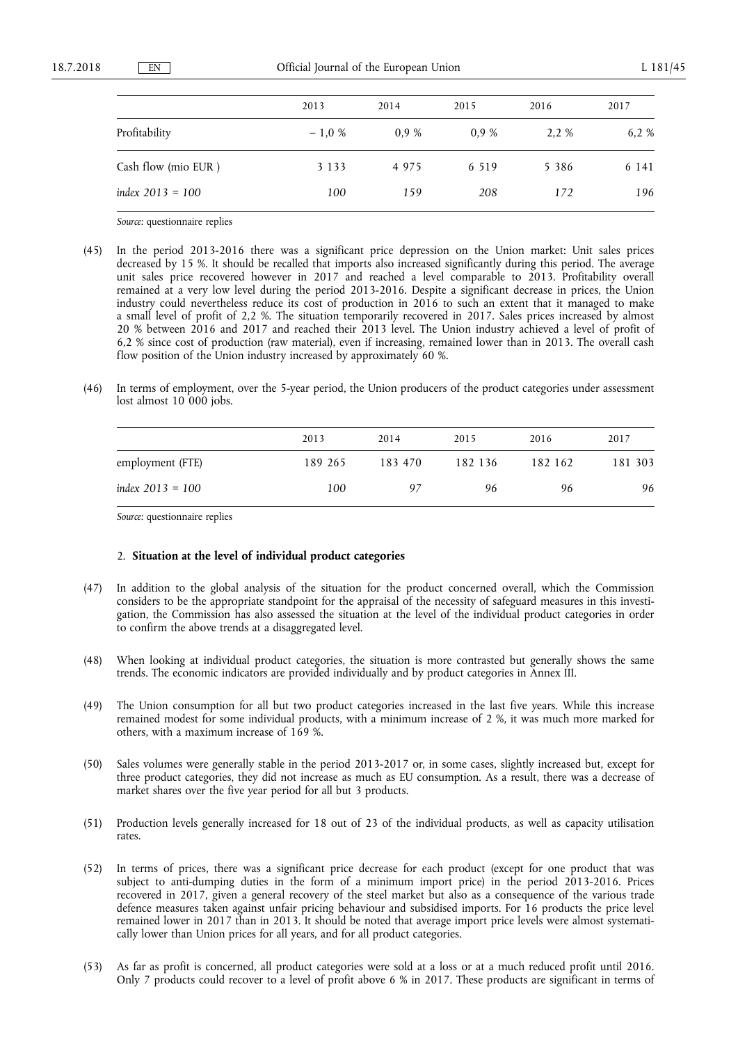|                     | 2013    | 2014 | 2015    | 2016    | 2017  |
|---------------------|---------|------|---------|---------|-------|
| Profitability       | $-1.0%$ | 0.9% | 0.9%    | 2.2 %   | 6.2 % |
| Cash flow (mio EUR) | 3 1 3 3 | 4975 | 6 5 1 9 | 5 3 8 6 | 6 141 |
| index $2013 = 100$  | 100     | 159  | 208     | 172     | 196   |

*Source:* questionnaire replies

- (45) In the period 2013-2016 there was a significant price depression on the Union market: Unit sales prices decreased by 15 %. It should be recalled that imports also increased significantly during this period. The average unit sales price recovered however in 2017 and reached a level comparable to 2013. Profitability overall remained at a very low level during the period 2013-2016. Despite a significant decrease in prices, the Union industry could nevertheless reduce its cost of production in 2016 to such an extent that it managed to make a small level of profit of 2,2 %. The situation temporarily recovered in 2017. Sales prices increased by almost 20 % between 2016 and 2017 and reached their 2013 level. The Union industry achieved a level of profit of 6,2 % since cost of production (raw material), even if increasing, remained lower than in 2013. The overall cash flow position of the Union industry increased by approximately 60 %.
- (46) In terms of employment, over the 5-year period, the Union producers of the product categories under assessment lost almost 10 000 jobs.

|                    | 2013    | 2014    | 2015    | 2016    | 2017    |
|--------------------|---------|---------|---------|---------|---------|
| employment (FTE)   | 189 265 | 183 470 | 182 136 | 182 162 | 181 303 |
| index $2013 = 100$ | 100     | 97      | 96      | 96      | 96      |

*Source:* questionnaire replies

#### 2. **Situation at the level of individual product categories**

- (47) In addition to the global analysis of the situation for the product concerned overall, which the Commission considers to be the appropriate standpoint for the appraisal of the necessity of safeguard measures in this investigation, the Commission has also assessed the situation at the level of the individual product categories in order to confirm the above trends at a disaggregated level.
- (48) When looking at individual product categories, the situation is more contrasted but generally shows the same trends. The economic indicators are provided individually and by product categories in Annex III.
- (49) The Union consumption for all but two product categories increased in the last five years. While this increase remained modest for some individual products, with a minimum increase of 2 %, it was much more marked for others, with a maximum increase of 169 %.
- (50) Sales volumes were generally stable in the period 2013-2017 or, in some cases, slightly increased but, except for three product categories, they did not increase as much as EU consumption. As a result, there was a decrease of market shares over the five year period for all but 3 products.
- (51) Production levels generally increased for 18 out of 23 of the individual products, as well as capacity utilisation rates.
- (52) In terms of prices, there was a significant price decrease for each product (except for one product that was subject to anti-dumping duties in the form of a minimum import price) in the period 2013-2016. Prices recovered in 2017, given a general recovery of the steel market but also as a consequence of the various trade defence measures taken against unfair pricing behaviour and subsidised imports. For 16 products the price level remained lower in 2017 than in 2013. It should be noted that average import price levels were almost systematically lower than Union prices for all years, and for all product categories.
- (53) As far as profit is concerned, all product categories were sold at a loss or at a much reduced profit until 2016. Only 7 products could recover to a level of profit above 6 % in 2017. These products are significant in terms of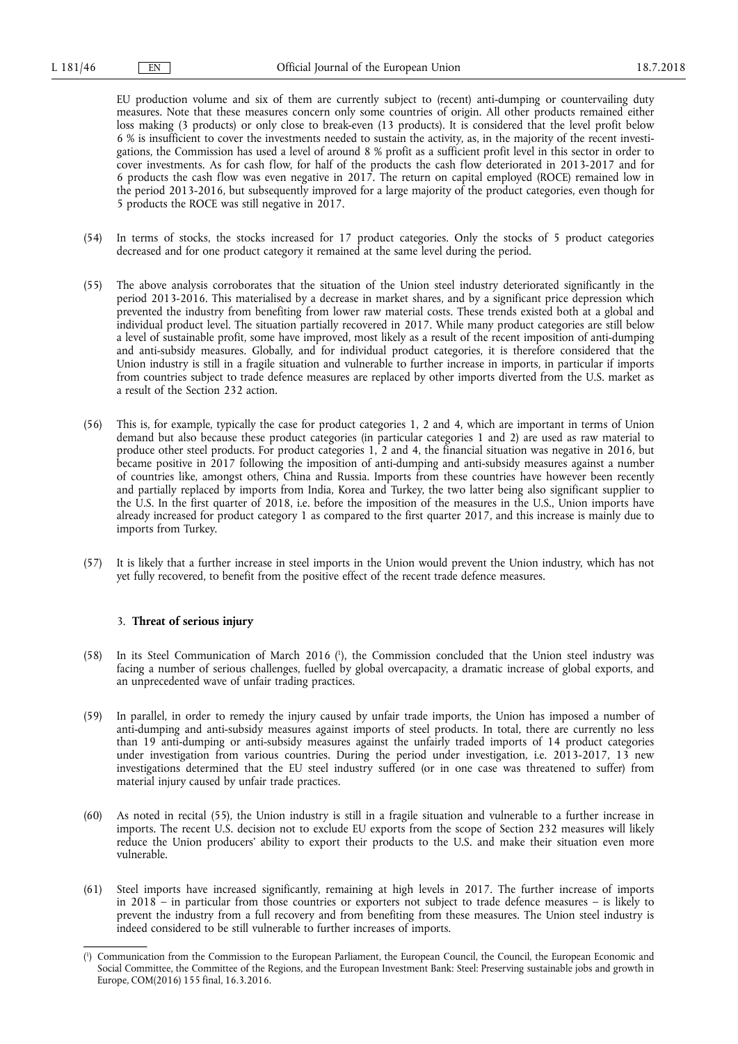EU production volume and six of them are currently subject to (recent) anti-dumping or countervailing duty measures. Note that these measures concern only some countries of origin. All other products remained either loss making (3 products) or only close to break-even (13 products). It is considered that the level profit below 6 % is insufficient to cover the investments needed to sustain the activity, as, in the majority of the recent investigations, the Commission has used a level of around 8 % profit as a sufficient profit level in this sector in order to cover investments. As for cash flow, for half of the products the cash flow deteriorated in 2013-2017 and for 6 products the cash flow was even negative in  $201\overline{7}$ . The return on capital employed (ROCE) remained low in the period 2013-2016, but subsequently improved for a large majority of the product categories, even though for 5 products the ROCE was still negative in 2017.

- (54) In terms of stocks, the stocks increased for 17 product categories. Only the stocks of 5 product categories decreased and for one product category it remained at the same level during the period.
- (55) The above analysis corroborates that the situation of the Union steel industry deteriorated significantly in the period 2013-2016. This materialised by a decrease in market shares, and by a significant price depression which prevented the industry from benefiting from lower raw material costs. These trends existed both at a global and individual product level. The situation partially recovered in 2017. While many product categories are still below a level of sustainable profit, some have improved, most likely as a result of the recent imposition of anti-dumping and anti-subsidy measures. Globally, and for individual product categories, it is therefore considered that the Union industry is still in a fragile situation and vulnerable to further increase in imports, in particular if imports from countries subject to trade defence measures are replaced by other imports diverted from the U.S. market as a result of the Section 232 action.
- (56) This is, for example, typically the case for product categories 1, 2 and 4, which are important in terms of Union demand but also because these product categories (in particular categories 1 and 2) are used as raw material to produce other steel products. For product categories 1, 2 and 4, the financial situation was negative in 2016, but became positive in 2017 following the imposition of anti-dumping and anti-subsidy measures against a number of countries like, amongst others, China and Russia. Imports from these countries have however been recently and partially replaced by imports from India, Korea and Turkey, the two latter being also significant supplier to the U.S. In the first quarter of 2018, i.e. before the imposition of the measures in the U.S., Union imports have already increased for product category 1 as compared to the first quarter 2017, and this increase is mainly due to imports from Turkey.
- (57) It is likely that a further increase in steel imports in the Union would prevent the Union industry, which has not yet fully recovered, to benefit from the positive effect of the recent trade defence measures.

### 3. **Threat of serious injury**

- (58) In its Steel Communication of March 2016 ( 1 ), the Commission concluded that the Union steel industry was facing a number of serious challenges, fuelled by global overcapacity, a dramatic increase of global exports, and an unprecedented wave of unfair trading practices.
- (59) In parallel, in order to remedy the injury caused by unfair trade imports, the Union has imposed a number of anti-dumping and anti-subsidy measures against imports of steel products. In total, there are currently no less than 19 anti-dumping or anti-subsidy measures against the unfairly traded imports of 14 product categories under investigation from various countries. During the period under investigation, i.e. 2013-2017, 13 new investigations determined that the EU steel industry suffered (or in one case was threatened to suffer) from material injury caused by unfair trade practices.
- (60) As noted in recital (55), the Union industry is still in a fragile situation and vulnerable to a further increase in imports. The recent U.S. decision not to exclude EU exports from the scope of Section 232 measures will likely reduce the Union producers' ability to export their products to the U.S. and make their situation even more vulnerable.
- (61) Steel imports have increased significantly, remaining at high levels in 2017. The further increase of imports in 2018 – in particular from those countries or exporters not subject to trade defence measures – is likely to prevent the industry from a full recovery and from benefiting from these measures. The Union steel industry is indeed considered to be still vulnerable to further increases of imports.

<sup>(</sup> 1 ) Communication from the Commission to the European Parliament, the European Council, the Council, the European Economic and Social Committee, the Committee of the Regions, and the European Investment Bank: Steel: Preserving sustainable jobs and growth in Europe, COM(2016) 155 final, 16.3.2016.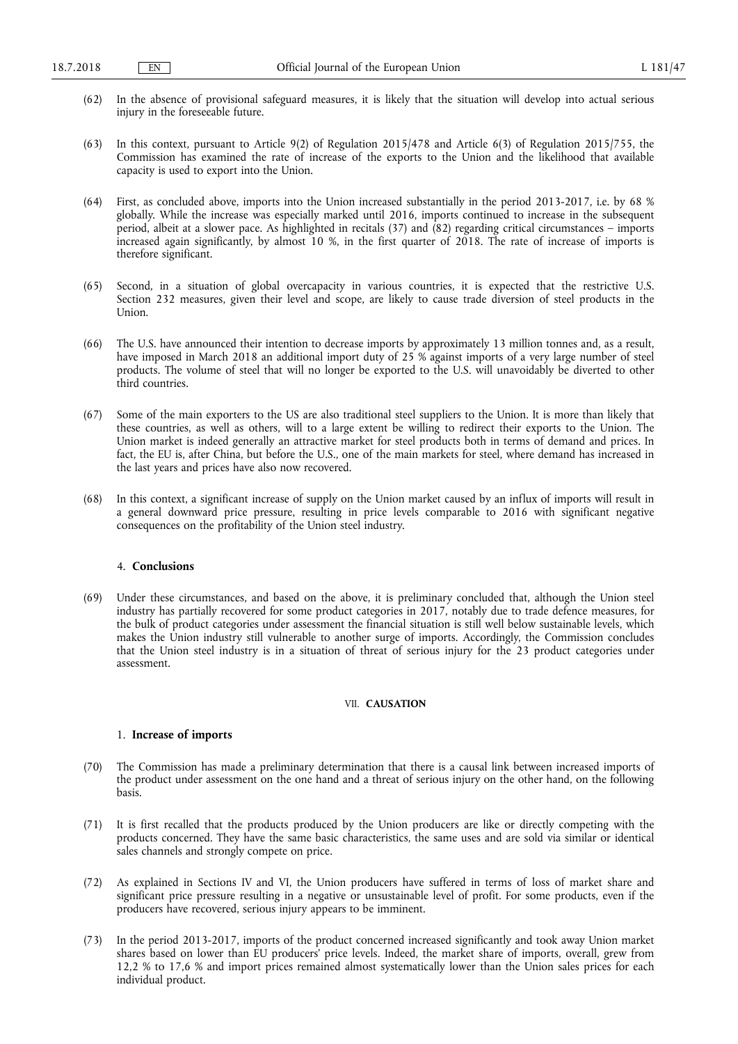- (62) In the absence of provisional safeguard measures, it is likely that the situation will develop into actual serious injury in the foreseeable future.
- (63) In this context, pursuant to Article 9(2) of Regulation 2015/478 and Article 6(3) of Regulation 2015/755, the Commission has examined the rate of increase of the exports to the Union and the likelihood that available capacity is used to export into the Union.
- (64) First, as concluded above, imports into the Union increased substantially in the period 2013-2017, i.e. by 68 % globally. While the increase was especially marked until 2016, imports continued to increase in the subsequent period, albeit at a slower pace. As highlighted in recitals (37) and (82) regarding critical circumstances – imports increased again significantly, by almost 10 %, in the first quarter of 2018. The rate of increase of imports is therefore significant.
- (65) Second, in a situation of global overcapacity in various countries, it is expected that the restrictive U.S. Section 232 measures, given their level and scope, are likely to cause trade diversion of steel products in the Union.
- (66) The U.S. have announced their intention to decrease imports by approximately 13 million tonnes and, as a result, have imposed in March 2018 an additional import duty of 25 % against imports of a very large number of steel products. The volume of steel that will no longer be exported to the U.S. will unavoidably be diverted to other third countries.
- (67) Some of the main exporters to the US are also traditional steel suppliers to the Union. It is more than likely that these countries, as well as others, will to a large extent be willing to redirect their exports to the Union. The Union market is indeed generally an attractive market for steel products both in terms of demand and prices. In fact, the EU is, after China, but before the U.S., one of the main markets for steel, where demand has increased in the last years and prices have also now recovered.
- (68) In this context, a significant increase of supply on the Union market caused by an influx of imports will result in a general downward price pressure, resulting in price levels comparable to 2016 with significant negative consequences on the profitability of the Union steel industry.

### 4. **Conclusions**

(69) Under these circumstances, and based on the above, it is preliminary concluded that, although the Union steel industry has partially recovered for some product categories in 2017, notably due to trade defence measures, for the bulk of product categories under assessment the financial situation is still well below sustainable levels, which makes the Union industry still vulnerable to another surge of imports. Accordingly, the Commission concludes that the Union steel industry is in a situation of threat of serious injury for the 23 product categories under assessment.

### VII. **CAUSATION**

### 1. **Increase of imports**

- (70) The Commission has made a preliminary determination that there is a causal link between increased imports of the product under assessment on the one hand and a threat of serious injury on the other hand, on the following basis.
- (71) It is first recalled that the products produced by the Union producers are like or directly competing with the products concerned. They have the same basic characteristics, the same uses and are sold via similar or identical sales channels and strongly compete on price.
- (72) As explained in Sections IV and VI, the Union producers have suffered in terms of loss of market share and significant price pressure resulting in a negative or unsustainable level of profit. For some products, even if the producers have recovered, serious injury appears to be imminent.
- (73) In the period 2013-2017, imports of the product concerned increased significantly and took away Union market shares based on lower than EU producers' price levels. Indeed, the market share of imports, overall, grew from 12,2 % to 17,6 % and import prices remained almost systematically lower than the Union sales prices for each individual product.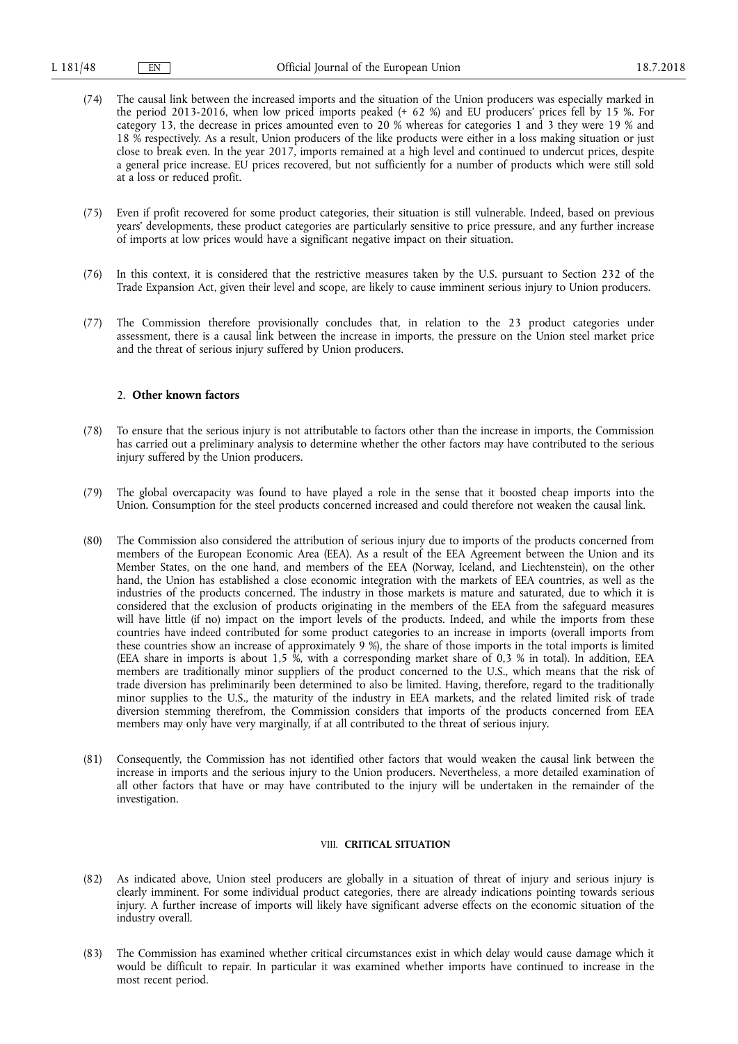- (74) The causal link between the increased imports and the situation of the Union producers was especially marked in the period 2013-2016, when low priced imports peaked (+ 62 %) and EU producers' prices fell by 15 %. For category 13, the decrease in prices amounted even to 20 % whereas for categories 1 and 3 they were 19 % and 18 % respectively. As a result, Union producers of the like products were either in a loss making situation or just close to break even. In the year 2017, imports remained at a high level and continued to undercut prices, despite a general price increase. EU prices recovered, but not sufficiently for a number of products which were still sold at a loss or reduced profit.
- (75) Even if profit recovered for some product categories, their situation is still vulnerable. Indeed, based on previous years' developments, these product categories are particularly sensitive to price pressure, and any further increase of imports at low prices would have a significant negative impact on their situation.
- (76) In this context, it is considered that the restrictive measures taken by the U.S. pursuant to Section 232 of the Trade Expansion Act, given their level and scope, are likely to cause imminent serious injury to Union producers.
- (77) The Commission therefore provisionally concludes that, in relation to the 23 product categories under assessment, there is a causal link between the increase in imports, the pressure on the Union steel market price and the threat of serious injury suffered by Union producers.

#### 2. **Other known factors**

- (78) To ensure that the serious injury is not attributable to factors other than the increase in imports, the Commission has carried out a preliminary analysis to determine whether the other factors may have contributed to the serious injury suffered by the Union producers.
- (79) The global overcapacity was found to have played a role in the sense that it boosted cheap imports into the Union. Consumption for the steel products concerned increased and could therefore not weaken the causal link.
- (80) The Commission also considered the attribution of serious injury due to imports of the products concerned from members of the European Economic Area (EEA). As a result of the EEA Agreement between the Union and its Member States, on the one hand, and members of the EEA (Norway, Iceland, and Liechtenstein), on the other hand, the Union has established a close economic integration with the markets of EEA countries, as well as the industries of the products concerned. The industry in those markets is mature and saturated, due to which it is considered that the exclusion of products originating in the members of the EEA from the safeguard measures will have little (if no) impact on the import levels of the products. Indeed, and while the imports from these countries have indeed contributed for some product categories to an increase in imports (overall imports from these countries show an increase of approximately 9 %), the share of those imports in the total imports is limited (EEA share in imports is about 1,5 %, with a corresponding market share of 0,3 % in total). In addition, EEA members are traditionally minor suppliers of the product concerned to the U.S., which means that the risk of trade diversion has preliminarily been determined to also be limited. Having, therefore, regard to the traditionally minor supplies to the U.S., the maturity of the industry in EEA markets, and the related limited risk of trade diversion stemming therefrom, the Commission considers that imports of the products concerned from EEA members may only have very marginally, if at all contributed to the threat of serious injury.
- (81) Consequently, the Commission has not identified other factors that would weaken the causal link between the increase in imports and the serious injury to the Union producers. Nevertheless, a more detailed examination of all other factors that have or may have contributed to the injury will be undertaken in the remainder of the investigation.

#### VIII. **CRITICAL SITUATION**

- (82) As indicated above, Union steel producers are globally in a situation of threat of injury and serious injury is clearly imminent. For some individual product categories, there are already indications pointing towards serious injury. A further increase of imports will likely have significant adverse effects on the economic situation of the industry overall.
- (83) The Commission has examined whether critical circumstances exist in which delay would cause damage which it would be difficult to repair. In particular it was examined whether imports have continued to increase in the most recent period.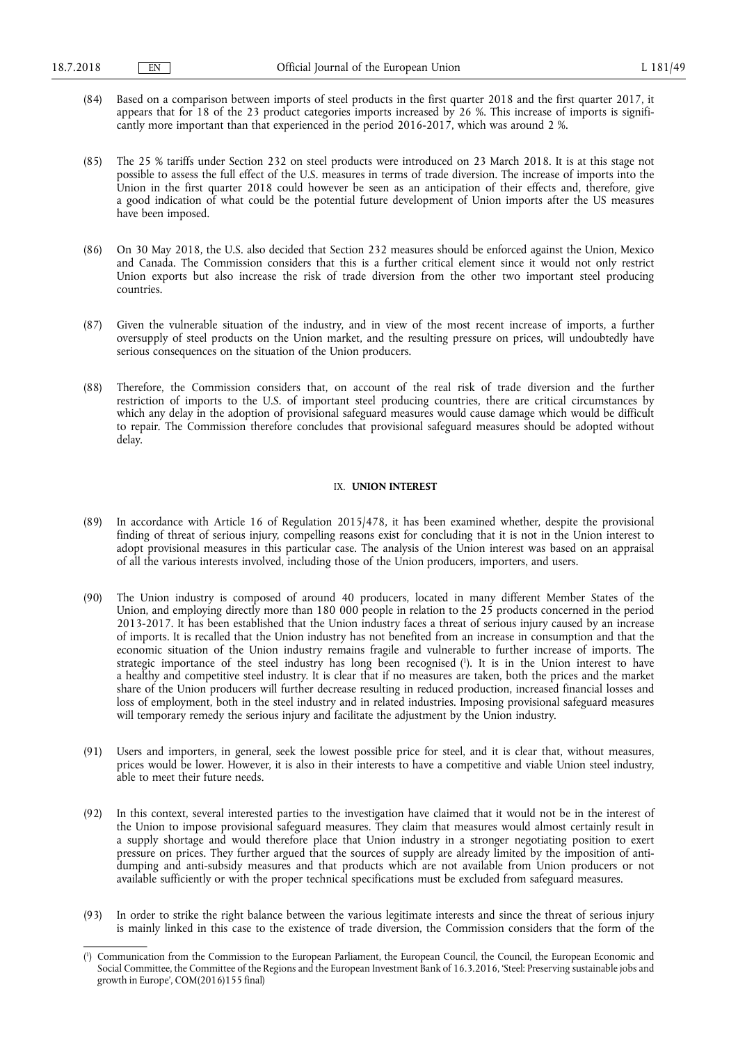- (84) Based on a comparison between imports of steel products in the first quarter 2018 and the first quarter 2017, it appears that for 18 of the 23 product categories imports increased by 26 %. This increase of imports is significantly more important than that experienced in the period 2016-2017, which was around 2 %.
- (85) The 25 % tariffs under Section 232 on steel products were introduced on 23 March 2018. It is at this stage not possible to assess the full effect of the U.S. measures in terms of trade diversion. The increase of imports into the Union in the first quarter 2018 could however be seen as an anticipation of their effects and, therefore, give a good indication of what could be the potential future development of Union imports after the US measures have been imposed.
- (86) On 30 May 2018, the U.S. also decided that Section 232 measures should be enforced against the Union, Mexico and Canada. The Commission considers that this is a further critical element since it would not only restrict Union exports but also increase the risk of trade diversion from the other two important steel producing countries.
- (87) Given the vulnerable situation of the industry, and in view of the most recent increase of imports, a further oversupply of steel products on the Union market, and the resulting pressure on prices, will undoubtedly have serious consequences on the situation of the Union producers.
- (88) Therefore, the Commission considers that, on account of the real risk of trade diversion and the further restriction of imports to the U.S. of important steel producing countries, there are critical circumstances by which any delay in the adoption of provisional safeguard measures would cause damage which would be difficult to repair. The Commission therefore concludes that provisional safeguard measures should be adopted without delay.

#### IX. **UNION INTEREST**

- (89) In accordance with Article 16 of Regulation 2015/478, it has been examined whether, despite the provisional finding of threat of serious injury, compelling reasons exist for concluding that it is not in the Union interest to adopt provisional measures in this particular case. The analysis of the Union interest was based on an appraisal of all the various interests involved, including those of the Union producers, importers, and users.
- (90) The Union industry is composed of around 40 producers, located in many different Member States of the Union, and employing directly more than 180 000 people in relation to the 25 products concerned in the period 2013-2017. It has been established that the Union industry faces a threat of serious injury caused by an increase of imports. It is recalled that the Union industry has not benefited from an increase in consumption and that the economic situation of the Union industry remains fragile and vulnerable to further increase of imports. The strategic importance of the steel industry has long been recognised ( 1 ). It is in the Union interest to have a healthy and competitive steel industry. It is clear that if no measures are taken, both the prices and the market share of the Union producers will further decrease resulting in reduced production, increased financial losses and loss of employment, both in the steel industry and in related industries. Imposing provisional safeguard measures will temporary remedy the serious injury and facilitate the adjustment by the Union industry.
- (91) Users and importers, in general, seek the lowest possible price for steel, and it is clear that, without measures, prices would be lower. However, it is also in their interests to have a competitive and viable Union steel industry, able to meet their future needs.
- (92) In this context, several interested parties to the investigation have claimed that it would not be in the interest of the Union to impose provisional safeguard measures. They claim that measures would almost certainly result in a supply shortage and would therefore place that Union industry in a stronger negotiating position to exert pressure on prices. They further argued that the sources of supply are already limited by the imposition of antidumping and anti-subsidy measures and that products which are not available from Union producers or not available sufficiently or with the proper technical specifications must be excluded from safeguard measures.
- (93) In order to strike the right balance between the various legitimate interests and since the threat of serious injury is mainly linked in this case to the existence of trade diversion, the Commission considers that the form of the

<sup>(</sup> 1 ) Communication from the Commission to the European Parliament, the European Council, the Council, the European Economic and Social Committee, the Committee of the Regions and the European Investment Bank of 16.3.2016, 'Steel: Preserving sustainable jobs and growth in Europe', COM(2016)155 final)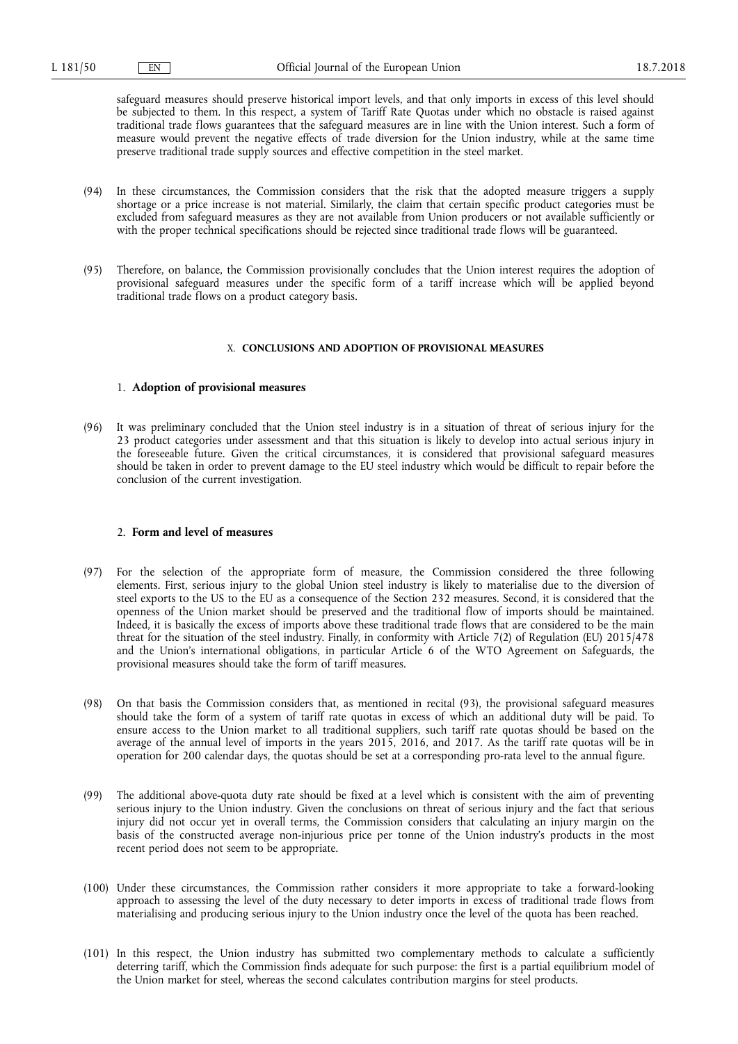safeguard measures should preserve historical import levels, and that only imports in excess of this level should be subjected to them. In this respect, a system of Tariff Rate Quotas under which no obstacle is raised against traditional trade flows guarantees that the safeguard measures are in line with the Union interest. Such a form of measure would prevent the negative effects of trade diversion for the Union industry, while at the same time preserve traditional trade supply sources and effective competition in the steel market.

- (94) In these circumstances, the Commission considers that the risk that the adopted measure triggers a supply shortage or a price increase is not material. Similarly, the claim that certain specific product categories must be excluded from safeguard measures as they are not available from Union producers or not available sufficiently or with the proper technical specifications should be rejected since traditional trade flows will be guaranteed.
- (95) Therefore, on balance, the Commission provisionally concludes that the Union interest requires the adoption of provisional safeguard measures under the specific form of a tariff increase which will be applied beyond traditional trade flows on a product category basis.

#### X. **CONCLUSIONS AND ADOPTION OF PROVISIONAL MEASURES**

### 1. **Adoption of provisional measures**

(96) It was preliminary concluded that the Union steel industry is in a situation of threat of serious injury for the 23 product categories under assessment and that this situation is likely to develop into actual serious injury in the foreseeable future. Given the critical circumstances, it is considered that provisional safeguard measures should be taken in order to prevent damage to the EU steel industry which would be difficult to repair before the conclusion of the current investigation.

#### 2. **Form and level of measures**

- (97) For the selection of the appropriate form of measure, the Commission considered the three following elements. First, serious injury to the global Union steel industry is likely to materialise due to the diversion of steel exports to the US to the EU as a consequence of the Section 232 measures. Second, it is considered that the openness of the Union market should be preserved and the traditional flow of imports should be maintained. Indeed, it is basically the excess of imports above these traditional trade flows that are considered to be the main threat for the situation of the steel industry. Finally, in conformity with Article 7(2) of Regulation (EU) 2015/478 and the Union's international obligations, in particular Article 6 of the WTO Agreement on Safeguards, the provisional measures should take the form of tariff measures.
- (98) On that basis the Commission considers that, as mentioned in recital (93), the provisional safeguard measures should take the form of a system of tariff rate quotas in excess of which an additional duty will be paid. To ensure access to the Union market to all traditional suppliers, such tariff rate quotas should be based on the average of the annual level of imports in the years 2015, 2016, and 2017. As the tariff rate quotas will be in operation for 200 calendar days, the quotas should be set at a corresponding pro-rata level to the annual figure.
- (99) The additional above-quota duty rate should be fixed at a level which is consistent with the aim of preventing serious injury to the Union industry. Given the conclusions on threat of serious injury and the fact that serious injury did not occur yet in overall terms, the Commission considers that calculating an injury margin on the basis of the constructed average non-injurious price per tonne of the Union industry's products in the most recent period does not seem to be appropriate.
- (100) Under these circumstances, the Commission rather considers it more appropriate to take a forward-looking approach to assessing the level of the duty necessary to deter imports in excess of traditional trade flows from materialising and producing serious injury to the Union industry once the level of the quota has been reached.
- (101) In this respect, the Union industry has submitted two complementary methods to calculate a sufficiently deterring tariff, which the Commission finds adequate for such purpose: the first is a partial equilibrium model of the Union market for steel, whereas the second calculates contribution margins for steel products.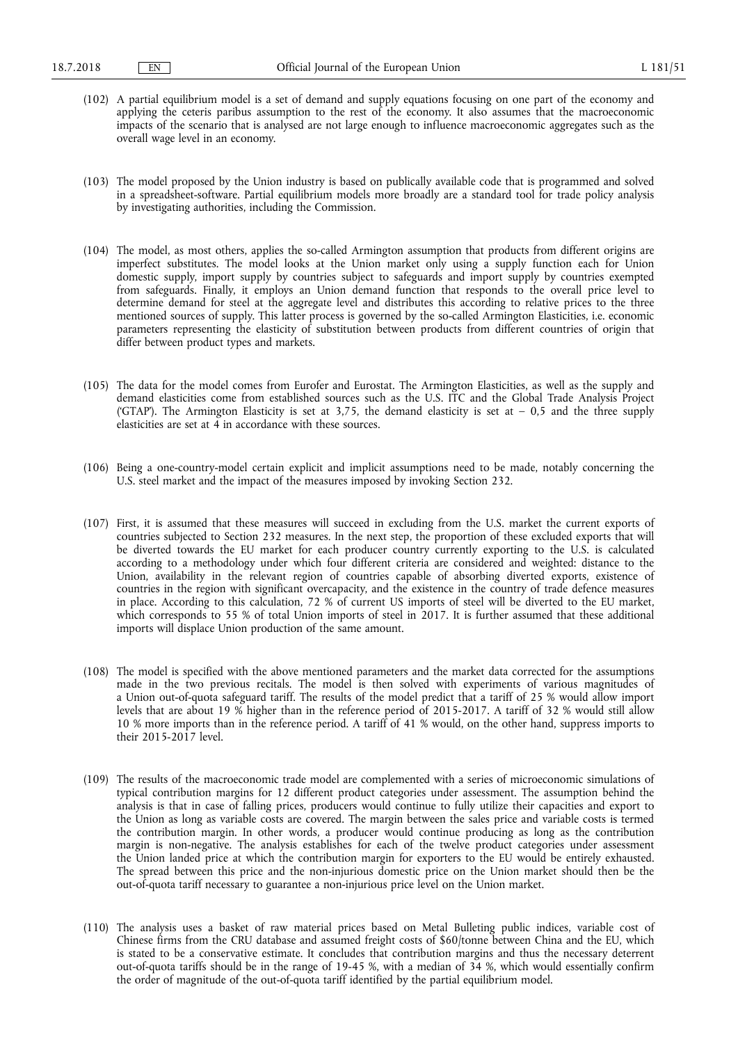- (102) A partial equilibrium model is a set of demand and supply equations focusing on one part of the economy and applying the ceteris paribus assumption to the rest of the economy. It also assumes that the macroeconomic impacts of the scenario that is analysed are not large enough to influence macroeconomic aggregates such as the overall wage level in an economy.
- (103) The model proposed by the Union industry is based on publically available code that is programmed and solved in a spreadsheet-software. Partial equilibrium models more broadly are a standard tool for trade policy analysis by investigating authorities, including the Commission.
- (104) The model, as most others, applies the so-called Armington assumption that products from different origins are imperfect substitutes. The model looks at the Union market only using a supply function each for Union domestic supply, import supply by countries subject to safeguards and import supply by countries exempted from safeguards. Finally, it employs an Union demand function that responds to the overall price level to determine demand for steel at the aggregate level and distributes this according to relative prices to the three mentioned sources of supply. This latter process is governed by the so-called Armington Elasticities, i.e. economic parameters representing the elasticity of substitution between products from different countries of origin that differ between product types and markets.
- (105) The data for the model comes from Eurofer and Eurostat. The Armington Elasticities, as well as the supply and demand elasticities come from established sources such as the U.S. ITC and the Global Trade Analysis Project ('GTAP'). The Armington Elasticity is set at  $3,75$ , the demand elasticity is set at  $-0.5$  and the three supply elasticities are set at 4 in accordance with these sources.
- (106) Being a one-country-model certain explicit and implicit assumptions need to be made, notably concerning the U.S. steel market and the impact of the measures imposed by invoking Section 232.
- (107) First, it is assumed that these measures will succeed in excluding from the U.S. market the current exports of countries subjected to Section 232 measures. In the next step, the proportion of these excluded exports that will be diverted towards the EU market for each producer country currently exporting to the U.S. is calculated according to a methodology under which four different criteria are considered and weighted: distance to the Union, availability in the relevant region of countries capable of absorbing diverted exports, existence of countries in the region with significant overcapacity, and the existence in the country of trade defence measures in place. According to this calculation, 72 % of current US imports of steel will be diverted to the EU market, which corresponds to 55 % of total Union imports of steel in 2017. It is further assumed that these additional imports will displace Union production of the same amount.
- (108) The model is specified with the above mentioned parameters and the market data corrected for the assumptions made in the two previous recitals. The model is then solved with experiments of various magnitudes of a Union out-of-quota safeguard tariff. The results of the model predict that a tariff of 25 % would allow import levels that are about 19 % higher than in the reference period of 2015-2017. A tariff of 32 % would still allow 10 % more imports than in the reference period. A tariff of 41 % would, on the other hand, suppress imports to their 2015-2017 level.
- (109) The results of the macroeconomic trade model are complemented with a series of microeconomic simulations of typical contribution margins for 12 different product categories under assessment. The assumption behind the analysis is that in case of falling prices, producers would continue to fully utilize their capacities and export to the Union as long as variable costs are covered. The margin between the sales price and variable costs is termed the contribution margin. In other words, a producer would continue producing as long as the contribution margin is non-negative. The analysis establishes for each of the twelve product categories under assessment the Union landed price at which the contribution margin for exporters to the EU would be entirely exhausted. The spread between this price and the non-injurious domestic price on the Union market should then be the out-of-quota tariff necessary to guarantee a non-injurious price level on the Union market.
- (110) The analysis uses a basket of raw material prices based on Metal Bulleting public indices, variable cost of Chinese firms from the CRU database and assumed freight costs of \$60/tonne between China and the EU, which is stated to be a conservative estimate. It concludes that contribution margins and thus the necessary deterrent out-of-quota tariffs should be in the range of 19-45 %, with a median of 34 %, which would essentially confirm the order of magnitude of the out-of-quota tariff identified by the partial equilibrium model.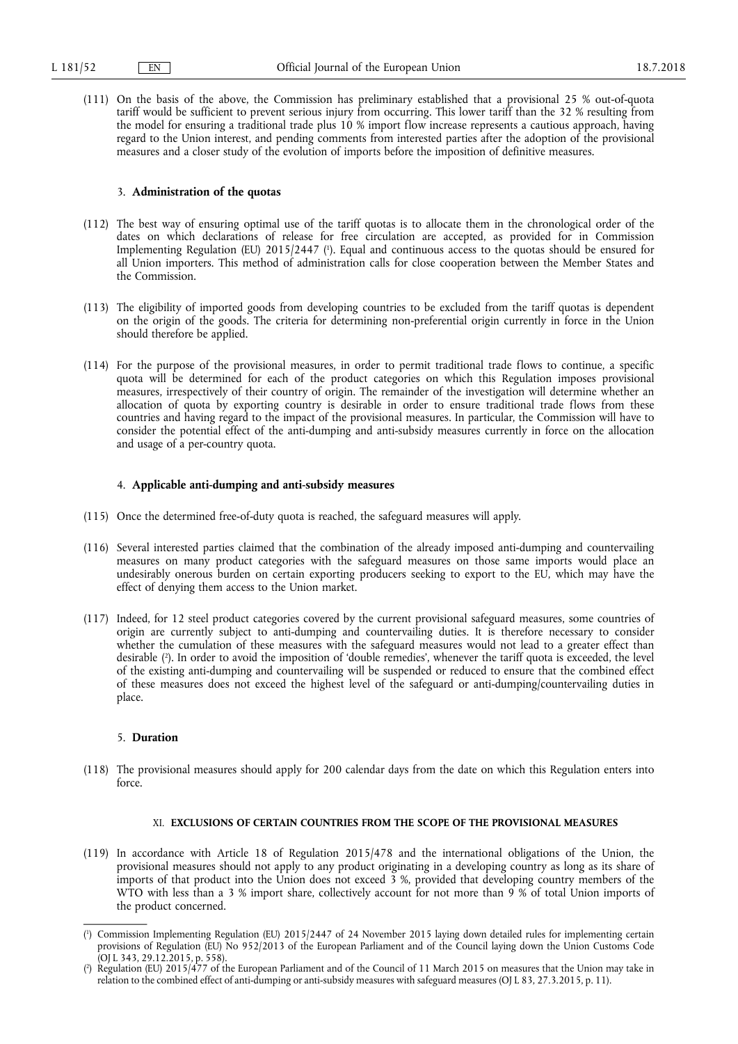(111) On the basis of the above, the Commission has preliminary established that a provisional 25 % out-of-quota tariff would be sufficient to prevent serious injury from occurring. This lower tariff than the 32 % resulting from the model for ensuring a traditional trade plus 10 % import flow increase represents a cautious approach, having regard to the Union interest, and pending comments from interested parties after the adoption of the provisional measures and a closer study of the evolution of imports before the imposition of definitive measures.

### 3. **Administration of the quotas**

- (112) The best way of ensuring optimal use of the tariff quotas is to allocate them in the chronological order of the dates on which declarations of release for free circulation are accepted, as provided for in Commission Implementing Regulation (EU) 2015/2447 ( 1 ). Equal and continuous access to the quotas should be ensured for all Union importers. This method of administration calls for close cooperation between the Member States and the Commission.
- (113) The eligibility of imported goods from developing countries to be excluded from the tariff quotas is dependent on the origin of the goods. The criteria for determining non-preferential origin currently in force in the Union should therefore be applied.
- (114) For the purpose of the provisional measures, in order to permit traditional trade flows to continue, a specific quota will be determined for each of the product categories on which this Regulation imposes provisional measures, irrespectively of their country of origin. The remainder of the investigation will determine whether an allocation of quota by exporting country is desirable in order to ensure traditional trade flows from these countries and having regard to the impact of the provisional measures. In particular, the Commission will have to consider the potential effect of the anti-dumping and anti-subsidy measures currently in force on the allocation and usage of a per-country quota.

### 4. **Applicable anti-dumping and anti-subsidy measures**

- (115) Once the determined free-of-duty quota is reached, the safeguard measures will apply.
- (116) Several interested parties claimed that the combination of the already imposed anti-dumping and countervailing measures on many product categories with the safeguard measures on those same imports would place an undesirably onerous burden on certain exporting producers seeking to export to the EU, which may have the effect of denying them access to the Union market.
- (117) Indeed, for 12 steel product categories covered by the current provisional safeguard measures, some countries of origin are currently subject to anti-dumping and countervailing duties. It is therefore necessary to consider whether the cumulation of these measures with the safeguard measures would not lead to a greater effect than desirable ( 2 ). In order to avoid the imposition of 'double remedies', whenever the tariff quota is exceeded, the level of the existing anti-dumping and countervailing will be suspended or reduced to ensure that the combined effect of these measures does not exceed the highest level of the safeguard or anti-dumping/countervailing duties in place.

### 5. **Duration**

(118) The provisional measures should apply for 200 calendar days from the date on which this Regulation enters into force.

### XI. **EXCLUSIONS OF CERTAIN COUNTRIES FROM THE SCOPE OF THE PROVISIONAL MEASURES**

(119) In accordance with Article 18 of Regulation 2015/478 and the international obligations of the Union, the provisional measures should not apply to any product originating in a developing country as long as its share of imports of that product into the Union does not exceed 3 %, provided that developing country members of the WTO with less than a 3 % import share, collectively account for not more than 9 % of total Union imports of the product concerned.

<sup>(</sup> 1 ) Commission Implementing Regulation (EU) 2015/2447 of 24 November 2015 laying down detailed rules for implementing certain provisions of Regulation (EU) No 952/2013 of the European Parliament and of the Council laying down the Union Customs Code (OJ L 343, 29.12.2015, p. 558).

<sup>(</sup> 2 ) Regulation (EU) 2015/477 of the European Parliament and of the Council of 11 March 2015 on measures that the Union may take in relation to the combined effect of anti-dumping or anti-subsidy measures with safeguard measures (OJ L 83, 27.3.2015, p. 11).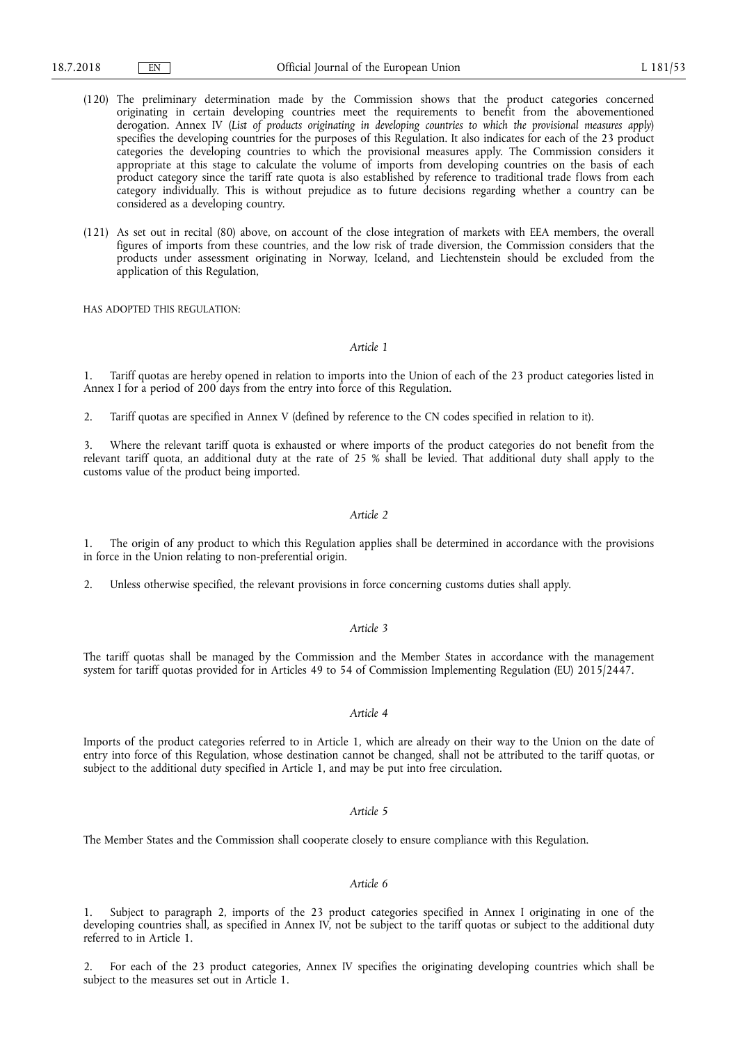- (120) The preliminary determination made by the Commission shows that the product categories concerned originating in certain developing countries meet the requirements to benefit from the abovementioned derogation. Annex IV (*List of products originating in developing countries to which the provisional measures apply*) specifies the developing countries for the purposes of this Regulation. It also indicates for each of the 23 product categories the developing countries to which the provisional measures apply. The Commission considers it appropriate at this stage to calculate the volume of imports from developing countries on the basis of each product category since the tariff rate quota is also established by reference to traditional trade flows from each category individually. This is without prejudice as to future decisions regarding whether a country can be considered as a developing country.
- (121) As set out in recital (80) above, on account of the close integration of markets with EEA members, the overall figures of imports from these countries, and the low risk of trade diversion, the Commission considers that the products under assessment originating in Norway, Iceland, and Liechtenstein should be excluded from the application of this Regulation,

HAS ADOPTED THIS REGULATION:

*Article 1* 

1. Tariff quotas are hereby opened in relation to imports into the Union of each of the 23 product categories listed in Annex I for a period of 200 days from the entry into force of this Regulation.

2. Tariff quotas are specified in Annex V (defined by reference to the CN codes specified in relation to it).

Where the relevant tariff quota is exhausted or where imports of the product categories do not benefit from the relevant tariff quota, an additional duty at the rate of 25 % shall be levied. That additional duty shall apply to the customs value of the product being imported.

### *Article 2*

1. The origin of any product to which this Regulation applies shall be determined in accordance with the provisions in force in the Union relating to non-preferential origin.

2. Unless otherwise specified, the relevant provisions in force concerning customs duties shall apply.

*Article 3* 

The tariff quotas shall be managed by the Commission and the Member States in accordance with the management system for tariff quotas provided for in Articles 49 to 54 of Commission Implementing Regulation (EU) 2015/2447.

### *Article 4*

Imports of the product categories referred to in Article 1, which are already on their way to the Union on the date of entry into force of this Regulation, whose destination cannot be changed, shall not be attributed to the tariff quotas, or subject to the additional duty specified in Article 1, and may be put into free circulation.

### *Article 5*

The Member States and the Commission shall cooperate closely to ensure compliance with this Regulation.

### *Article 6*

1. Subject to paragraph 2, imports of the 23 product categories specified in Annex I originating in one of the developing countries shall, as specified in Annex IV, not be subject to the tariff quotas or subject to the additional duty referred to in Article 1.

2. For each of the 23 product categories, Annex IV specifies the originating developing countries which shall be subject to the measures set out in Article 1.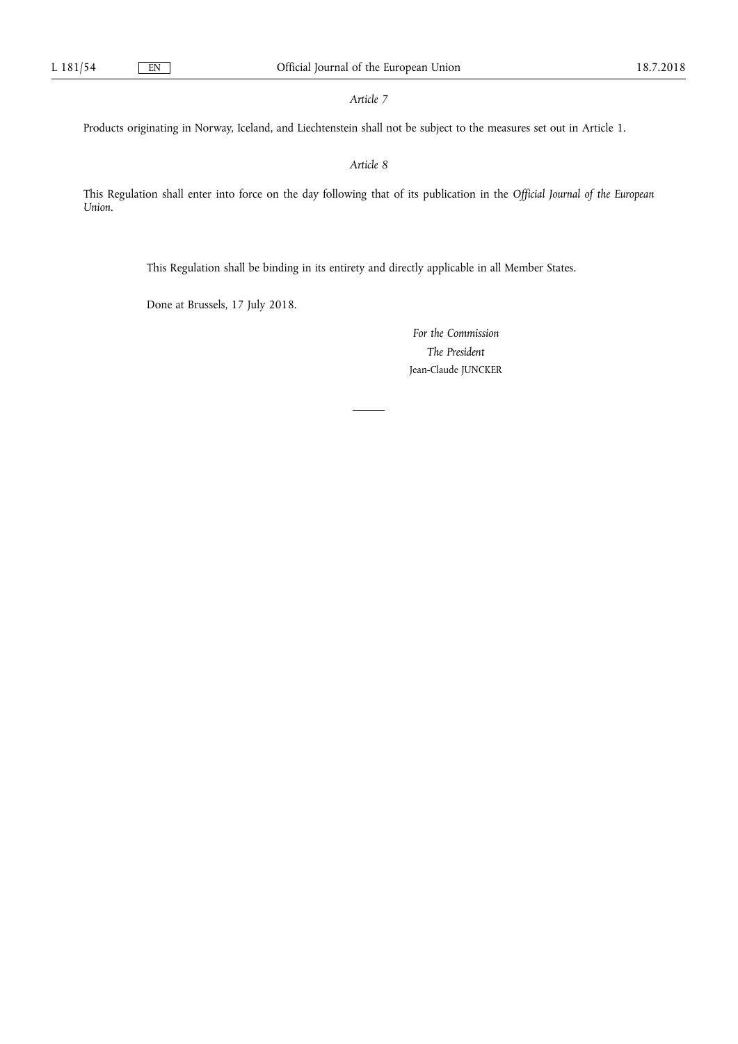*Article 7* 

Products originating in Norway, Iceland, and Liechtenstein shall not be subject to the measures set out in Article 1.

*Article 8* 

This Regulation shall enter into force on the day following that of its publication in the *Official Journal of the European Union*.

This Regulation shall be binding in its entirety and directly applicable in all Member States.

Done at Brussels, 17 July 2018.

*For the Commission The President*  Jean-Claude JUNCKER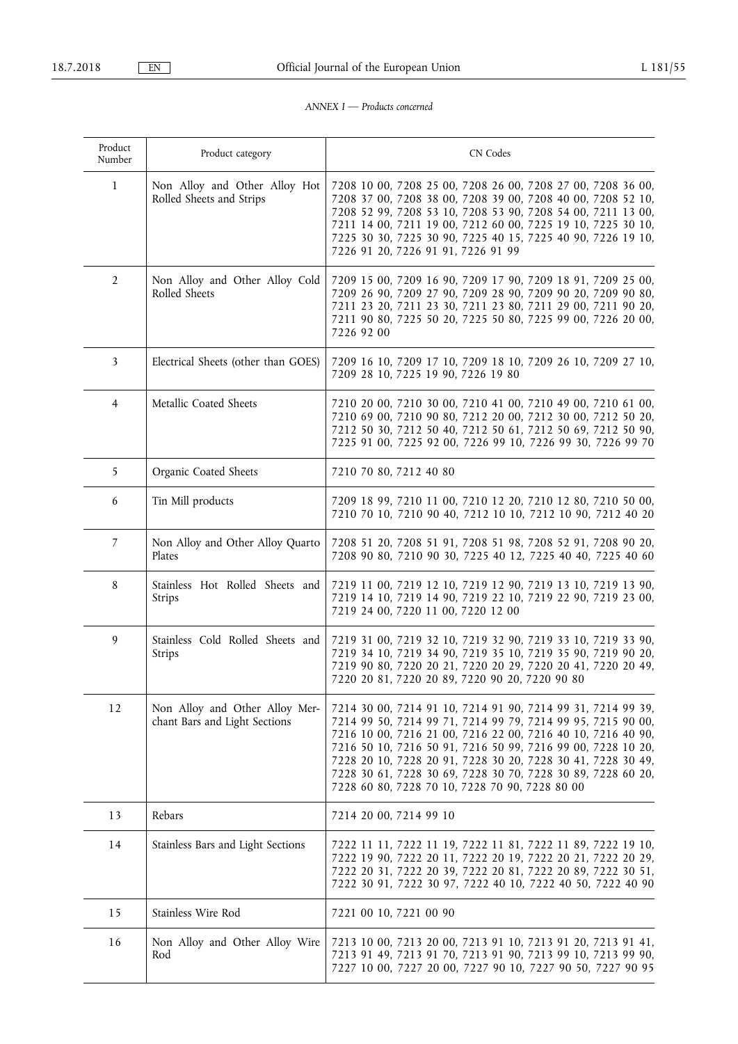### *ANNEX I — Products concerned*

| Product<br>Number | Product category                                                | CN Codes                                                                                                                                                                                                                                                                                                                                                                                                                                 |
|-------------------|-----------------------------------------------------------------|------------------------------------------------------------------------------------------------------------------------------------------------------------------------------------------------------------------------------------------------------------------------------------------------------------------------------------------------------------------------------------------------------------------------------------------|
| 1                 | Non Alloy and Other Alloy Hot<br>Rolled Sheets and Strips       | 7208 10 00, 7208 25 00, 7208 26 00, 7208 27 00, 7208 36 00,<br>7208 37 00, 7208 38 00, 7208 39 00, 7208 40 00, 7208 52 10,<br>7208 52 99, 7208 53 10, 7208 53 90, 7208 54 00, 7211 13 00,<br>7211 14 00, 7211 19 00, 7212 60 00, 7225 19 10, 7225 30 10,<br>7225 30 30, 7225 30 90, 7225 40 15, 7225 40 90, 7226 19 10,<br>7226 91 20, 7226 91 91, 7226 91 99                                                                            |
| $\overline{2}$    | Non Alloy and Other Alloy Cold<br>Rolled Sheets                 | 7209 15 00, 7209 16 90, 7209 17 90, 7209 18 91, 7209 25 00,<br>7209 26 90, 7209 27 90, 7209 28 90, 7209 90 20, 7209 90 80,<br>7211 23 20, 7211 23 30, 7211 23 80, 7211 29 00, 7211 90 20,<br>7211 90 80, 7225 50 20, 7225 50 80, 7225 99 00, 7226 20 00,<br>7226 92 00                                                                                                                                                                   |
| 3                 | Electrical Sheets (other than GOES)                             | 7209 16 10, 7209 17 10, 7209 18 10, 7209 26 10, 7209 27 10,<br>7209 28 10, 7225 19 90, 7226 19 80                                                                                                                                                                                                                                                                                                                                        |
| 4                 | Metallic Coated Sheets                                          | 7210 20 00, 7210 30 00, 7210 41 00, 7210 49 00, 7210 61 00,<br>7210 69 00, 7210 90 80, 7212 20 00, 7212 30 00, 7212 50 20,<br>7212 50 30, 7212 50 40, 7212 50 61, 7212 50 69, 7212 50 90,<br>7225 91 00, 7225 92 00, 7226 99 10, 7226 99 30, 7226 99 70                                                                                                                                                                                  |
| 5                 | Organic Coated Sheets                                           | 7210 70 80, 7212 40 80                                                                                                                                                                                                                                                                                                                                                                                                                   |
| 6                 | Tin Mill products                                               | 7209 18 99, 7210 11 00, 7210 12 20, 7210 12 80, 7210 50 00,<br>7210 70 10, 7210 90 40, 7212 10 10, 7212 10 90, 7212 40 20                                                                                                                                                                                                                                                                                                                |
| 7                 | Non Alloy and Other Alloy Quarto<br>Plates                      | 7208 51 20, 7208 51 91, 7208 51 98, 7208 52 91, 7208 90 20,<br>7208 90 80, 7210 90 30, 7225 40 12, 7225 40 40, 7225 40 60                                                                                                                                                                                                                                                                                                                |
| 8                 | Stainless Hot Rolled Sheets and<br>Strips                       | 7219 11 00, 7219 12 10, 7219 12 90, 7219 13 10, 7219 13 90,<br>7219 14 10, 7219 14 90, 7219 22 10, 7219 22 90, 7219 23 00,<br>7219 24 00, 7220 11 00, 7220 12 00                                                                                                                                                                                                                                                                         |
| 9                 | Stainless Cold Rolled Sheets and<br>Strips                      | 7219 31 00, 7219 32 10, 7219 32 90, 7219 33 10, 7219 33 90,<br>7219 34 10, 7219 34 90, 7219 35 10, 7219 35 90, 7219 90 20,<br>7219 90 80, 7220 20 21, 7220 20 29, 7220 20 41, 7220 20 49,<br>7220 20 81, 7220 20 89, 7220 90 20, 7220 90 80                                                                                                                                                                                              |
| 12                | Non Alloy and Other Alloy Mer-<br>chant Bars and Light Sections | 7214 30 00, 7214 91 10, 7214 91 90, 7214 99 31, 7214 99 39,<br>7214 99 50, 7214 99 71, 7214 99 79, 7214 99 95, 7215 90 00,<br>7216 10 00, 7216 21 00, 7216 22 00, 7216 40 10, 7216 40 90,<br>7216 50 10, 7216 50 91, 7216 50 99, 7216 99 00, 7228 10 20,<br>7228 20 10, 7228 20 91, 7228 30 20, 7228 30 41, 7228 30 49,<br>7228 30 61, 7228 30 69, 7228 30 70, 7228 30 89, 7228 60 20,<br>7228 60 80, 7228 70 10, 7228 70 90, 7228 80 00 |
| 13                | Rebars                                                          | 7214 20 00, 7214 99 10                                                                                                                                                                                                                                                                                                                                                                                                                   |
| 14                | Stainless Bars and Light Sections                               | 7222 11 11, 7222 11 19, 7222 11 81, 7222 11 89, 7222 19 10,<br>7222 19 90, 7222 20 11, 7222 20 19, 7222 20 21, 7222 20 29,<br>7222 20 31, 7222 20 39, 7222 20 81, 7222 20 89, 7222 30 51,<br>7222 30 91, 7222 30 97, 7222 40 10, 7222 40 50, 7222 40 90                                                                                                                                                                                  |
| 15                | Stainless Wire Rod                                              | 7221 00 10, 7221 00 90                                                                                                                                                                                                                                                                                                                                                                                                                   |
| 16                | Non Alloy and Other Alloy Wire<br>Rod                           | 7213 10 00, 7213 20 00, 7213 91 10, 7213 91 20, 7213 91 41,<br>7213 91 49, 7213 91 70, 7213 91 90, 7213 99 10, 7213 99 90,<br>7227 10 00, 7227 20 00, 7227 90 10, 7227 90 50, 7227 90 95                                                                                                                                                                                                                                                 |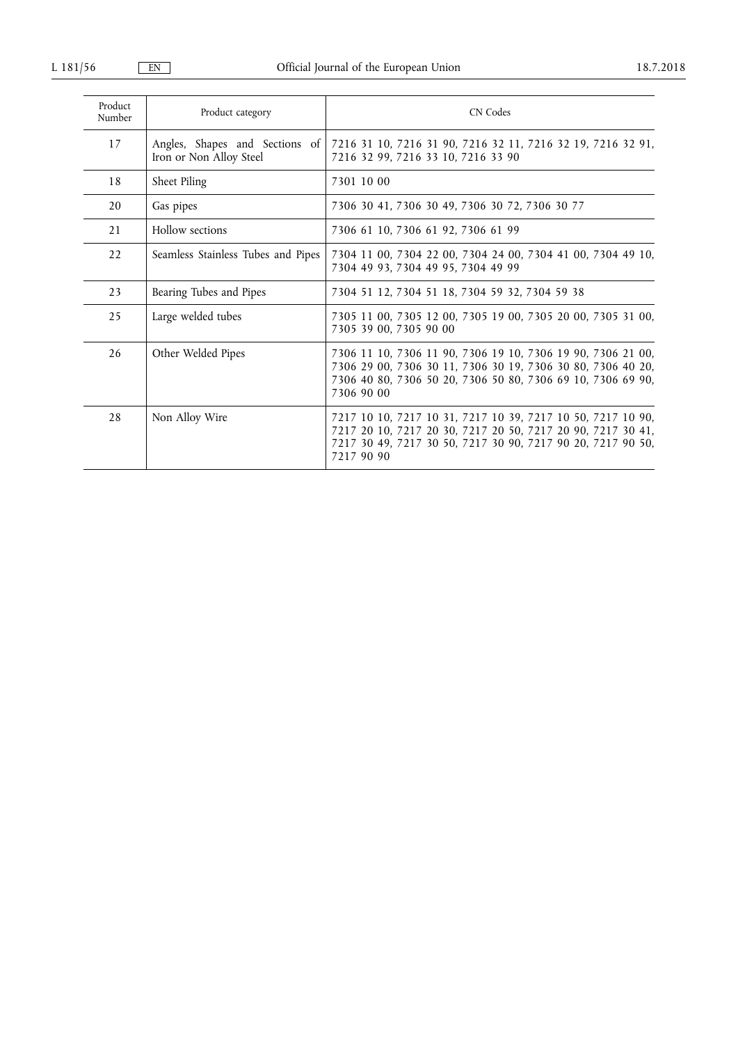| Product<br>Number | Product category                                          | CN Codes                                                                                                                                                                                                |
|-------------------|-----------------------------------------------------------|---------------------------------------------------------------------------------------------------------------------------------------------------------------------------------------------------------|
| 17                | Angles, Shapes and Sections of<br>Iron or Non Alloy Steel | 7216 31 10, 7216 31 90, 7216 32 11, 7216 32 19, 7216 32 91,<br>7216 32 99, 7216 33 10, 7216 33 90                                                                                                       |
| 18                | Sheet Piling                                              | 7301 10 00                                                                                                                                                                                              |
| 20                | Gas pipes                                                 | 7306 30 41, 7306 30 49, 7306 30 72, 7306 30 77                                                                                                                                                          |
| 21                | Hollow sections                                           | 7306 61 10, 7306 61 92, 7306 61 99                                                                                                                                                                      |
| 22                | Seamless Stainless Tubes and Pipes                        | 7304 11 00, 7304 22 00, 7304 24 00, 7304 41 00, 7304 49 10,<br>7304 49 93, 7304 49 95, 7304 49 99                                                                                                       |
| 23                | Bearing Tubes and Pipes                                   | 7304 51 12, 7304 51 18, 7304 59 32, 7304 59 38                                                                                                                                                          |
| 25                | Large welded tubes                                        | 7305 11 00, 7305 12 00, 7305 19 00, 7305 20 00, 7305 31 00,<br>7305 39 00, 7305 90 00                                                                                                                   |
| 26                | Other Welded Pipes                                        | 7306 11 10, 7306 11 90, 7306 19 10, 7306 19 90, 7306 21 00,<br>7306 29 00, 7306 30 11, 7306 30 19, 7306 30 80, 7306 40 20,<br>7306 40 80, 7306 50 20, 7306 50 80, 7306 69 10, 7306 69 90,<br>7306 90 00 |
| 28                | Non Alloy Wire                                            | 7217 10 10, 7217 10 31, 7217 10 39, 7217 10 50, 7217 10 90,<br>7217 20 10, 7217 20 30, 7217 20 50, 7217 20 90, 7217 30 41,<br>7217 30 49, 7217 30 50, 7217 30 90, 7217 90 20, 7217 90 50,<br>7217 90 90 |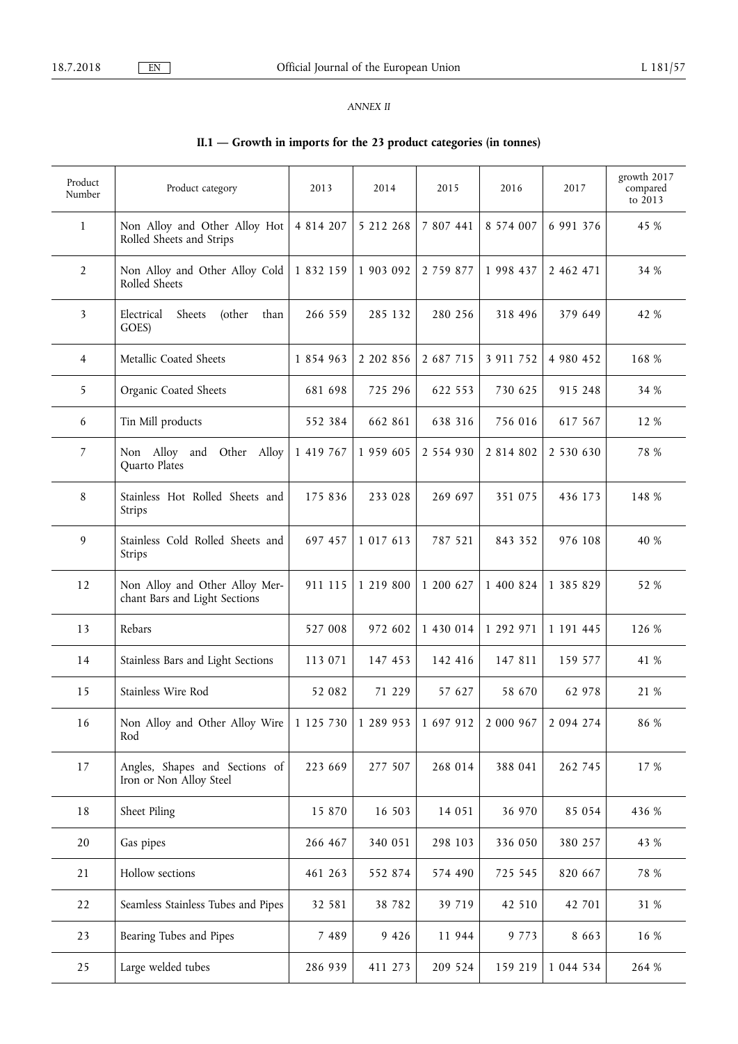### *ANNEX II*

# **II.1 — Growth in imports for the 23 product categories (in tonnes)**

| Product<br>Number | Product category                                                | 2013      | 2014      | 2015                | 2016          | 2017      | growth 2017<br>compared<br>to $2013$ |
|-------------------|-----------------------------------------------------------------|-----------|-----------|---------------------|---------------|-----------|--------------------------------------|
| 1                 | Non Alloy and Other Alloy Hot<br>Rolled Sheets and Strips       | 4 814 207 | 5 212 268 | 7 807 441           | 8 574 007     | 6 991 376 | 45 %                                 |
| $\overline{2}$    | Non Alloy and Other Alloy Cold<br>Rolled Sheets                 | 1 832 159 | 1 903 092 | 2 7 5 9 8 7 7       | 1 998 437     | 2 462 471 | 34 %                                 |
| 3                 | Electrical<br>Sheets<br>(other<br>than<br>GOES)                 | 266 559   | 285 132   | 280 256             | 318 496       | 379 649   | 42 %                                 |
| 4                 | Metallic Coated Sheets                                          | 1 854 963 | 2 202 856 | 2 687 715           | 3 911 752     | 4 980 452 | 168 %                                |
| 5                 | Organic Coated Sheets                                           | 681 698   | 725 296   | 622 553             | 730 625       | 915 248   | 34 %                                 |
| 6                 | Tin Mill products                                               | 552 384   | 662 861   | 638 316             | 756 016       | 617 567   | 12 %                                 |
| $\overline{7}$    | Non Alloy and Other Alloy<br>Quarto Plates                      | 1 419 767 | 1 959 605 | 2 554 930           | 2 8 1 4 8 0 2 | 2 530 630 | 78 %                                 |
| 8                 | Stainless Hot Rolled Sheets and<br>Strips                       | 175 836   | 233 028   | 269 697             | 351 075       | 436 173   | 148 %                                |
| 9                 | Stainless Cold Rolled Sheets and<br>Strips                      | 697 457   | 1 017 613 | 787 521             | 843 352       | 976 108   | 40 %                                 |
| 12                | Non Alloy and Other Alloy Mer-<br>chant Bars and Light Sections | 911 115   | 1 219 800 | 1 200 627           | 1 400 824     | 1 385 829 | 52 %                                 |
| 13                | Rebars                                                          | 527 008   | 972 602   | 1 430 014           | 1 292 971     | 1 191 445 | 126 %                                |
| 14                | Stainless Bars and Light Sections                               | 113 071   | 147 453   | 142 416             | 147 811       | 159 577   | 41 %                                 |
| 15                | Stainless Wire Rod                                              | 52 082    | 71 229    | 57 627              | 58 670        | 62 978    | 21 %                                 |
| 16                | Non Alloy and Other Alloy Wire<br>Rod                           | 1 125 730 |           | 1 289 953 1 697 912 | 2 000 967     | 2 094 274 | 86 %                                 |
| 17                | Angles, Shapes and Sections of<br>Iron or Non Alloy Steel       | 223 669   | 277 507   | 268 014             | 388 041       | 262 745   | 17 %                                 |
| 18                | Sheet Piling                                                    | 15 870    | 16 503    | 14 051              | 36 970        | 85 054    | 436 %                                |
| 20                | Gas pipes                                                       | 266 467   | 340 051   | 298 103             | 336 050       | 380 257   | 43 %                                 |
| 21                | Hollow sections                                                 | 461 263   | 552 874   | 574 490             | 725 545       | 820 667   | 78 %                                 |
| 22                | Seamless Stainless Tubes and Pipes                              | 32 581    | 38 7 8 2  | 39 719              | 42 510        | 42 701    | 31 %                                 |
| 23                | Bearing Tubes and Pipes                                         | 7 4 8 9   | 9 4 2 6   | 11 944              | 9 7 7 3       | 8 6 6 3   | 16 %                                 |
| 25                | Large welded tubes                                              | 286 939   | 411 273   | 209 524             | 159 219       | 1 044 534 | 264 %                                |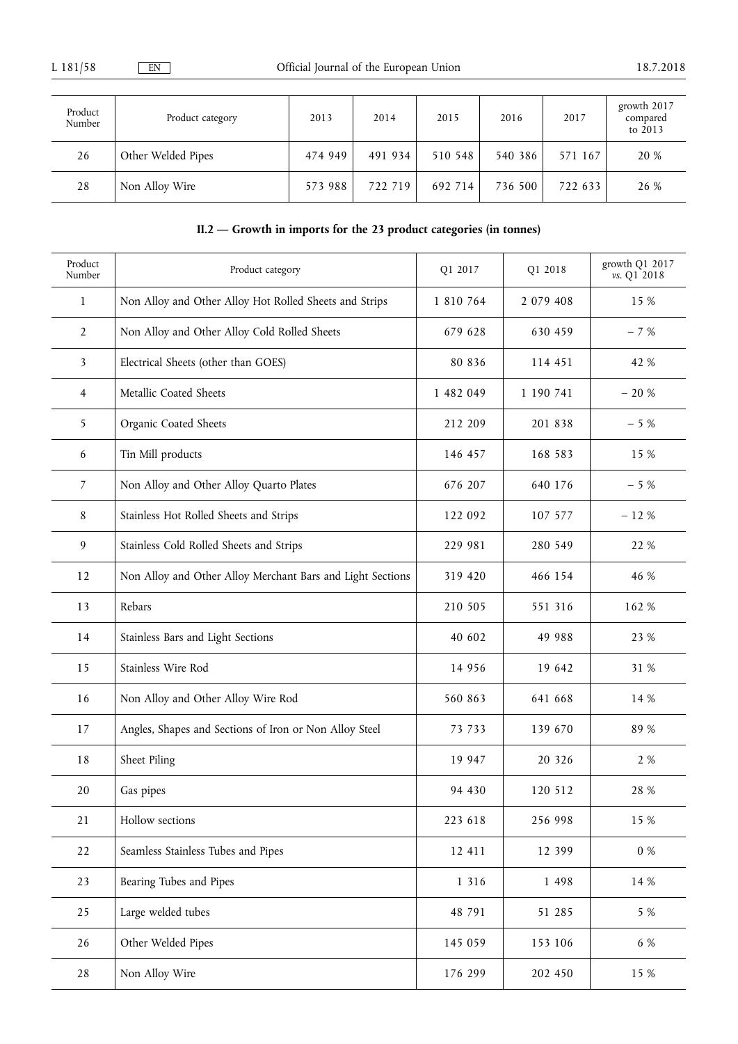| Product<br>Number | Product category   | 2013    | 2014    | 2015    | 2016    | 2017    | growth 2017<br>compared<br>to 2013 |
|-------------------|--------------------|---------|---------|---------|---------|---------|------------------------------------|
| 26                | Other Welded Pipes | 474 949 | 491 934 | 510 548 | 540 386 | 571 167 | 20 %                               |
| 28                | Non Alloy Wire     | 573 988 | 722 719 | 692 714 | 736 500 | 722 633 | 26 %                               |

# **II.2 — Growth in imports for the 23 product categories (in tonnes)**

| Product<br>Number       | Product category                                           | Q1 2017   | Q1 2018   | growth Q1 2017<br>vs. Q1 2018 |
|-------------------------|------------------------------------------------------------|-----------|-----------|-------------------------------|
| $\mathbf{1}$            | Non Alloy and Other Alloy Hot Rolled Sheets and Strips     | 1 810 764 | 2 079 408 | 15 %                          |
| $\overline{2}$          | Non Alloy and Other Alloy Cold Rolled Sheets               | 679 628   | 630 459   | $-7%$                         |
| $\overline{\mathbf{3}}$ | Electrical Sheets (other than GOES)                        | 80 836    | 114 451   | 42 %                          |
| 4                       | Metallic Coated Sheets                                     | 1 482 049 | 1 190 741 | $-20%$                        |
| 5                       | Organic Coated Sheets                                      | 212 209   | 201 838   | $-5%$                         |
| 6                       | Tin Mill products                                          | 146 457   | 168 583   | 15 %                          |
| $\overline{7}$          | Non Alloy and Other Alloy Quarto Plates                    | 676 207   | 640 176   | $-5%$                         |
| 8                       | Stainless Hot Rolled Sheets and Strips                     | 122 092   | 107 577   | $-12%$                        |
| 9                       | Stainless Cold Rolled Sheets and Strips                    | 229 981   | 280 549   | 22 %                          |
| 12                      | Non Alloy and Other Alloy Merchant Bars and Light Sections | 319 420   | 466 154   | 46 %                          |
| 13                      | Rebars                                                     | 210 505   | 551 316   | 162 %                         |
| 14                      | Stainless Bars and Light Sections                          | 40 602    | 49 988    | 23 %                          |
| 15                      | Stainless Wire Rod                                         | 14 9 5 6  | 19 642    | 31 %                          |
| 16                      | Non Alloy and Other Alloy Wire Rod                         | 560 863   | 641 668   | 14 %                          |
| 17                      | Angles, Shapes and Sections of Iron or Non Alloy Steel     | 73 733    | 139 670   | 89 %                          |
| 18                      | Sheet Piling                                               | 19 947    | 20 3 26   | 2 %                           |
| 20                      | Gas pipes                                                  | 94 430    | 120 512   | 28 %                          |
| 21                      | Hollow sections                                            | 223 618   | 256 998   | 15 %                          |
| 22                      | Seamless Stainless Tubes and Pipes                         | 12 411    | 12 399    | $0\ \%$                       |
| 23                      | Bearing Tubes and Pipes                                    | 1 3 1 6   | 1 4 9 8   | 14 %                          |
| 25                      | Large welded tubes                                         | 48 791    | 51 285    | 5 %                           |
| 26                      | Other Welded Pipes                                         | 145 059   | 153 106   | 6 %                           |
| 28                      | Non Alloy Wire                                             | 176 299   | 202 450   | 15 %                          |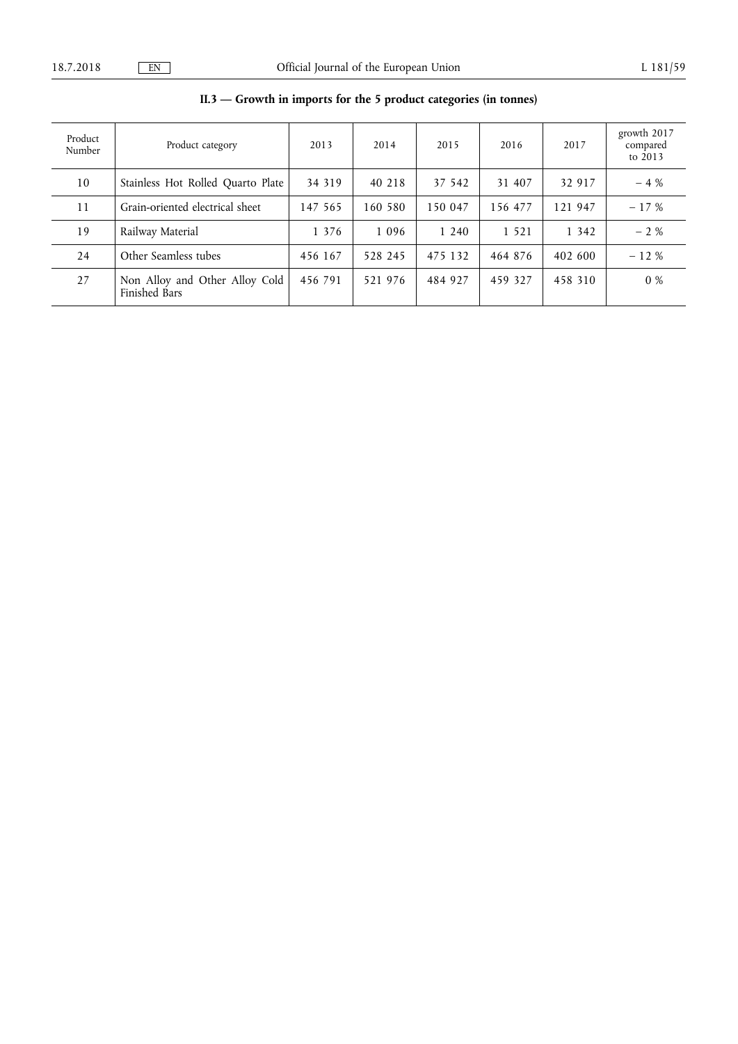| Product<br>Number | Product category                                | 2013    | 2014    | 2015    | 2016    | 2017    | growth 2017<br>compared<br>to 2013 |
|-------------------|-------------------------------------------------|---------|---------|---------|---------|---------|------------------------------------|
| 10                | Stainless Hot Rolled Quarto Plate               | 34 319  | 40 218  | 37 542  | 31 407  | 32 917  | $-4%$                              |
| 11                | Grain-oriented electrical sheet                 | 147 565 | 160 580 | 150 047 | 156 477 | 121 947 | $-17%$                             |
| 19                | Railway Material                                | 1 3 7 6 | 1 0 9 6 | 1 240   | 1 5 2 1 | 1 3 4 2 | $-2\%$                             |
| 24                | Other Seamless tubes                            | 456 167 | 528 245 | 475 132 | 464 876 | 402 600 | $-12%$                             |
| 27                | Non Alloy and Other Alloy Cold<br>Finished Bars | 456 791 | 521 976 | 484 927 | 459 327 | 458 310 | $0\%$                              |

# **II.3 — Growth in imports for the 5 product categories (in tonnes)**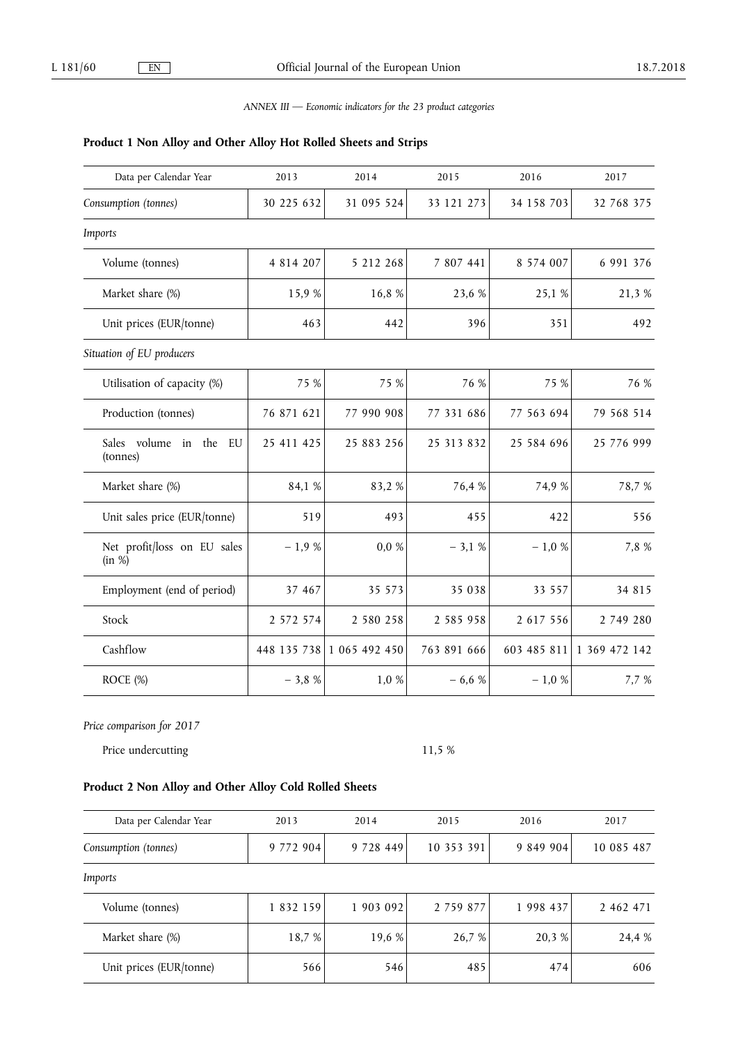### *ANNEX III — Economic indicators for the 23 product categories*

### **Product 1 Non Alloy and Other Alloy Hot Rolled Sheets and Strips**

| Data per Calendar Year                | 2013          | 2014                      | 2015          | 2016        | 2017          |
|---------------------------------------|---------------|---------------------------|---------------|-------------|---------------|
| Consumption (tonnes)                  | 30 225 632    | 31 095 524                | 33 121 273    | 34 158 703  | 32 768 375    |
| Imports                               |               |                           |               |             |               |
| Volume (tonnes)                       | 4 8 1 4 2 0 7 | 5 212 268                 | 7 807 441     | 8 574 007   | 6 991 376     |
| Market share (%)                      | 15,9%         | 16,8 %                    | 23,6 %        | 25,1 %      | 21,3 %        |
| Unit prices (EUR/tonne)               | 463           | 442                       | 396           | 351         | 492           |
| Situation of EU producers             |               |                           |               |             |               |
| Utilisation of capacity (%)           | 75 %          | 75 %                      | 76 %          | 75 %        | 76 %          |
| Production (tonnes)                   | 76 871 621    | 77 990 908                | 77 331 686    | 77 563 694  | 79 568 514    |
| Sales volume in the<br>EU<br>(tonnes) | 25 411 425    | 25 883 256                | 25 313 832    | 25 584 696  | 25 776 999    |
| Market share (%)                      | 84,1 %        | 83,2%                     | 76,4 %        | 74,9 %      | 78,7%         |
| Unit sales price (EUR/tonne)          | 519           | 493                       | 455           | 422         | 556           |
| Net profit/loss on EU sales<br>(in %) | $-1,9%$       | $0,0\%$                   | $-3,1%$       | $-1,0\%$    | 7,8 %         |
| Employment (end of period)            | 37 467        | 35 573                    | 35 038        | 33 557      | 34 815        |
| Stock                                 | 2 572 574     | 2 580 258                 | 2 5 8 5 9 5 8 | 2 617 556   | 2 749 280     |
| Cashflow                              |               | 448 135 738 1 065 492 450 | 763 891 666   | 603 485 811 | 1 369 472 142 |
| ROCE (%)                              | $-3,8%$       | 1,0 %                     | $-6,6%$       | $-1,0\%$    | 7,7 %         |

*Price comparison for 2017* 

Price undercutting 11,5 %

# **Product 2 Non Alloy and Other Alloy Cold Rolled Sheets**

| Data per Calendar Year  | 2013          | 2014      | 2015          | 2016      | 2017       |
|-------------------------|---------------|-----------|---------------|-----------|------------|
| Consumption (tonnes)    | 9 772 904     | 9 728 449 | 10 353 391    | 9 849 904 | 10 085 487 |
| Imports                 |               |           |               |           |            |
| Volume (tonnes)         | 1 8 3 2 1 5 9 | 1 903 092 | 2 7 5 9 8 7 7 | 1 998 437 | 2 462 471  |
| Market share (%)        | 18,7 %        | 19,6 %    | 26,7 %        | 20,3 %    | 24,4 %     |
| Unit prices (EUR/tonne) | 566           | 546       | 485           | 474       | 606        |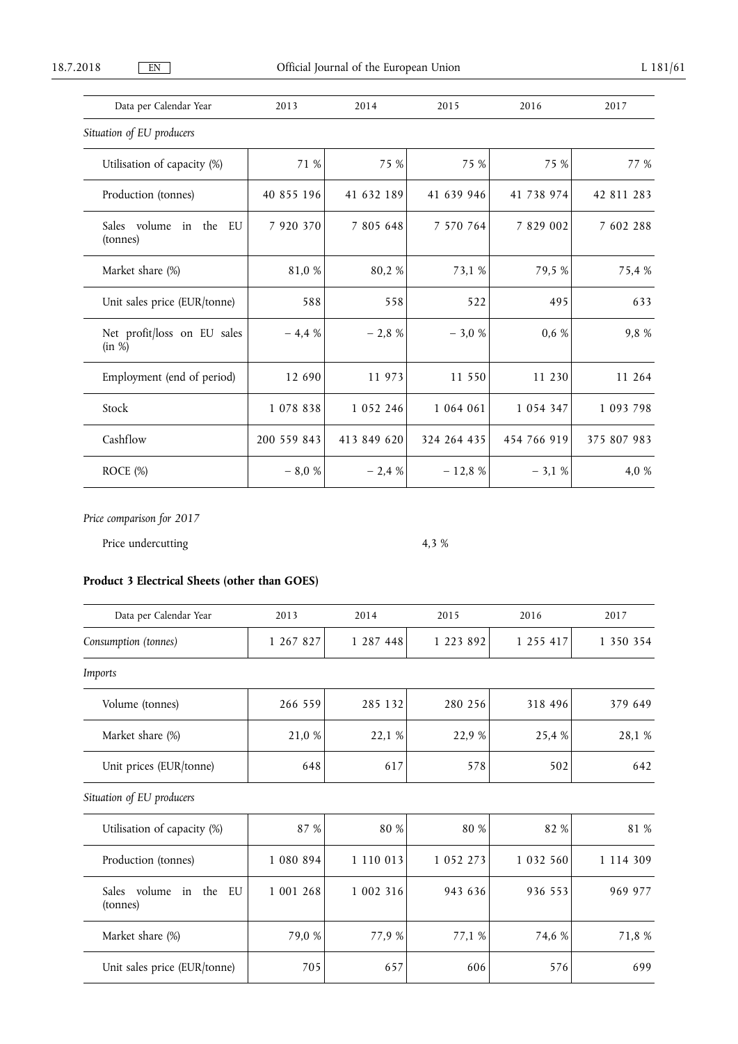| Data per Calendar Year                   | 2013          | 2014          | 2015        | 2016          | 2017        |
|------------------------------------------|---------------|---------------|-------------|---------------|-------------|
| Situation of EU producers                |               |               |             |               |             |
| Utilisation of capacity (%)              | 71 %          | 75 %          | 75 %        | 75 %          | 77 %        |
| Production (tonnes)                      | 40 855 196    | 41 632 189    | 41 639 946  | 41 738 974    | 42 811 283  |
| Sales volume<br>in the<br>EU<br>(tonnes) | 7 9 20 3 70   | 7 805 648     | 7 570 764   | 7 829 002     | 7 602 288   |
| Market share (%)                         | 81,0 %        | 80,2 %        | 73,1 %      | 79,5 %        | 75,4 %      |
| Unit sales price (EUR/tonne)             | 588           | 558           | 522         | 495           | 633         |
| Net profit/loss on EU sales<br>(in %)    | $-4,4%$       | $-2,8%$       | $-3,0%$     | 0,6%          | 9,8%        |
| Employment (end of period)               | 12 690        | 11 973        | 11 550      | 11 230        | 11 264      |
| Stock                                    | 1 0 7 8 8 3 8 | 1 0 5 2 2 4 6 | 1 064 061   | 1 0 5 4 3 4 7 | 1 093 798   |
| Cashflow                                 | 200 559 843   | 413 849 620   | 324 264 435 | 454 766 919   | 375 807 983 |

ROCE (%)  $-8,0\%$   $-2,4\%$   $-12,8\%$   $-3,1\%$   $-3,1\%$   $-4,0\%$ 

*Price comparison for 2017* 

Price undercutting  $4,3\%$ 

# **Product 3 Electrical Sheets (other than GOES)**

| Data per Calendar Year                      | 2013      | 2014      | 2015          | 2016      | 2017          |
|---------------------------------------------|-----------|-----------|---------------|-----------|---------------|
| Consumption (tonnes)                        | 1 267 827 | 1 287 448 | 1 223 892     | 1 255 417 | 1 350 354     |
| Imports                                     |           |           |               |           |               |
| Volume (tonnes)                             | 266 559   | 285 132   | 280 256       | 318 496   | 379 649       |
| Market share (%)                            | 21,0 %    | 22,1 %    | 22,9 %        | 25,4 %    | 28,1 %        |
| Unit prices (EUR/tonne)                     | 648       | 617       | 578           | 502       | 642           |
| Situation of EU producers                   |           |           |               |           |               |
| Utilisation of capacity (%)                 | 87 %      | 80 %      | 80 %          | 82 %      | 81 %          |
| Production (tonnes)                         | 1 080 894 | 1 110 013 | 1 0 5 2 2 7 3 | 1 032 560 | 1 1 1 4 3 0 9 |
| Sales volume<br>the<br>in<br>EU<br>(tonnes) | 1 001 268 | 1 002 316 | 943 636       | 936 553   | 969 977       |
| Market share (%)                            | 79,0 %    | 77,9 %    | 77,1 %        | 74,6 %    | 71,8 %        |
| Unit sales price (EUR/tonne)                | 705       | 657       | 606           | 576       | 699           |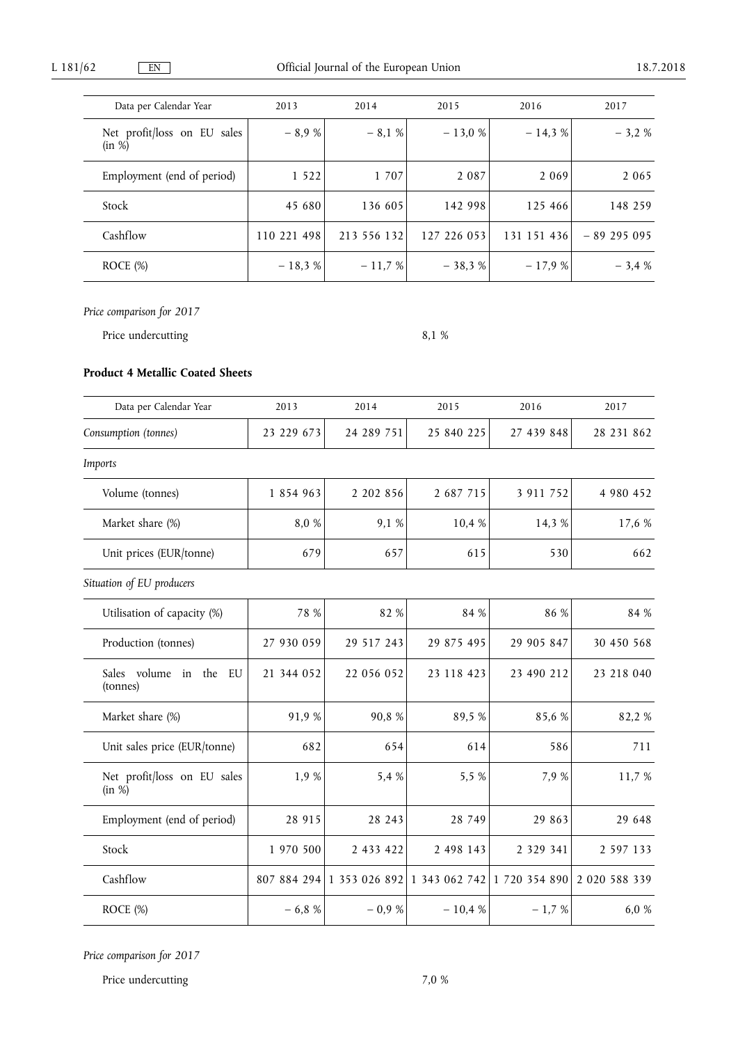| Data per Calendar Year                | 2013        | 2014        | 2015        | 2016        | 2017        |
|---------------------------------------|-------------|-------------|-------------|-------------|-------------|
| Net profit/loss on EU sales<br>(in %) | $-8.9%$     | $-8,1%$     | $-13,0%$    | $-14.3%$    | $-3,2%$     |
| Employment (end of period)            | 1 5 2 2     | 1 707       | 2 0 8 7     | 2 0 6 9     | 2 0 6 5     |
| Stock                                 | 45 680      | 136 605     | 142 998     | 125 466     | 148 259     |
| Cashflow                              | 110 221 498 | 213 556 132 | 127 226 053 | 131 151 436 | $-89295095$ |
| ROCE $(\%)$                           | $-18,3%$    | $-11,7%$    | $-38,3%$    | $-17,9%$    | $-3,4%$     |

Price undercutting 8,1 %

### **Product 4 Metallic Coated Sheets**

| Data per Calendar Year                | 2013        | 2014       | 2015                        | 2016          | 2017          |
|---------------------------------------|-------------|------------|-----------------------------|---------------|---------------|
| Consumption (tonnes)                  | 23 229 673  | 24 289 751 | 25 840 225                  | 27 439 848    | 28 231 862    |
| Imports                               |             |            |                             |               |               |
| Volume (tonnes)                       | 1 854 963   | 2 202 856  | 2 687 715                   | 3 911 752     | 4 980 452     |
| Market share (%)                      | 8,0 %       | 9,1 %      | 10,4 %                      | 14,3 %        | 17,6 %        |
| Unit prices (EUR/tonne)               | 679         | 657        | 615                         | 530           | 662           |
| Situation of EU producers             |             |            |                             |               |               |
| Utilisation of capacity (%)           | 78 %        | 82 %       | 84 %                        | 86 %          | 84 %          |
| Production (tonnes)                   | 27 930 059  | 29 517 243 | 29 875 495                  | 29 905 847    | 30 450 568    |
| Sales volume in the<br>EU<br>(tonnes) | 21 344 052  | 22 056 052 | 23 118 423                  | 23 490 212    | 23 218 040    |
| Market share (%)                      | 91,9%       | 90,8%      | 89,5%                       | 85,6 %        | 82,2%         |
| Unit sales price (EUR/tonne)          | 682         | 654        | 614                         | 586           | 711           |
| Net profit/loss on EU sales<br>(in %) | 1,9 %       | 5,4 %      | 5,5 %                       | 7,9 %         | 11,7 %        |
| Employment (end of period)            | 28 915      | 28 243     | 28 749                      | 29 863        | 29 648        |
| Stock                                 | 1 970 500   | 2 433 422  | 2 498 143                   | 2 3 2 9 3 4 1 | 2 597 133     |
| Cashflow                              | 807 884 294 |            | 1 353 026 892 1 343 062 742 | 1 720 354 890 | 2 020 588 339 |
| ROCE (%)                              | $-6,8%$     | $-0.9%$    | $-10,4%$                    | $-1,7%$       | 6,0 %         |

*Price comparison for 2017* 

Price undercutting 7,0 %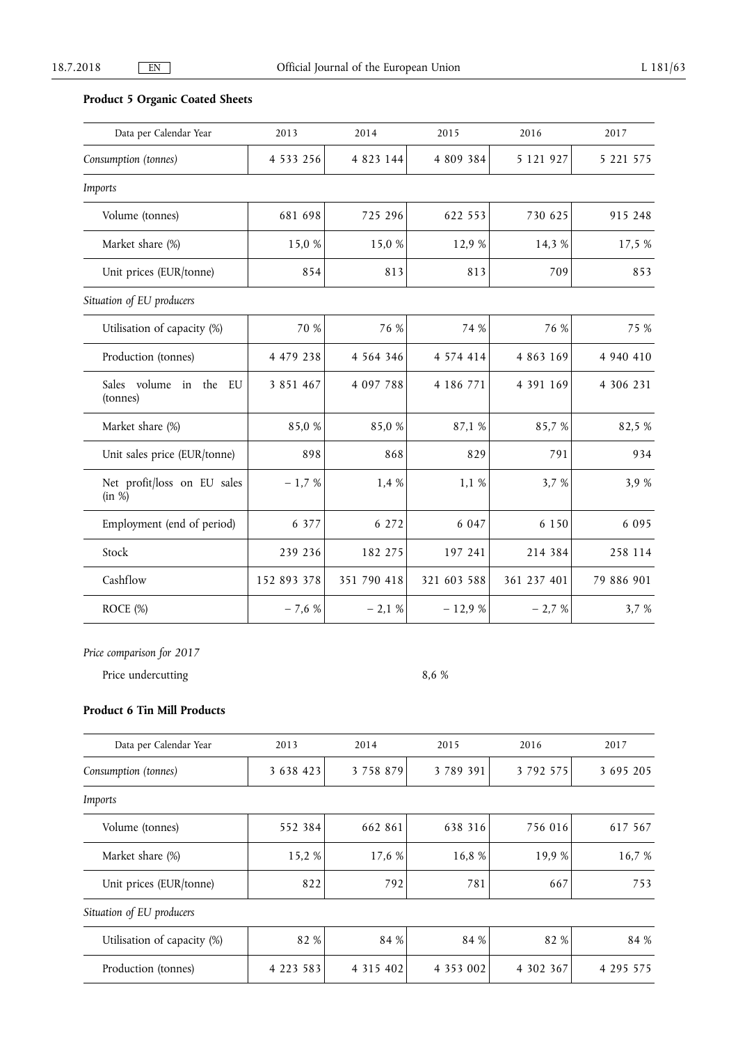# **Product 5 Organic Coated Sheets**

| Data per Calendar Year                   | 2013          | 2014          | 2015          | 2016        | 2017       |
|------------------------------------------|---------------|---------------|---------------|-------------|------------|
| Consumption (tonnes)                     | 4 5 3 3 2 5 6 | 4 823 144     | 4 809 384     | 5 121 927   | 5 221 575  |
| Imports                                  |               |               |               |             |            |
| Volume (tonnes)                          | 681 698       | 725 296       | 622 553       | 730 625     | 915 248    |
| Market share (%)                         | 15,0 %        | 15,0 %        | 12,9 %        | 14,3 %      | 17,5 %     |
| Unit prices (EUR/tonne)                  | 854           | 813           | 813           | 709         | 853        |
| Situation of EU producers                |               |               |               |             |            |
| Utilisation of capacity (%)              | 70 %          | 76 %          | 74 %          | 76 %        | 75 %       |
| Production (tonnes)                      | 4 479 238     | 4 5 6 4 3 4 6 | 4 5 7 4 4 1 4 | 4 863 169   | 4 940 410  |
| Sales volume<br>in the<br>EU<br>(tonnes) | 3 8 5 1 4 6 7 | 4 097 788     | 4 186 771     | 4 391 169   | 4 306 231  |
| Market share (%)                         | 85,0%         | 85,0%         | 87,1 %        | 85,7%       | 82,5 %     |
| Unit sales price (EUR/tonne)             | 898           | 868           | 829           | 791         | 934        |
| Net profit/loss on EU sales<br>(in %)    | $-1,7%$       | 1,4 %         | 1,1 %         | 3,7 %       | 3,9 %      |
| Employment (end of period)               | 6 3 7 7       | 6 272         | 6 0 4 7       | 6 1 5 0     | 6 0 9 5    |
| Stock                                    | 239 236       | 182 275       | 197 241       | 214 384     | 258 114    |
| Cashflow                                 | 152 893 378   | 351 790 418   | 321 603 588   | 361 237 401 | 79 886 901 |
| ROCE (%)                                 | $-7,6%$       | $-2,1%$       | $-12,9%$      | $-2,7%$     | 3,7 %      |

*Price comparison for 2017* 

Price undercutting 8,6 %

### **Product 6 Tin Mill Products**

| Data per Calendar Year      | 2013          | 2014          | 2015      | 2016      | 2017      |
|-----------------------------|---------------|---------------|-----------|-----------|-----------|
| Consumption (tonnes)        | 3 6 3 8 4 2 3 | 3 7 5 8 8 7 9 | 3 789 391 | 3 792 575 | 3 695 205 |
| Imports                     |               |               |           |           |           |
| Volume (tonnes)             | 552 384       | 662 861       | 638 316   | 756 016   | 617 567   |
| Market share (%)            | 15,2 %        | 17,6 %        | 16,8 %    | 19,9 %    | 16,7 %    |
| Unit prices (EUR/tonne)     | 822           | 792           | 781       | 667       | 753       |
| Situation of EU producers   |               |               |           |           |           |
| Utilisation of capacity (%) | 82 %          | 84 %          | 84 %      | 82 %      | 84 %      |
| Production (tonnes)         | 4 2 2 3 5 8 3 | 4 3 1 5 4 0 2 | 4 353 002 | 4 302 367 | 4 295 575 |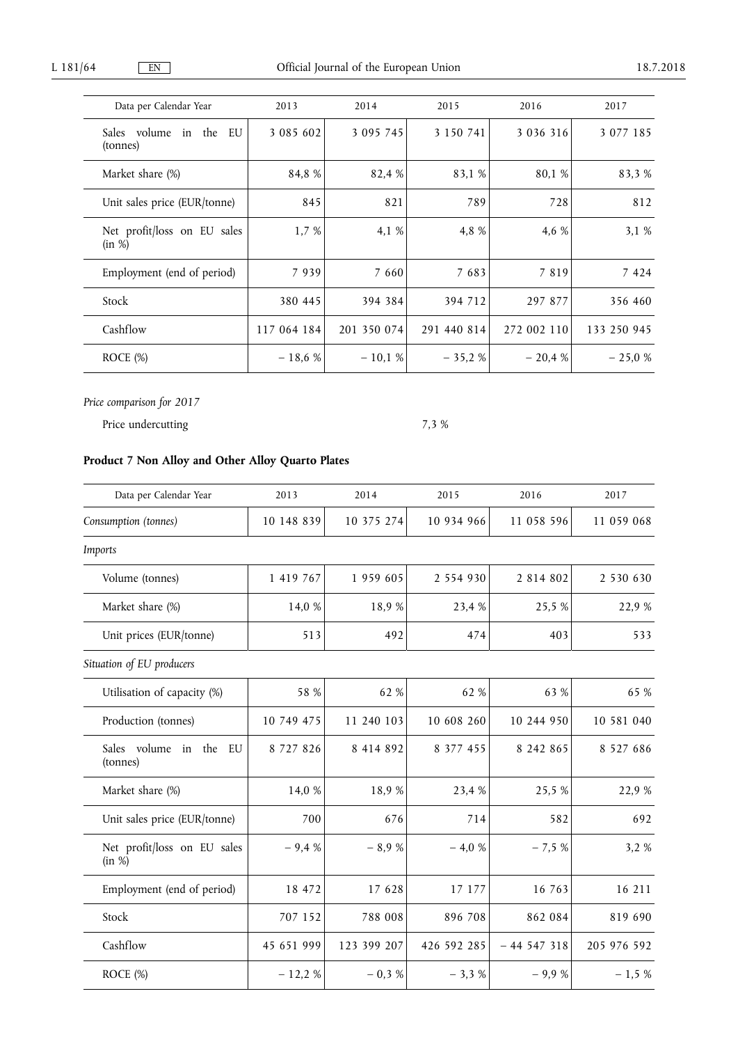| Data per Calendar Year                   | 2013        | 2014        | 2015        | 2016          | 2017          |
|------------------------------------------|-------------|-------------|-------------|---------------|---------------|
| Sales volume<br>in the<br>EU<br>(tonnes) | 3 085 602   | 3 095 745   | 3 150 741   | 3 0 3 6 3 1 6 | 3 0 7 7 1 8 5 |
| Market share (%)                         | 84.8 %      | 82,4 %      | 83,1 %      | 80.1 %        | 83,3 %        |
| Unit sales price (EUR/tonne)             | 845         | 821         | 789         | 728           | 812           |
| Net profit/loss on EU sales<br>(in %)    | 1,7%        | 4,1 %       | 4,8 %       | 4,6 %         | 3,1%          |
| Employment (end of period)               | 7939        | 7 660       | 7 683       | 7 8 1 9       | 7 4 2 4       |
| Stock                                    | 380 445     | 394 384     | 394 712     | 297 877       | 356 460       |
| Cashflow                                 | 117 064 184 | 201 350 074 | 291 440 814 | 272 002 110   | 133 250 945   |
| $ROCE$ $%$                               | $-18.6%$    | $-10,1%$    | $-35,2%$    | $-20.4%$      | $-25,0%$      |

Price undercutting 7,3 %

# **Product 7 Non Alloy and Other Alloy Quarto Plates**

| Data per Calendar Year                | 2013          | 2014        | 2015          | 2016          | 2017          |
|---------------------------------------|---------------|-------------|---------------|---------------|---------------|
| Consumption (tonnes)                  | 10 148 839    | 10 375 274  | 10 934 966    | 11 058 596    | 11 059 068    |
| Imports                               |               |             |               |               |               |
| Volume (tonnes)                       | 1 419 767     | 1 959 605   | 2 5 5 4 9 3 0 | 2 8 14 8 0 2  | 2 530 630     |
| Market share (%)                      | 14,0 %        | 18,9 %      | 23,4 %        | 25,5 %        | 22,9 %        |
| Unit prices (EUR/tonne)               | 513           | 492         | 474           | 403           | 533           |
| Situation of EU producers             |               |             |               |               |               |
| Utilisation of capacity (%)           | 58 %          | 62 %        | 62 %          | 63 %          | 65 %          |
| Production (tonnes)                   | 10 749 475    | 11 240 103  | 10 608 260    | 10 244 950    | 10 581 040    |
| Sales volume in the<br>EU<br>(tonnes) | 8 7 2 7 8 2 6 | 8 414 892   | 8 377 455     | 8 242 865     | 8 5 2 7 6 8 6 |
| Market share (%)                      | 14,0 %        | 18,9%       | 23,4 %        | 25,5 %        | 22,9 %        |
| Unit sales price (EUR/tonne)          | 700           | 676         | 714           | 582           | 692           |
| Net profit/loss on EU sales<br>(in %) | $-9,4%$       | $-8,9%$     | $-4,0%$       | $-7,5%$       | 3,2 %         |
| Employment (end of period)            | 18 472        | 17 628      | 17 177        | 16 763        | 16 211        |
| Stock                                 | 707 152       | 788 008     | 896 708       | 862 084       | 819 690       |
| Cashflow                              | 45 651 999    | 123 399 207 | 426 592 285   | $-44$ 547 318 | 205 976 592   |
| ROCE (%)                              | $-12,2%$      | $-0.3%$     | $-3,3%$       | $-9,9%$       | $-1,5%$       |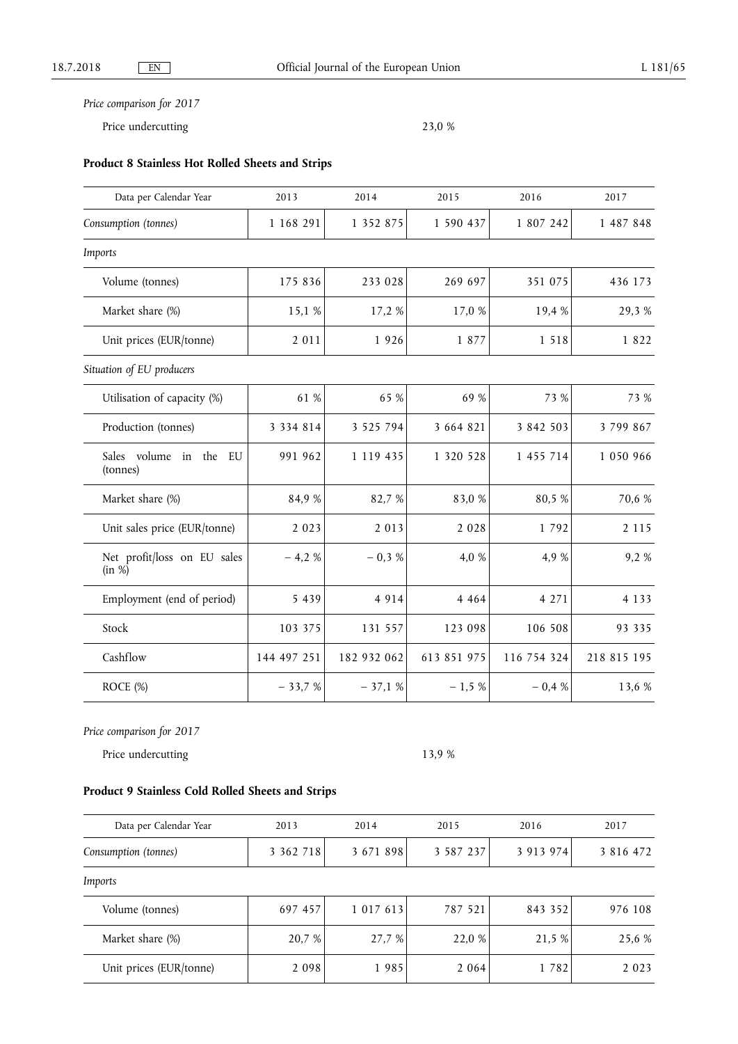Price undercutting 23,0 %

# **Product 8 Stainless Hot Rolled Sheets and Strips**

| Data per Calendar Year                   | 2013          | 2014          | 2015        | 2016        | 2017          |
|------------------------------------------|---------------|---------------|-------------|-------------|---------------|
| Consumption (tonnes)                     | 1 168 291     | 1 352 875     | 1 590 437   | 1 807 242   | 1 487 848     |
| Imports                                  |               |               |             |             |               |
| Volume (tonnes)                          | 175 836       | 233 028       | 269 697     | 351 075     | 436 173       |
| Market share (%)                         | 15,1 %        | 17,2 %        | 17,0 %      | 19,4 %      | 29,3%         |
| Unit prices (EUR/tonne)                  | 2 0 1 1       | 1926          | 1 877       | 1 5 1 8     | 1822          |
| Situation of EU producers                |               |               |             |             |               |
| Utilisation of capacity (%)              | 61 %          | 65 %          | 69 %        | 73 %        | 73 %          |
| Production (tonnes)                      | 3 3 3 4 8 1 4 | 3 5 2 5 7 9 4 | 3 664 821   | 3 842 503   | 3 799 867     |
| Sales volume in<br>the<br>EU<br>(tonnes) | 991 962       | 1 119 435     | 1 320 528   | 1 455 714   | 1 0 5 0 9 6 6 |
| Market share (%)                         | 84,9%         | 82,7 %        | 83,0 %      | 80,5 %      | 70,6 %        |
| Unit sales price (EUR/tonne)             | 2 0 2 3       | 2 0 1 3       | 2 0 2 8     | 1 792       | 2 1 1 5       |
| Net profit/loss on EU sales<br>(in %)    | $-4,2%$       | $-0.3%$       | 4,0 %       | 4,9 %       | 9,2%          |
| Employment (end of period)               | 5 4 3 9       | 4 9 1 4       | 4 4 6 4     | 4 271       | 4 1 3 3       |
| Stock                                    | 103 375       | 131 557       | 123 098     | 106 508     | 93 335        |
| Cashflow                                 | 144 497 251   | 182 932 062   | 613 851 975 | 116 754 324 | 218 815 195   |
| ROCE (%)                                 | $-33,7%$      | $-37,1%$      | $-1,5%$     | $-0.4%$     | 13,6 %        |

*Price comparison for 2017* 

Price undercutting 13,9 %

# **Product 9 Stainless Cold Rolled Sheets and Strips**

| Data per Calendar Year  | 2013          | 2014      | 2015          | 2016      | 2017          |
|-------------------------|---------------|-----------|---------------|-----------|---------------|
| Consumption (tonnes)    | 3 3 6 2 7 1 8 | 3 671 898 | 3 5 8 7 2 3 7 | 3 913 974 | 3 8 1 6 4 7 2 |
| Imports                 |               |           |               |           |               |
| Volume (tonnes)         | 697 457       | 1 017 613 | 787 521       | 843 352   | 976 108       |
| Market share (%)        | 20,7 %        | 27,7 %    | 22,0 %        | 21.5 %    | 25,6 %        |
| Unit prices (EUR/tonne) | 2 0 9 8       | 1985      | 2 0 6 4       | 1 7 8 2   | 2 0 2 3       |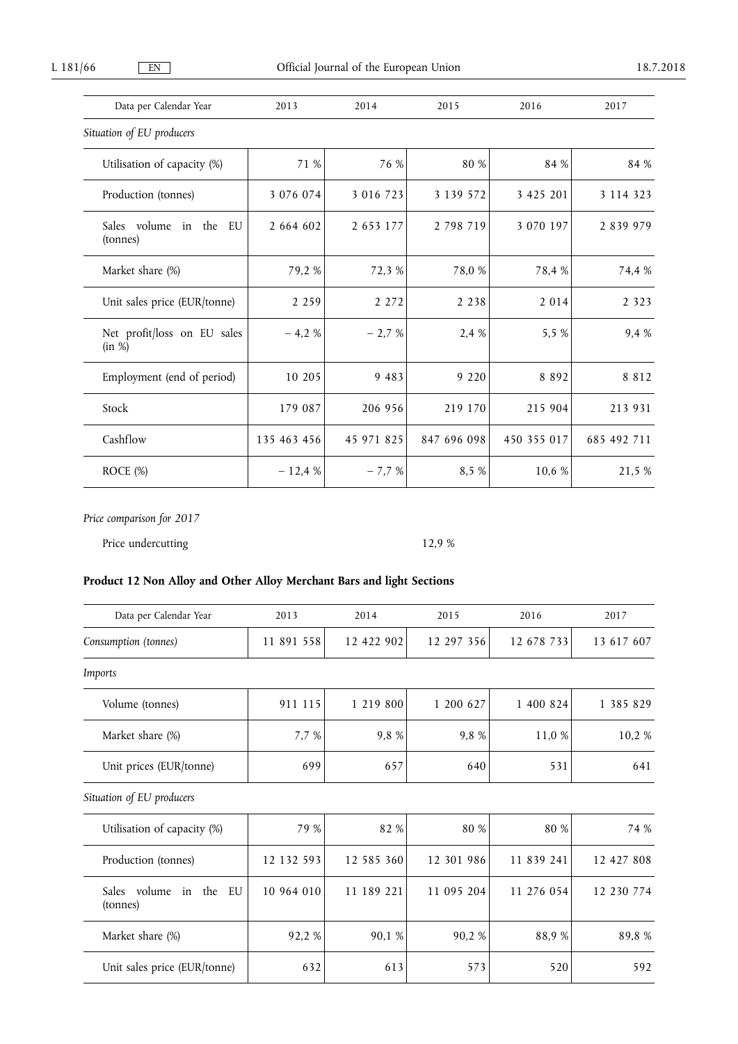| Data per Calendar Year                   | 2013        | 2014       | 2015        | 2016        | 2017        |
|------------------------------------------|-------------|------------|-------------|-------------|-------------|
| Situation of EU producers                |             |            |             |             |             |
| Utilisation of capacity (%)              | 71 %        | 76 %       | 80 %        | 84 %        | 84 %        |
| Production (tonnes)                      | 3 076 074   | 3 016 723  | 3 139 572   | 3 425 201   | 3 114 323   |
| Sales volume<br>in the<br>EU<br>(tonnes) | 2 664 602   | 2 653 177  | 2 798 719   | 3 070 197   | 2 839 979   |
| Market share (%)                         | 79,2 %      | 72,3 %     | 78,0 %      | 78,4 %      | 74,4 %      |
| Unit sales price (EUR/tonne)             | 2 2 5 9     | 2 2 7 2    | 2 2 3 8     | 2 0 1 4     | 2 3 2 3     |
| Net profit/loss on EU sales<br>(in %)    | $-4,2%$     | $-2,7%$    | 2,4 %       | 5,5 %       | 9,4 %       |
| Employment (end of period)               | 10 205      | 9 4 8 3    | 9 2 2 0     | 8 8 9 2     | 8 8 1 2     |
| Stock                                    | 179 087     | 206 956    | 219 170     | 215 904     | 213 931     |
| Cashflow                                 | 135 463 456 | 45 971 825 | 847 696 098 | 450 355 017 | 685 492 711 |
| ROCE $(\%)$                              | $-12,4%$    | $-7,7%$    | 8,5 %       | 10,6 %      | 21,5 %      |

Price undercutting 12,9 %

# **Product 12 Non Alloy and Other Alloy Merchant Bars and light Sections**

| Data per Calendar Year                                | 2013       | 2014       | 2015       | 2016       | 2017       |
|-------------------------------------------------------|------------|------------|------------|------------|------------|
| Consumption (tonnes)                                  | 11 891 558 | 12 422 902 | 12 297 356 | 12 678 733 | 13 617 607 |
| Imports                                               |            |            |            |            |            |
| Volume (tonnes)                                       | 911 115    | 1 219 800  | 1 200 627  | 1 400 824  | 1 385 829  |
| Market share (%)                                      | 7,7 %      | 9,8 %      | 9,8 %      | 11,0 %     | 10,2 %     |
| Unit prices (EUR/tonne)                               | 699        | 657        | 640        | 531        | 641        |
| Situation of EU producers                             |            |            |            |            |            |
| Utilisation of capacity (%)                           | 79 %       | 82 %       | 80 %       | 80 %       | 74 %       |
| Production (tonnes)                                   | 12 132 593 | 12 585 360 | 12 301 986 | 11 839 241 | 12 427 808 |
| volume<br>the<br>in<br><b>Sales</b><br>EU<br>(tonnes) | 10 964 010 | 11 189 221 | 11 095 204 | 11 276 054 | 12 230 774 |
| Market share (%)                                      | 92,2%      | 90,1 %     | 90,2%      | 88,9%      | 89,8%      |
| Unit sales price (EUR/tonne)                          | 632        | 613        | 573        | 520        | 592        |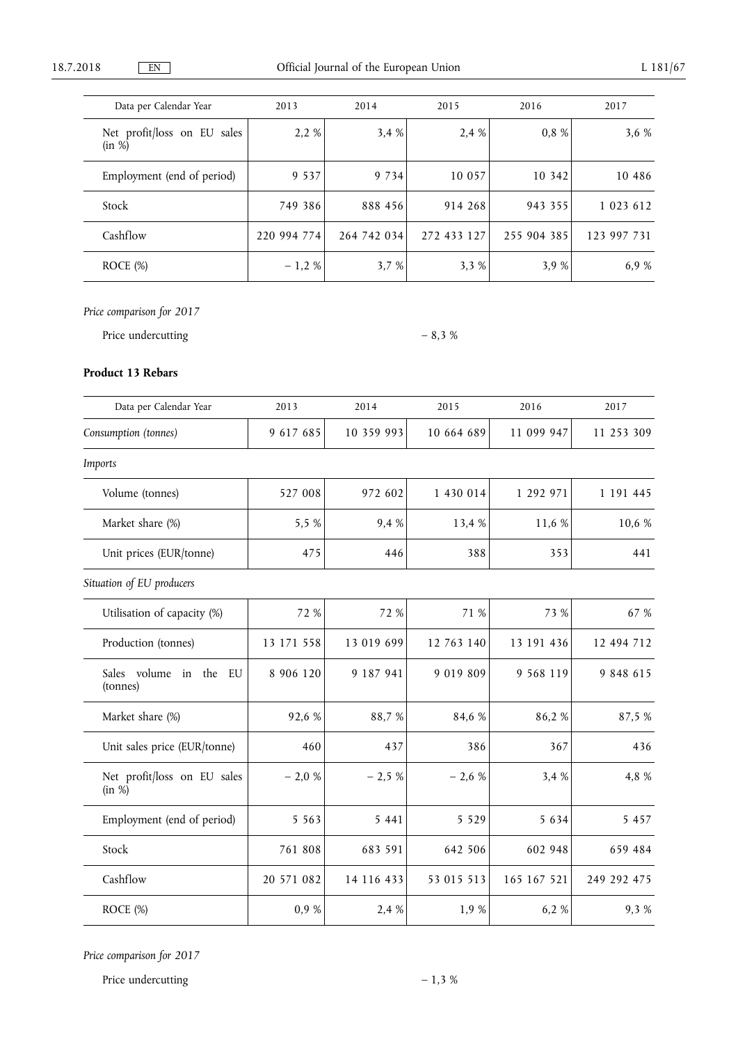| Data per Calendar Year                | 2013        | 2014        | 2015        | 2016        | 2017        |
|---------------------------------------|-------------|-------------|-------------|-------------|-------------|
| Net profit/loss on EU sales<br>(in %) | 2,2 %       | 3,4%        | 2.4 %       | 0,8 %       | 3,6 %       |
| Employment (end of period)            | 9 5 3 7     | 9 7 3 4     | 10 057      | 10 342      | 10 486      |
| Stock                                 | 749 386     | 888 456     | 914 268     | 943 355     | 1 023 612   |
| Cashflow                              | 220 994 774 | 264 742 034 | 272 433 127 | 255 904 385 | 123 997 731 |
| ROCE $(\%)$                           | $-1,2%$     | 3,7 %       | 3.3%        | 3,9 %       | 6,9 %       |

Price undercutting  $-8.3 \%$ 

### **Product 13 Rebars**

| Data per Calendar Year                      | 2013       | 2014       | 2015        | 2016        | 2017        |
|---------------------------------------------|------------|------------|-------------|-------------|-------------|
| Consumption (tonnes)                        | 9 617 685  | 10 359 993 | 10 664 689  | 11 099 947  | 11 253 309  |
| Imports                                     |            |            |             |             |             |
| Volume (tonnes)                             | 527 008    | 972 602    | 1 430 014   | 1 292 971   | 1 191 445   |
| Market share (%)                            | 5,5 %      | 9,4 %      | 13,4 %      | 11,6 %      | 10,6 %      |
| Unit prices (EUR/tonne)                     | 475        | 446        | 388         | 353         | 441         |
| Situation of EU producers                   |            |            |             |             |             |
| Utilisation of capacity (%)                 | 72 %       | 72 %       | 71 %        | 73 %        | 67 %        |
| Production (tonnes)                         | 13 171 558 | 13 019 699 | 12 763 140  | 13 191 436  | 12 494 712  |
| Sales volume<br>the<br>EU<br>in<br>(tonnes) | 8 906 120  | 9 187 941  | 9 0 19 8 09 | 9 568 119   | 9 848 615   |
| Market share (%)                            | 92,6 %     | 88,7%      | 84,6 %      | 86,2%       | 87,5 %      |
| Unit sales price (EUR/tonne)                | 460        | 437        | 386         | 367         | 436         |
| Net profit/loss on EU sales<br>(in %)       | $-2,0%$    | $-2,5%$    | $-2,6%$     | 3,4 %       | 4,8 %       |
| Employment (end of period)                  | 5 5 6 3    | 5 4 4 1    | 5 5 2 9     | 5 6 3 4     | 5 4 5 7     |
| Stock                                       | 761 808    | 683 591    | 642 506     | 602 948     | 659 484     |
| Cashflow                                    | 20 571 082 | 14 116 433 | 53 015 513  | 165 167 521 | 249 292 475 |
| ROCE (%)                                    | 0,9%       | 2,4 %      | 1,9%        | 6,2%        | 9,3%        |

*Price comparison for 2017* 

Price undercutting  $-1,3,8$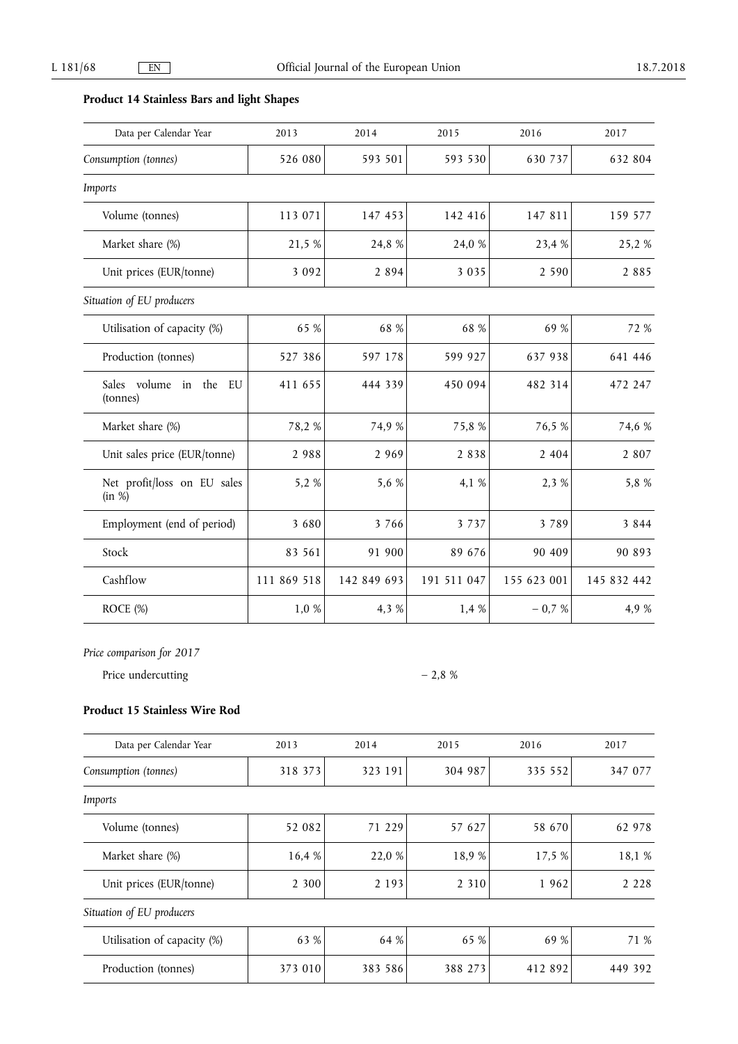# **Product 14 Stainless Bars and light Shapes**

| Data per Calendar Year                | 2013        | 2014        | 2015        | 2016        | 2017        |
|---------------------------------------|-------------|-------------|-------------|-------------|-------------|
| Consumption (tonnes)                  | 526 080     | 593 501     | 593 530     | 630 737     | 632 804     |
| Imports                               |             |             |             |             |             |
| Volume (tonnes)                       | 113 071     | 147 453     | 142 416     | 147 811     | 159 577     |
| Market share (%)                      | 21,5 %      | 24,8 %      | 24,0 %      | 23,4 %      | 25,2%       |
| Unit prices (EUR/tonne)               | 3 0 9 2     | 2 8 9 4     | 3 0 3 5     | 2 5 9 0     | 2 8 8 5     |
| Situation of EU producers             |             |             |             |             |             |
| Utilisation of capacity (%)           | 65 %        | 68 %        | 68 %        | 69 %        | 72 %        |
| Production (tonnes)                   | 527 386     | 597 178     | 599 927     | 637 938     | 641 446     |
| Sales volume in the<br>EU<br>(tonnes) | 411 655     | 444 339     | 450 094     | 482 314     | 472 247     |
| Market share (%)                      | 78,2 %      | 74,9 %      | 75,8 %      | 76,5 %      | 74,6 %      |
| Unit sales price (EUR/tonne)          | 2 9 8 8     | 2 9 6 9     | 2 8 3 8     | 2 4 0 4     | 2 8 0 7     |
| Net profit/loss on EU sales<br>(in %) | 5,2 %       | 5,6 %       | 4,1 %       | 2,3 %       | 5,8 %       |
| Employment (end of period)            | 3 6 8 0     | 3 7 6 6     | 3 7 3 7     | 3 7 8 9     | 3 8 4 4     |
| Stock                                 | 83 561      | 91 900      | 89 676      | 90 409      | 90 893      |
| Cashflow                              | 111 869 518 | 142 849 693 | 191 511 047 | 155 623 001 | 145 832 442 |
| ROCE (%)                              | 1,0 %       | 4,3 %       | 1,4 %       | $-0.7%$     | 4,9 %       |

*Price comparison for 2017* 

Price undercutting  $-2.8 \%$ 

# **Product 15 Stainless Wire Rod**

| Data per Calendar Year      | 2013    | 2014    | 2015    | 2016    | 2017    |
|-----------------------------|---------|---------|---------|---------|---------|
| Consumption (tonnes)        | 318 373 | 323 191 | 304 987 | 335 552 | 347 077 |
| Imports                     |         |         |         |         |         |
| Volume (tonnes)             | 52 082  | 71 229  | 57 627  | 58 670  | 62 978  |
| Market share (%)            | 16,4 %  | 22,0 %  | 18,9%   | 17,5 %  | 18,1 %  |
| Unit prices (EUR/tonne)     | 2 3 0 0 | 2 1 9 3 | 2 3 1 0 | 1962    | 2 2 2 8 |
| Situation of EU producers   |         |         |         |         |         |
| Utilisation of capacity (%) | 63 %    | 64 %    | 65 %    | 69 %    | 71 %    |
| Production (tonnes)         | 373 010 | 383 586 | 388 273 | 412 892 | 449 392 |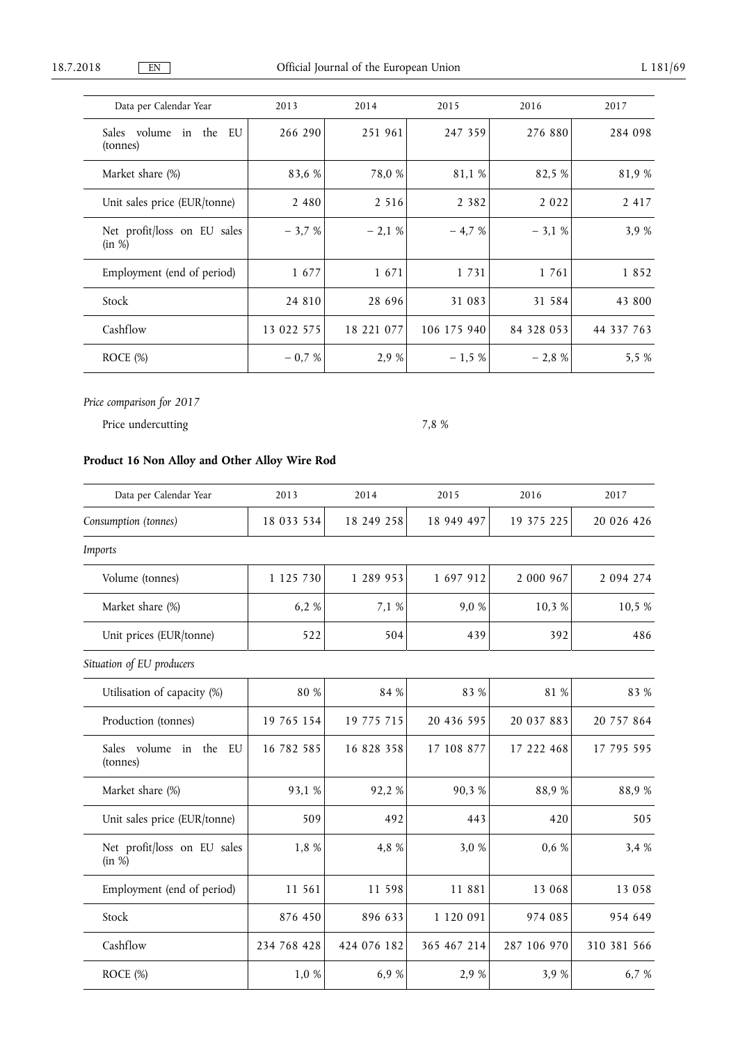| Data per Calendar Year                      | 2013       | 2014       | 2015        | 2016       | 2017       |
|---------------------------------------------|------------|------------|-------------|------------|------------|
| Sales volume<br>the<br>EU<br>in<br>(tonnes) | 266 290    | 251 961    | 247 359     | 276 880    | 284 098    |
| Market share (%)                            | 83,6 %     | 78,0 %     | 81,1 %      | 82,5 %     | 81,9%      |
| Unit sales price (EUR/tonne)                | 2 4 8 0    | 2 5 1 6    | 2 3 8 2     | 2 0 2 2    | 2 4 1 7    |
| Net profit/loss on EU sales<br>(in %)       | $-3,7%$    | $-2,1%$    | $-4,7%$     | $-3,1%$    | 3,9 %      |
| Employment (end of period)                  | 1 677      | 1671       | 1 7 3 1     | 1 761      | 1852       |
| Stock                                       | 24 8 10    | 28 696     | 31 083      | 31 584     | 43 800     |
| Cashflow                                    | 13 022 575 | 18 221 077 | 106 175 940 | 84 328 053 | 44 337 763 |
| ROCE $(\%)$                                 | $-0.7%$    | 2,9 %      | $-1,5%$     | $-2,8%$    | 5,5 %      |

Price undercutting 7,8 %

# **Product 16 Non Alloy and Other Alloy Wire Rod**

| Data per Calendar Year                   | 2013        | 2014        | 2015        | 2016        | 2017        |
|------------------------------------------|-------------|-------------|-------------|-------------|-------------|
| Consumption (tonnes)                     | 18 033 534  | 18 249 258  | 18 949 497  | 19 375 225  | 20 026 426  |
| Imports                                  |             |             |             |             |             |
| Volume (tonnes)                          | 1 125 730   | 1 289 953   | 1 697 912   | 2 000 967   | 2 094 274   |
| Market share (%)                         | 6,2 %       | 7,1 %       | 9,0 %       | 10,3 %      | 10,5 %      |
| Unit prices (EUR/tonne)                  | 522         | 504         | 439         | 392         | 486         |
| Situation of EU producers                |             |             |             |             |             |
| Utilisation of capacity (%)              | 80 %        | 84 %        | 83 %        | 81 %        | 83 %        |
| Production (tonnes)                      | 19 765 154  | 19 775 715  | 20 436 595  | 20 037 883  | 20 757 864  |
| Sales volume<br>in the<br>EU<br>(tonnes) | 16 782 585  | 16 828 358  | 17 108 877  | 17 222 468  | 17 795 595  |
| Market share (%)                         | 93,1 %      | 92,2%       | 90,3%       | 88,9%       | 88,9%       |
| Unit sales price (EUR/tonne)             | 509         | 492         | 443         | 420         | 505         |
| Net profit/loss on EU sales<br>(in %)    | 1,8 %       | 4,8 %       | 3,0 %       | 0,6 %       | 3,4 %       |
| Employment (end of period)               | 11 561      | 11 598      | 11 881      | 13 068      | 13 058      |
| Stock                                    | 876 450     | 896 633     | 1 120 091   | 974 085     | 954 649     |
| Cashflow                                 | 234 768 428 | 424 076 182 | 365 467 214 | 287 106 970 | 310 381 566 |
| ROCE (%)                                 | 1,0 %       | 6,9 %       | 2,9 %       | 3,9 %       | 6,7 %       |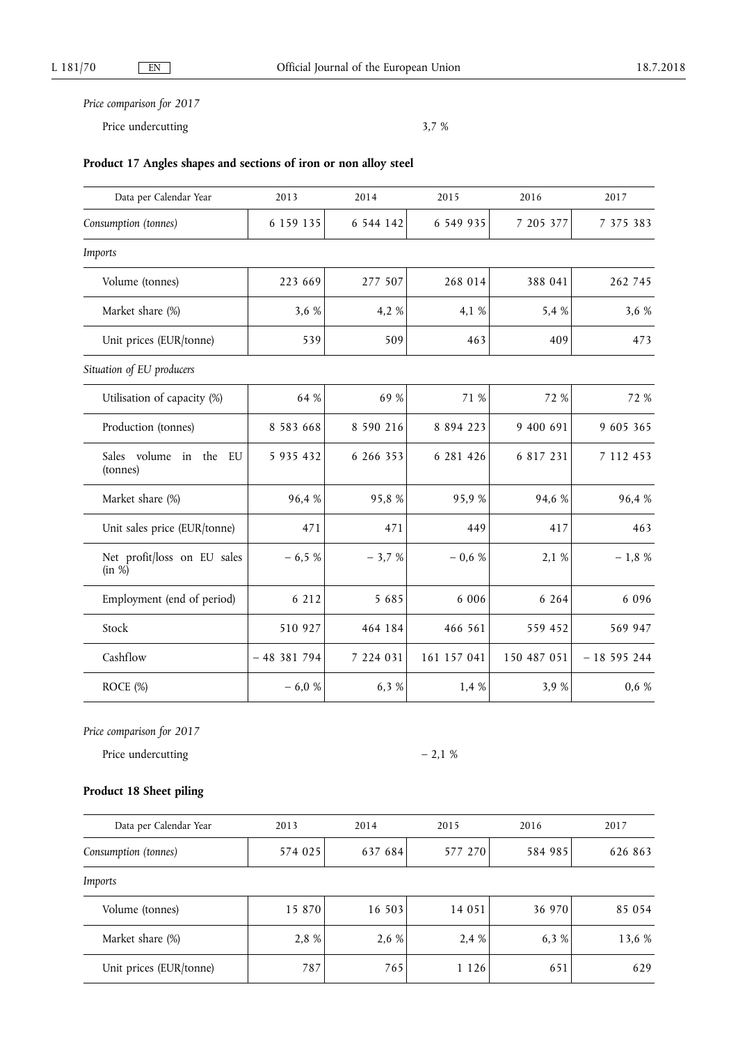Price undercutting 3,7 %

# **Product 17 Angles shapes and sections of iron or non alloy steel**

| Data per Calendar Year                | 2013          | 2014      | 2015          | 2016        | 2017        |
|---------------------------------------|---------------|-----------|---------------|-------------|-------------|
| Consumption (tonnes)                  | 6 159 135     | 6 544 142 | 6 549 935     | 7 205 377   | 7 375 383   |
| Imports                               |               |           |               |             |             |
| Volume (tonnes)                       | 223 669       | 277 507   | 268 014       | 388 041     | 262 745     |
| Market share (%)                      | 3,6 %         | 4,2 %     | 4,1 %         | 5,4 %       | 3,6 %       |
| Unit prices (EUR/tonne)               | 539           | 509       | 463           | 409         | 473         |
| Situation of EU producers             |               |           |               |             |             |
| Utilisation of capacity (%)           | 64 %          | 69 %      | 71 %          | 72 %        | 72 %        |
| Production (tonnes)                   | 8 5 8 3 6 6 8 | 8 590 216 | 8 8 9 4 2 2 3 | 9 400 691   | 9 605 365   |
| Sales volume in the<br>EU<br>(tonnes) | 5 935 432     | 6 266 353 | 6 281 426     | 6 817 231   | 7 112 453   |
| Market share (%)                      | 96,4%         | 95,8%     | 95,9%         | 94,6 %      | 96,4 %      |
| Unit sales price (EUR/tonne)          | 471           | 471       | 449           | 417         | 463         |
| Net profit/loss on EU sales<br>(in %) | $-6,5%$       | $-3,7%$   | $-0,6%$       | 2,1 %       | $-1,8%$     |
| Employment (end of period)            | 6 2 1 2       | 5 6 8 5   | 6 0 0 6       | 6 2 6 4     | 6 0 9 6     |
| Stock                                 | 510 927       | 464 184   | 466 561       | 559 452     | 569 947     |
| Cashflow                              | $-48381794$   | 7 224 031 | 161 157 041   | 150 487 051 | $-18595244$ |
| ROCE (%)                              | $-6,0%$       | 6,3 %     | 1,4 %         | 3,9%        | $0,6\%$     |

*Price comparison for 2017* 

Price undercutting  $-2.1 %$ 

# **Product 18 Sheet piling**

| Data per Calendar Year  | 2013    | 2014    | 2015    | 2016    | 2017    |
|-------------------------|---------|---------|---------|---------|---------|
| Consumption (tonnes)    | 574 025 | 637 684 | 577 270 | 584 985 | 626 863 |
| Imports                 |         |         |         |         |         |
| Volume (tonnes)         | 15 870  | 16 503  | 14 051  | 36 970  | 85 054  |
| Market share (%)        | 2,8 %   | 2,6 %   | 2,4 %   | 6.3 %   | 13,6 %  |
| Unit prices (EUR/tonne) | 787     | 765     | 1 1 2 6 | 651     | 629     |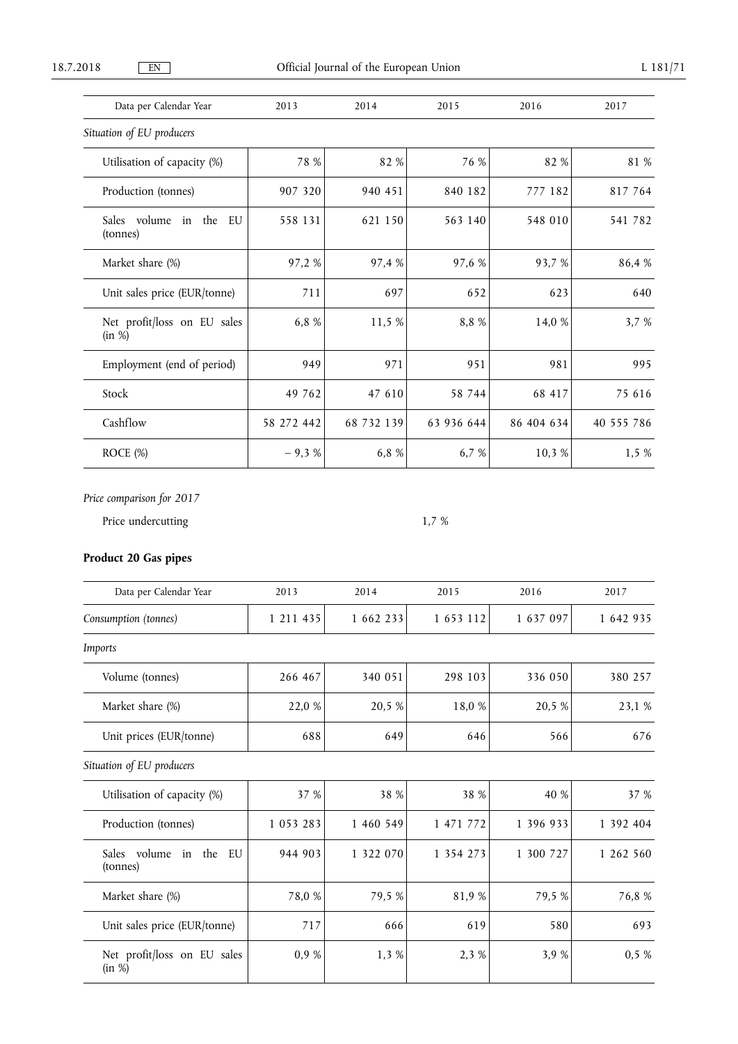| Data per Calendar Year                   | 2013       | 2014       | 2015       | 2016       | 2017       |
|------------------------------------------|------------|------------|------------|------------|------------|
| Situation of EU producers                |            |            |            |            |            |
| Utilisation of capacity (%)              | 78 %       | 82 %       | 76 %       | 82 %       | 81 %       |
| Production (tonnes)                      | 907 320    | 940 451    | 840 182    | 777 182    | 817 764    |
| Sales volume<br>in the<br>EU<br>(tonnes) | 558 131    | 621 150    | 563 140    | 548 010    | 541 782    |
| Market share (%)                         | 97,2 %     | 97,4 %     | 97,6 %     | 93,7 %     | 86,4 %     |
| Unit sales price (EUR/tonne)             | 711        | 697        | 652        | 623        | 640        |
| Net profit/loss on EU sales<br>(in %)    | 6,8 %      | 11,5 %     | 8,8 %      | 14,0 %     | 3,7 %      |
| Employment (end of period)               | 949        | 971        | 951        | 981        | 995        |
| Stock                                    | 49 762     | 47 610     | 58 744     | 68 417     | 75 616     |
| Cashflow                                 | 58 272 442 | 68 732 139 | 63 936 644 | 86 404 634 | 40 555 786 |
| ROCE (%)                                 | $-9,3%$    | 6,8 %      | 6,7 %      | 10,3 %     | 1,5%       |

Price undercutting 1,7 %

# **Product 20 Gas pipes**

| Data per Calendar Year                   | 2013      | 2014      | 2015      | 2016      | 2017      |
|------------------------------------------|-----------|-----------|-----------|-----------|-----------|
| Consumption (tonnes)                     | 1 211 435 | 1 662 233 | 1 653 112 | 1 637 097 | 1 642 935 |
| Imports                                  |           |           |           |           |           |
| Volume (tonnes)                          | 266 467   | 340 051   | 298 103   | 336 050   | 380 257   |
| Market share (%)                         | 22,0 %    | 20,5 %    | 18,0 %    | 20,5 %    | 23,1 %    |
| Unit prices (EUR/tonne)                  | 688       | 649       | 646       | 566       | 676       |
| Situation of EU producers                |           |           |           |           |           |
| Utilisation of capacity (%)              | 37 %      | 38 %      | 38 %      | 40 %      | 37 %      |
| Production (tonnes)                      | 1 053 283 | 1 460 549 | 1 471 772 | 1 396 933 | 1 392 404 |
| Sales volume<br>in the<br>EU<br>(tonnes) | 944 903   | 1 322 070 | 1 354 273 | 1 300 727 | 1 262 560 |
| Market share (%)                         | 78,0 %    | 79,5 %    | 81,9%     | 79,5 %    | 76,8 %    |
| Unit sales price (EUR/tonne)             | 717       | 666       | 619       | 580       | 693       |
| Net profit/loss on EU sales<br>(in %)    | 0,9 %     | 1,3 %     | 2,3 %     | 3,9 %     | 0,5%      |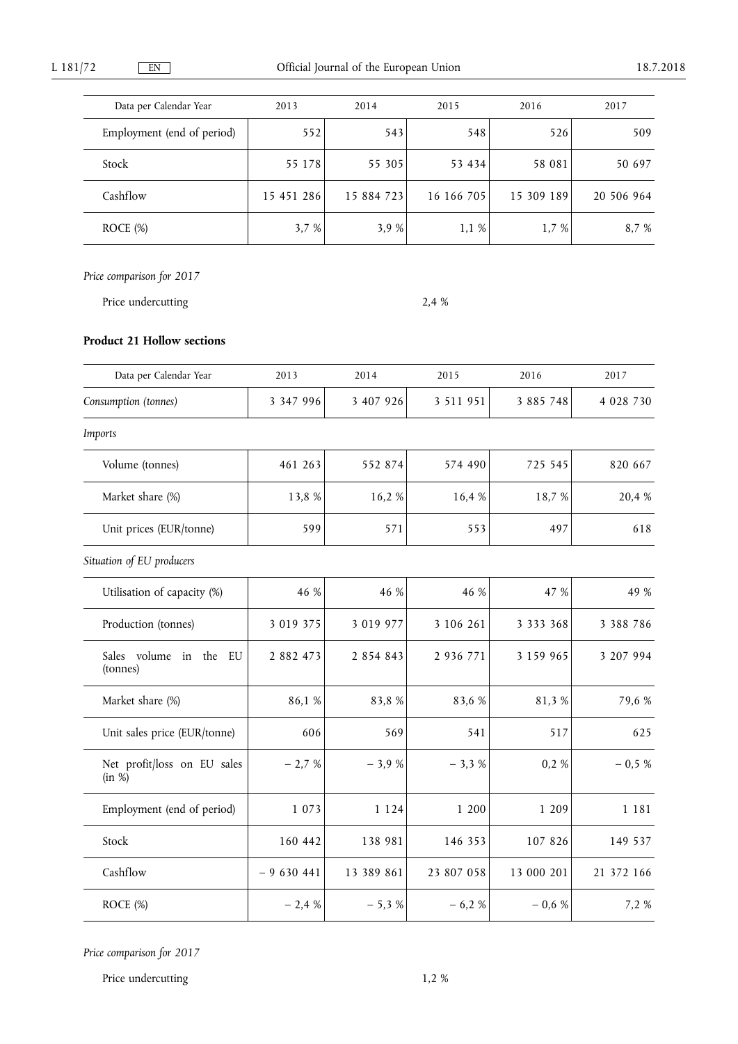| Data per Calendar Year     | 2013       | 2014       | 2015       | 2016       | 2017       |
|----------------------------|------------|------------|------------|------------|------------|
| Employment (end of period) | 552        | 543        | 548        | 526        | 509        |
| Stock                      | 55 178     | 55 305     | 53 434     | 58 081     | 50 697     |
| Cashflow                   | 15 451 286 | 15 884 723 | 16 166 705 | 15 309 189 | 20 506 964 |
| ROCE (%)                   | 3,7 %      | 3.9 %      | 1,1%       | 1,7 %      | 8.7 %      |

Price undercutting 2,4 %

# **Product 21 Hollow sections**

| Data per Calendar Year                | 2013         | 2014       | 2015       | 2016          | 2017        |
|---------------------------------------|--------------|------------|------------|---------------|-------------|
| Consumption (tonnes)                  | 3 347 996    | 3 407 926  | 3 511 951  | 3 885 748     | 4 0 28 7 30 |
| Imports                               |              |            |            |               |             |
| Volume (tonnes)                       | 461 263      | 552 874    | 574 490    | 725 545       | 820 667     |
| Market share (%)                      | 13,8 %       | 16,2%      | 16,4 %     | 18,7 %        | 20,4 %      |
| Unit prices (EUR/tonne)               | 599          | 571        | 553        | 497           | 618         |
| Situation of EU producers             |              |            |            |               |             |
| Utilisation of capacity (%)           | 46 %         | 46 %       | 46 %       | 47 %          | 49 %        |
| Production (tonnes)                   | 3 0 19 3 7 5 | 3 019 977  | 3 106 261  | 3 3 3 3 3 6 8 | 3 3 8 7 8 6 |
| Sales volume in the<br>EU<br>(tonnes) | 2 882 473    | 2 854 843  | 2 936 771  | 3 159 965     | 3 207 994   |
| Market share (%)                      | 86,1 %       | 83,8%      | 83,6 %     | 81,3%         | 79,6 %      |
| Unit sales price (EUR/tonne)          | 606          | 569        | 541        | 517           | 625         |
| Net profit/loss on EU sales<br>(in %) | $-2,7%$      | $-3,9%$    | $-3,3%$    | 0,2%          | $-0.5%$     |
| Employment (end of period)            | 1 0 7 3      | 1 1 2 4    | 1 200      | 1 209         | 1 1 8 1     |
| Stock                                 | 160 442      | 138 981    | 146 353    | 107 826       | 149 537     |
| Cashflow                              | $-9630441$   | 13 389 861 | 23 807 058 | 13 000 201    | 21 372 166  |
| ROCE (%)                              | $-2,4%$      | $-5,3%$    | $-6,2%$    | $-0,6%$       | 7,2 %       |

*Price comparison for 2017* 

Price undercutting 1,2 %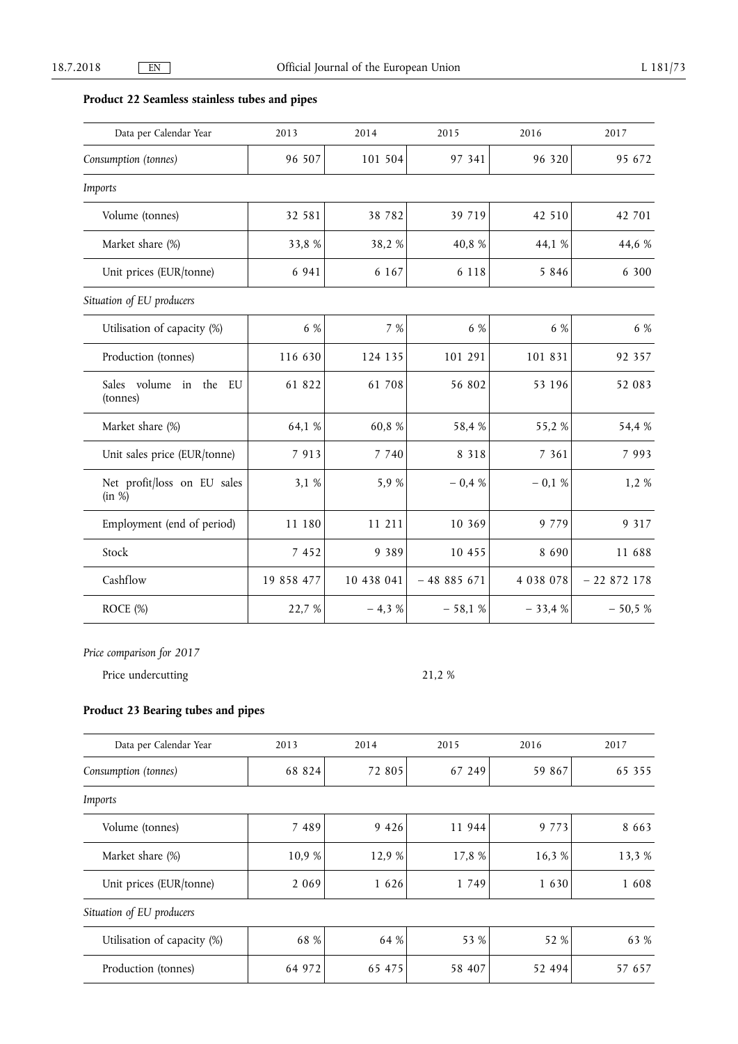# **Product 22 Seamless stainless tubes and pipes**

| Data per Calendar Year                | 2013       | 2014       | 2015        | 2016        | 2017        |
|---------------------------------------|------------|------------|-------------|-------------|-------------|
| Consumption (tonnes)                  | 96 507     | 101 504    | 97 341      | 96 320      | 95 672      |
| Imports                               |            |            |             |             |             |
| Volume (tonnes)                       | 32 581     | 38 7 8 2   | 39 719      | 42 510      | 42 701      |
| Market share (%)                      | 33,8%      | 38,2%      | 40,8 %      | 44,1 %      | 44,6 %      |
| Unit prices (EUR/tonne)               | 6 9 4 1    | 6 1 6 7    | 6 1 1 8     | 5 8 4 6     | 6 300       |
| Situation of EU producers             |            |            |             |             |             |
| Utilisation of capacity (%)           | 6 %        | 7 %        | 6 %         | 6 %         | 6 %         |
| Production (tonnes)                   | 116 630    | 124 135    | 101 291     | 101 831     | 92 357      |
| Sales volume in the<br>EU<br>(tonnes) | 61 822     | 61 708     | 56 802      | 53 196      | 52 083      |
| Market share (%)                      | 64,1 %     | 60,8%      | 58,4%       | 55,2%       | 54,4 %      |
| Unit sales price (EUR/tonne)          | 7 9 1 3    | 7 7 4 0    | 8 3 1 8     | 7 3 6 1     | 7 9 9 3     |
| Net profit/loss on EU sales<br>(in %) | 3,1 %      | 5,9 %      | $-0.4%$     | $-0.1%$     | 1,2 %       |
| Employment (end of period)            | 11 180     | 11 211     | 10 369      | 9 7 7 9     | 9 3 1 7     |
| Stock                                 | 7 4 5 2    | 9 3 8 9    | 10 455      | 8 6 9 0     | 11 688      |
| Cashflow                              | 19 858 477 | 10 438 041 | $-48885671$ | 4 0 38 0 78 | $-22872178$ |
| ROCE (%)                              | 22,7 %     | $-4,3%$    | $-58,1%$    | $-33,4%$    | $-50,5%$    |

*Price comparison for 2017* 

Price undercutting 21,2 %

### **Product 23 Bearing tubes and pipes**

| Data per Calendar Year      | 2013    | 2014    | 2015    | 2016    | 2017    |
|-----------------------------|---------|---------|---------|---------|---------|
| Consumption (tonnes)        | 68 824  | 72 805  | 67 249  | 59 867  | 65 355  |
| Imports                     |         |         |         |         |         |
| Volume (tonnes)             | 7 4 8 9 | 9 4 2 6 | 11 944  | 9 7 7 3 | 8 6 6 3 |
| Market share (%)            | 10,9 %  | 12,9 %  | 17,8 %  | 16,3 %  | 13,3 %  |
| Unit prices (EUR/tonne)     | 2 0 6 9 | 1 6 2 6 | 1 7 4 9 | 1 6 3 0 | 1 608   |
| Situation of EU producers   |         |         |         |         |         |
| Utilisation of capacity (%) | 68 %    | 64 %    | 53 %    | 52 %    | 63 %    |
| Production (tonnes)         | 64 972  | 65 475  | 58 407  | 52 494  | 57 657  |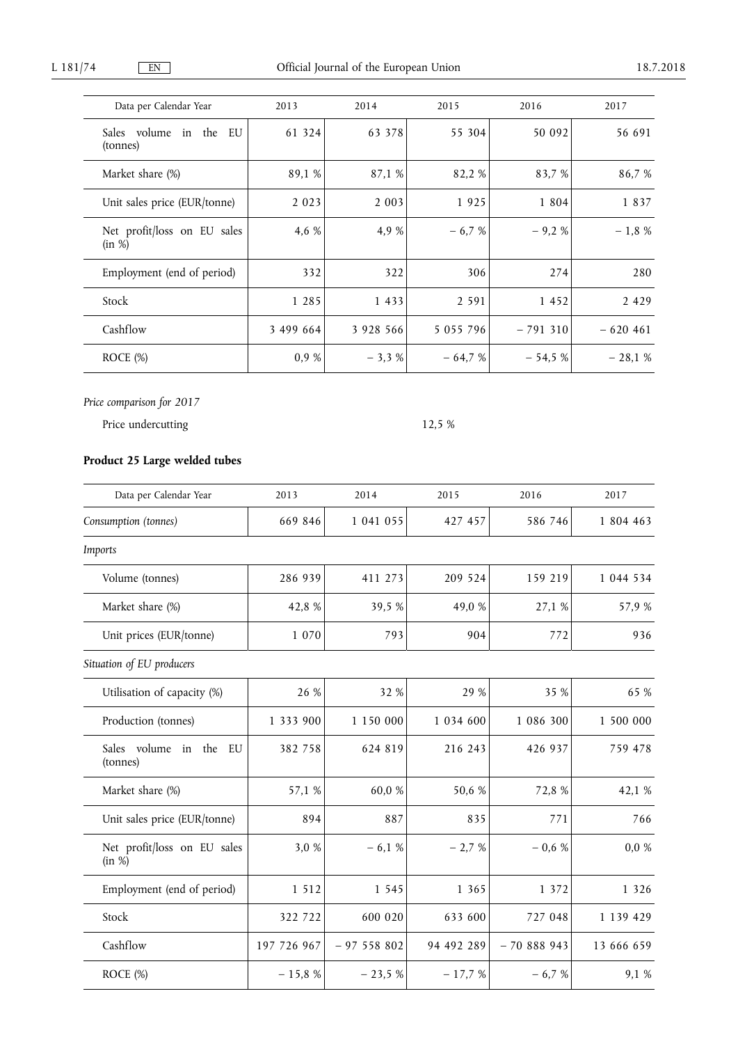| Data per Calendar Year                | 2013      | 2014      | 2015          | 2016      | 2017      |
|---------------------------------------|-----------|-----------|---------------|-----------|-----------|
| Sales volume<br>in the EU<br>(tonnes) | 61 324    | 63 378    | 55 304        | 50 092    | 56 691    |
| Market share (%)                      | 89,1 %    | 87,1 %    | 82,2 %        | 83,7 %    | 86,7 %    |
| Unit sales price (EUR/tonne)          | 2 0 2 3   | 2 0 0 3   | 1925          | 1 8 0 4   | 1837      |
| Net profit/loss on EU sales<br>(in %) | 4,6 %     | 4,9 %     | $-6,7%$       | $-9.2%$   | $-1,8%$   |
| Employment (end of period)            | 332       | 322       | 306           | 274       | 280       |
| Stock                                 | 1 2 8 5   | 1 4 3 3   | 2 5 9 1       | 1 452     | 2 4 2 9   |
| Cashflow                              | 3 499 664 | 3 928 566 | 5 0 5 5 7 9 6 | $-791310$ | $-620461$ |
| ROCE $(\%)$                           | 0.9%      | $-3,3%$   | $-64.7%$      | $-54,5%$  | $-28,1%$  |

Price undercutting 12,5 %

# **Product 25 Large welded tubes**

| Data per Calendar Year                | 2013        | 2014          | 2015          | 2016        | 2017       |
|---------------------------------------|-------------|---------------|---------------|-------------|------------|
| Consumption (tonnes)                  | 669 846     | 1 041 055     | 427 457       | 586 746     | 1 804 463  |
| Imports                               |             |               |               |             |            |
| Volume (tonnes)                       | 286 939     | 411 273       | 209 524       | 159 219     | 1 044 534  |
| Market share (%)                      | 42,8%       | 39,5 %        | 49,0 %        | 27,1 %      | 57,9%      |
| Unit prices (EUR/tonne)               | 1 0 7 0     | 793           | 904           | 772         | 936        |
| Situation of EU producers             |             |               |               |             |            |
| Utilisation of capacity (%)           | 26 %        | 32 %          | 29 %          | 35 %        | 65 %       |
| Production (tonnes)                   | 1 333 900   | 1 1 5 0 0 0 0 | 1 0 3 4 6 0 0 | 1 086 300   | 1 500 000  |
| Sales volume in the<br>EU<br>(tonnes) | 382 758     | 624 819       | 216 243       | 426 937     | 759 478    |
| Market share (%)                      | 57,1 %      | $60,\!0$ $\%$ | 50,6 %        | 72,8 %      | 42,1 %     |
| Unit sales price (EUR/tonne)          | 894         | 887           | 835           | 771         | 766        |
| Net profit/loss on EU sales<br>(in %) | 3,0 %       | $-6,1%$       | $-2,7%$       | $-0.6%$     | 0,0%       |
| Employment (end of period)            | 1 5 1 2     | 1 5 4 5       | 1 3 6 5       | 1 372       | 1 3 2 6    |
| Stock                                 | 322 722     | 600 020       | 633 600       | 727 048     | 1 139 429  |
| Cashflow                              | 197 726 967 | $-97558802$   | 94 492 289    | $-70888943$ | 13 666 659 |
| ROCE (%)                              | $-15,8%$    | $-23,5%$      | $-17,7%$      | $-6,7%$     | 9,1 %      |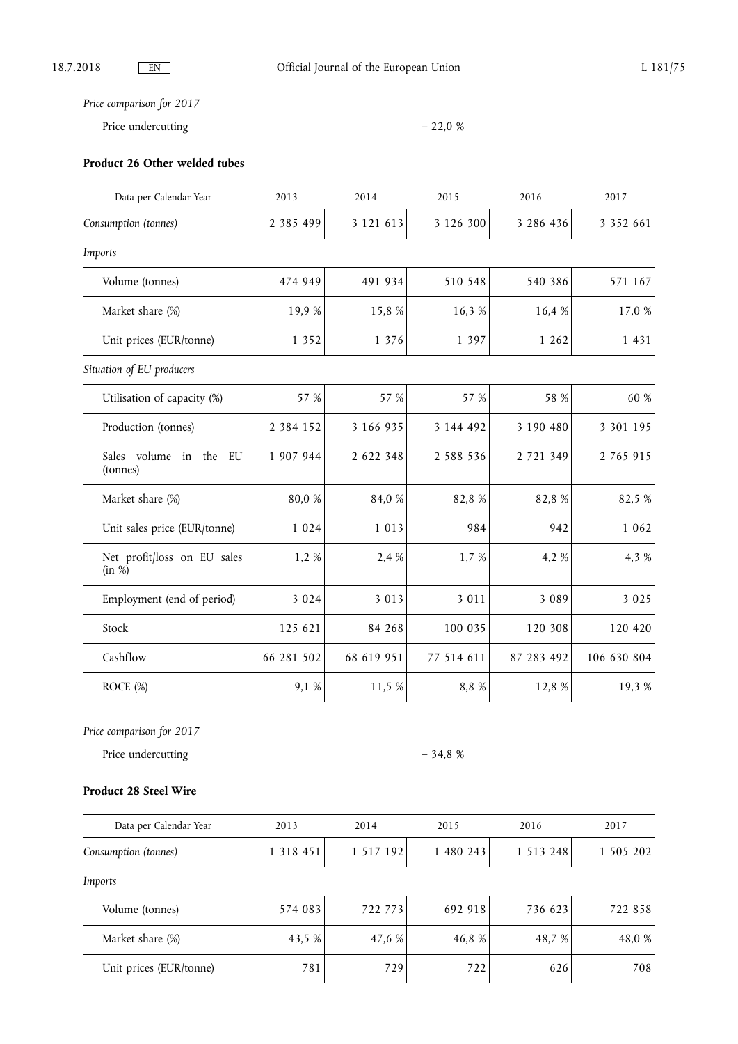Price undercutting  $-22.0 \%$ 

# **Product 26 Other welded tubes**

| Data per Calendar Year                   | 2013          | 2014       | 2015          | 2016       | 2017          |
|------------------------------------------|---------------|------------|---------------|------------|---------------|
| Consumption (tonnes)                     | 2 385 499     | 3 121 613  | 3 1 2 6 3 0 0 | 3 286 436  | 3 3 5 2 6 6 1 |
| Imports                                  |               |            |               |            |               |
| Volume (tonnes)                          | 474 949       | 491 934    | 510 548       | 540 386    | 571 167       |
| Market share (%)                         | 19,9 %        | 15,8 %     | 16,3%         | 16,4 %     | 17,0 %        |
| Unit prices (EUR/tonne)                  | 1 3 5 2       | 1 376      | 1 3 9 7       | 1 262      | 1 4 3 1       |
| Situation of EU producers                |               |            |               |            |               |
| Utilisation of capacity (%)              | 57 %          | 57 %       | 57 %          | 58 %       | 60 %          |
| Production (tonnes)                      | 2 3 8 4 1 5 2 | 3 166 935  | 3 144 492     | 3 190 480  | 3 301 195     |
| Sales volume in<br>the<br>EU<br>(tonnes) | 1 907 944     | 2 622 348  | 2 5 8 8 5 3 6 | 2 721 349  | 2 765 915     |
| Market share (%)                         | 80,0 %        | 84,0 %     | 82,8%         | 82,8%      | 82,5 %        |
| Unit sales price (EUR/tonne)             | 1 0 2 4       | 1 0 1 3    | 984           | 942        | 1 0 6 2       |
| Net profit/loss on EU sales<br>(in %)    | 1,2%          | 2,4 %      | 1,7 %         | 4,2 %      | 4,3 %         |
| Employment (end of period)               | 3 0 2 4       | 3 0 1 3    | 3 0 1 1       | 3 0 8 9    | 3 0 2 5       |
| Stock                                    | 125 621       | 84 268     | 100 035       | 120 308    | 120 420       |
| Cashflow                                 | 66 281 502    | 68 619 951 | 77 514 611    | 87 283 492 | 106 630 804   |
| ROCE (%)                                 | 9,1 %         | 11,5 %     | 8,8 %         | 12,8 %     | 19,3%         |

*Price comparison for 2017* 

Price undercutting  $-34.8 \%$ 

### **Product 28 Steel Wire**

| Data per Calendar Year  | 2013          | 2014      | 2015      | 2016          | 2017      |
|-------------------------|---------------|-----------|-----------|---------------|-----------|
| Consumption (tonnes)    | 1 3 1 8 4 5 1 | 1 517 192 | 1 480 243 | 1 5 1 3 2 4 8 | 1 505 202 |
| Imports                 |               |           |           |               |           |
| Volume (tonnes)         | 574 083       | 722 773   | 692 918   | 736 623       | 722 858   |
| Market share (%)        | 43,5 %        | 47.6 %    | 46,8 %    | 48.7 %        | 48,0 %    |
| Unit prices (EUR/tonne) | 781           | 729       | 722       | 626           | 708       |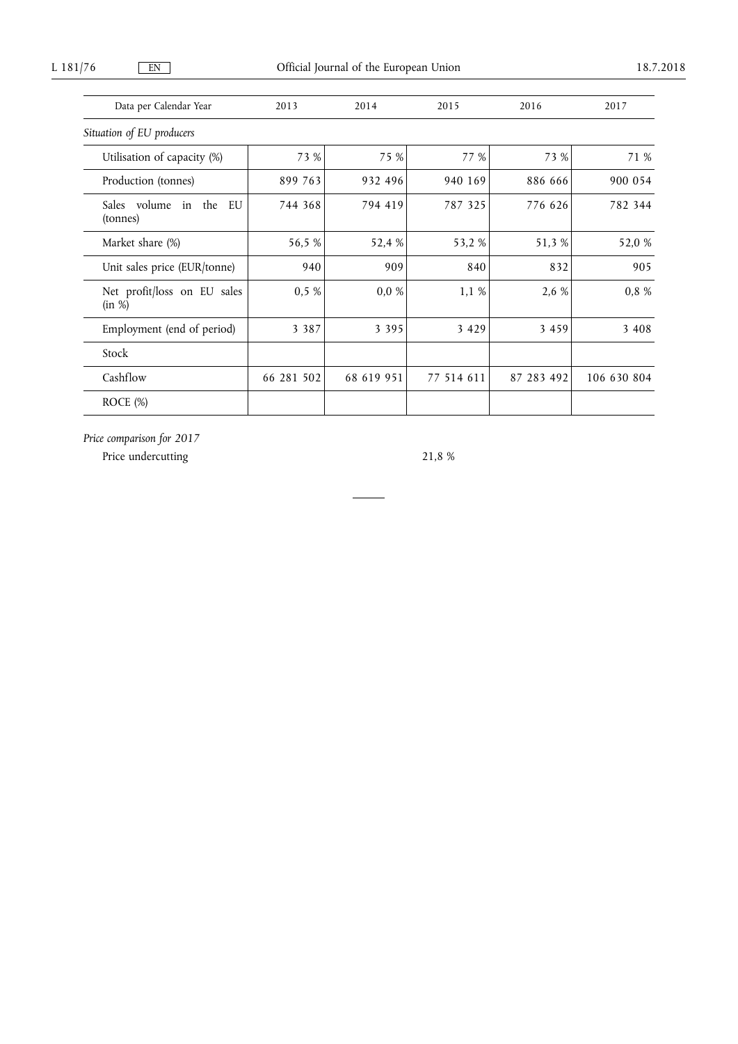Data per Calendar Year 2013 2014 2015 2016 2017 *Situation of EU producers*  Utilisation of capacity (%)  $\begin{array}{ccc} 73 & 8 & 75 & 8 \end{array}$  77 % 73 % 73 % 71 % L 181/76 EN CHECAL Journal of the European Union 18.7.2018

| Utilisation of Capacity (70)          | $1.2 \times 10^{-7}$ | $1$ $1$ $10$ | 1/0        | $1.2 \times 10^{-7}$ | /1/0        |
|---------------------------------------|----------------------|--------------|------------|----------------------|-------------|
| Production (tonnes)                   | 899 763              | 932 496      | 940 169    | 886 666              | 900 054     |
| Sales volume in the<br>EU<br>(tonnes) | 744 368              | 794 419      | 787 325    | 776 626              | 782 344     |
| Market share (%)                      | 56,5 %               | 52,4 %       | 53,2 %     | 51,3 %               | 52,0 %      |
| Unit sales price (EUR/tonne)          | 940                  | 909          | 840        | 832                  | 905         |
| Net profit/loss on EU sales<br>(in %) | 0,5%                 | $0,0\%$      | 1,1%       | 2,6 %                | 0,8 %       |
| Employment (end of period)            | 3 3 8 7              | 3 3 9 5      | 3 4 2 9    | 3 4 5 9              | 3 4 0 8     |
| Stock                                 |                      |              |            |                      |             |
| Cashflow                              | 66 281 502           | 68 619 951   | 77 514 611 | 87 283 492           | 106 630 804 |
| ROCE $(\%)$                           |                      |              |            |                      |             |

*Price comparison for 2017* 

Price undercutting 21,8 %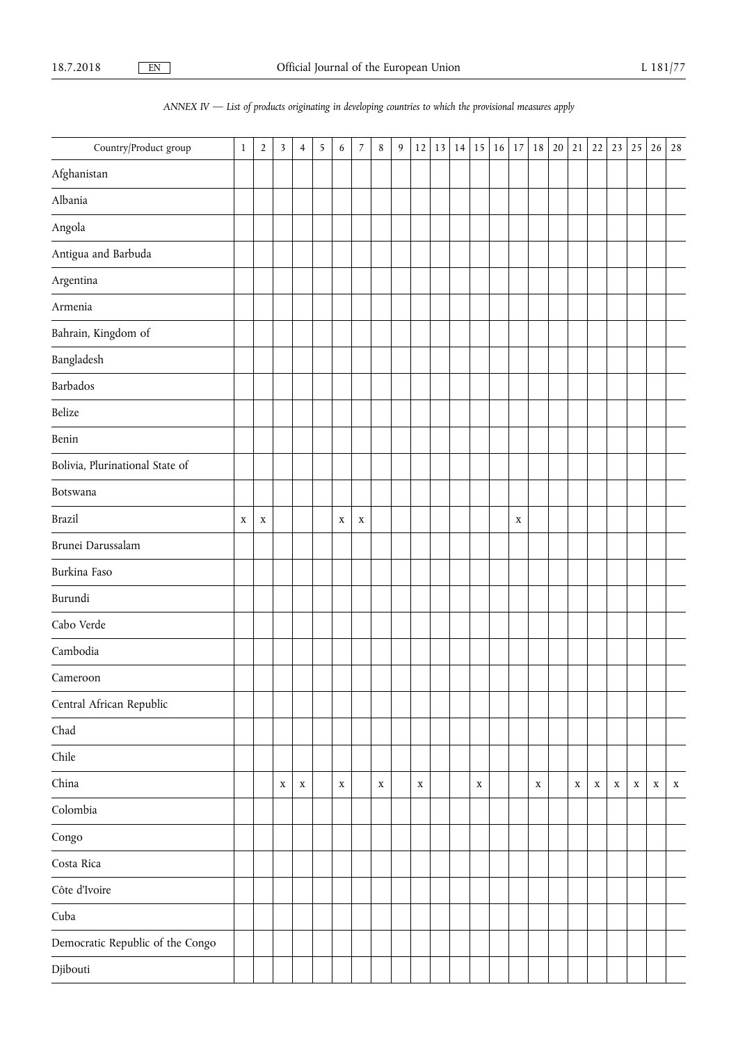# *ANNEX IV — List of products originating in developing countries to which the provisional measures apply*

| Country/Product group            | $\mathbf{1}$ | $\overline{2}$ | $\mathbf{3}$ | $\overline{4}$ | $\overline{5}$ | 6           | $\overline{7}$ | $\,8\,$     | $\boldsymbol{9}$ | $12\,$      | 13 | 14 | 15          | 16 | $17\,$      | 18          | 20 | 21          | 22          | 23 | 25          | 26          | 28          |
|----------------------------------|--------------|----------------|--------------|----------------|----------------|-------------|----------------|-------------|------------------|-------------|----|----|-------------|----|-------------|-------------|----|-------------|-------------|----|-------------|-------------|-------------|
| Afghanistan                      |              |                |              |                |                |             |                |             |                  |             |    |    |             |    |             |             |    |             |             |    |             |             |             |
| Albania                          |              |                |              |                |                |             |                |             |                  |             |    |    |             |    |             |             |    |             |             |    |             |             |             |
| Angola                           |              |                |              |                |                |             |                |             |                  |             |    |    |             |    |             |             |    |             |             |    |             |             |             |
| Antigua and Barbuda              |              |                |              |                |                |             |                |             |                  |             |    |    |             |    |             |             |    |             |             |    |             |             |             |
| Argentina                        |              |                |              |                |                |             |                |             |                  |             |    |    |             |    |             |             |    |             |             |    |             |             |             |
| Armenia                          |              |                |              |                |                |             |                |             |                  |             |    |    |             |    |             |             |    |             |             |    |             |             |             |
| Bahrain, Kingdom of              |              |                |              |                |                |             |                |             |                  |             |    |    |             |    |             |             |    |             |             |    |             |             |             |
| Bangladesh                       |              |                |              |                |                |             |                |             |                  |             |    |    |             |    |             |             |    |             |             |    |             |             |             |
| Barbados                         |              |                |              |                |                |             |                |             |                  |             |    |    |             |    |             |             |    |             |             |    |             |             |             |
| Belize                           |              |                |              |                |                |             |                |             |                  |             |    |    |             |    |             |             |    |             |             |    |             |             |             |
| Benin                            |              |                |              |                |                |             |                |             |                  |             |    |    |             |    |             |             |    |             |             |    |             |             |             |
| Bolivia, Plurinational State of  |              |                |              |                |                |             |                |             |                  |             |    |    |             |    |             |             |    |             |             |    |             |             |             |
| Botswana                         |              |                |              |                |                |             |                |             |                  |             |    |    |             |    |             |             |    |             |             |    |             |             |             |
| Brazil                           | $\mathbf X$  | $\mathbf X$    |              |                |                | $\mathbf X$ | $\mathbf X$    |             |                  |             |    |    |             |    | $\mathbf X$ |             |    |             |             |    |             |             |             |
| Brunei Darussalam                |              |                |              |                |                |             |                |             |                  |             |    |    |             |    |             |             |    |             |             |    |             |             |             |
| Burkina Faso                     |              |                |              |                |                |             |                |             |                  |             |    |    |             |    |             |             |    |             |             |    |             |             |             |
| Burundi                          |              |                |              |                |                |             |                |             |                  |             |    |    |             |    |             |             |    |             |             |    |             |             |             |
| Cabo Verde                       |              |                |              |                |                |             |                |             |                  |             |    |    |             |    |             |             |    |             |             |    |             |             |             |
| Cambodia                         |              |                |              |                |                |             |                |             |                  |             |    |    |             |    |             |             |    |             |             |    |             |             |             |
| Cameroon                         |              |                |              |                |                |             |                |             |                  |             |    |    |             |    |             |             |    |             |             |    |             |             |             |
| Central African Republic         |              |                |              |                |                |             |                |             |                  |             |    |    |             |    |             |             |    |             |             |    |             |             |             |
| Chad                             |              |                |              |                |                |             |                |             |                  |             |    |    |             |    |             |             |    |             |             |    |             |             |             |
| ${\rm Chile}$                    |              |                |              |                |                |             |                |             |                  |             |    |    |             |    |             |             |    |             |             |    |             |             |             |
| China                            |              |                | $\mathbf X$  | $\mathbf X$    |                | $\mathbf X$ |                | $\mathbf X$ |                  | $\mathbf X$ |    |    | $\mathbf X$ |    |             | $\mathbf X$ |    | $\mathbf X$ | $\mathbf X$ | X  | $\mathbf X$ | $\mathbf X$ | $\mathbf X$ |
| Colombia                         |              |                |              |                |                |             |                |             |                  |             |    |    |             |    |             |             |    |             |             |    |             |             |             |
| $\mathop{\rm Congo}\nolimits$    |              |                |              |                |                |             |                |             |                  |             |    |    |             |    |             |             |    |             |             |    |             |             |             |
| Costa Rica                       |              |                |              |                |                |             |                |             |                  |             |    |    |             |    |             |             |    |             |             |    |             |             |             |
| Côte d'Ivoire                    |              |                |              |                |                |             |                |             |                  |             |    |    |             |    |             |             |    |             |             |    |             |             |             |
| Cuba                             |              |                |              |                |                |             |                |             |                  |             |    |    |             |    |             |             |    |             |             |    |             |             |             |
| Democratic Republic of the Congo |              |                |              |                |                |             |                |             |                  |             |    |    |             |    |             |             |    |             |             |    |             |             |             |
| Djibouti                         |              |                |              |                |                |             |                |             |                  |             |    |    |             |    |             |             |    |             |             |    |             |             |             |
|                                  |              |                |              |                |                |             |                |             |                  |             |    |    |             |    |             |             |    |             |             |    |             |             |             |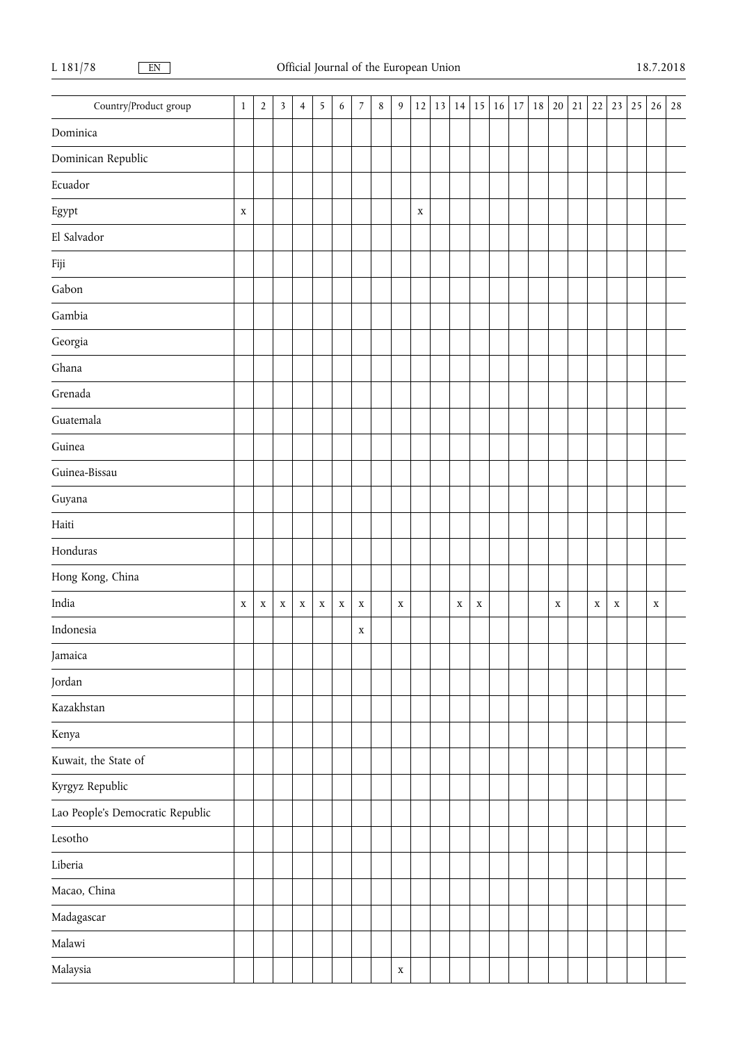| Country/Product group            | $\,1\,$     | $\overline{2}$ | $\overline{\mathbf{3}}$ | 4 | 5 | 6 | $\overline{7}$ | $\,8\,$ | $\overline{9}$ | $12\,$      | 13 |             |             | $14$ 15 16 | $17\,$ | 18 | 20          | $21\,$ | 22          |             | $23 \mid 25$ | 26          | 28 |
|----------------------------------|-------------|----------------|-------------------------|---|---|---|----------------|---------|----------------|-------------|----|-------------|-------------|------------|--------|----|-------------|--------|-------------|-------------|--------------|-------------|----|
| Dominica                         |             |                |                         |   |   |   |                |         |                |             |    |             |             |            |        |    |             |        |             |             |              |             |    |
| Dominican Republic               |             |                |                         |   |   |   |                |         |                |             |    |             |             |            |        |    |             |        |             |             |              |             |    |
| Ecuador                          |             |                |                         |   |   |   |                |         |                |             |    |             |             |            |        |    |             |        |             |             |              |             |    |
| ${\rm Egypt}$                    | $\mathbf X$ |                |                         |   |   |   |                |         |                | $\mathbf X$ |    |             |             |            |        |    |             |        |             |             |              |             |    |
| El Salvador                      |             |                |                         |   |   |   |                |         |                |             |    |             |             |            |        |    |             |        |             |             |              |             |    |
| $\rm{Fiji}$                      |             |                |                         |   |   |   |                |         |                |             |    |             |             |            |        |    |             |        |             |             |              |             |    |
| Gabon                            |             |                |                         |   |   |   |                |         |                |             |    |             |             |            |        |    |             |        |             |             |              |             |    |
| Gambia                           |             |                |                         |   |   |   |                |         |                |             |    |             |             |            |        |    |             |        |             |             |              |             |    |
| $\operatorname{Georgia}$         |             |                |                         |   |   |   |                |         |                |             |    |             |             |            |        |    |             |        |             |             |              |             |    |
| Ghana                            |             |                |                         |   |   |   |                |         |                |             |    |             |             |            |        |    |             |        |             |             |              |             |    |
| Grenada                          |             |                |                         |   |   |   |                |         |                |             |    |             |             |            |        |    |             |        |             |             |              |             |    |
| Guatemala                        |             |                |                         |   |   |   |                |         |                |             |    |             |             |            |        |    |             |        |             |             |              |             |    |
| Guinea                           |             |                |                         |   |   |   |                |         |                |             |    |             |             |            |        |    |             |        |             |             |              |             |    |
| Guinea-Bissau                    |             |                |                         |   |   |   |                |         |                |             |    |             |             |            |        |    |             |        |             |             |              |             |    |
| Guyana                           |             |                |                         |   |   |   |                |         |                |             |    |             |             |            |        |    |             |        |             |             |              |             |    |
| Haiti                            |             |                |                         |   |   |   |                |         |                |             |    |             |             |            |        |    |             |        |             |             |              |             |    |
| Honduras                         |             |                |                         |   |   |   |                |         |                |             |    |             |             |            |        |    |             |        |             |             |              |             |    |
| Hong Kong, China                 |             |                |                         |   |   |   |                |         |                |             |    |             |             |            |        |    |             |        |             |             |              |             |    |
| India                            | $\mathbf X$ | X              | $\mathbf X$             | X | X | X | $\mathbf X$    |         | $\mathbf X$    |             |    | $\mathbf X$ | $\mathbf X$ |            |        |    | $\mathbf X$ |        | $\mathbf X$ | $\mathbf X$ |              | $\mathbf X$ |    |
| Indonesia                        |             |                |                         |   |   |   | $\mathbf X$    |         |                |             |    |             |             |            |        |    |             |        |             |             |              |             |    |
| Jamaica                          |             |                |                         |   |   |   |                |         |                |             |    |             |             |            |        |    |             |        |             |             |              |             |    |
| Jordan                           |             |                |                         |   |   |   |                |         |                |             |    |             |             |            |        |    |             |        |             |             |              |             |    |
| Kazakhstan                       |             |                |                         |   |   |   |                |         |                |             |    |             |             |            |        |    |             |        |             |             |              |             |    |
| Kenya                            |             |                |                         |   |   |   |                |         |                |             |    |             |             |            |        |    |             |        |             |             |              |             |    |
| Kuwait, the State of             |             |                |                         |   |   |   |                |         |                |             |    |             |             |            |        |    |             |        |             |             |              |             |    |
| Kyrgyz Republic                  |             |                |                         |   |   |   |                |         |                |             |    |             |             |            |        |    |             |        |             |             |              |             |    |
| Lao People's Democratic Republic |             |                |                         |   |   |   |                |         |                |             |    |             |             |            |        |    |             |        |             |             |              |             |    |
| Lesotho                          |             |                |                         |   |   |   |                |         |                |             |    |             |             |            |        |    |             |        |             |             |              |             |    |
| Liberia                          |             |                |                         |   |   |   |                |         |                |             |    |             |             |            |        |    |             |        |             |             |              |             |    |
| Macao, China                     |             |                |                         |   |   |   |                |         |                |             |    |             |             |            |        |    |             |        |             |             |              |             |    |
| Madagascar                       |             |                |                         |   |   |   |                |         |                |             |    |             |             |            |        |    |             |        |             |             |              |             |    |
| Malawi                           |             |                |                         |   |   |   |                |         |                |             |    |             |             |            |        |    |             |        |             |             |              |             |    |
| Malaysia                         |             |                |                         |   |   |   |                |         | $\mathbf X$    |             |    |             |             |            |        |    |             |        |             |             |              |             |    |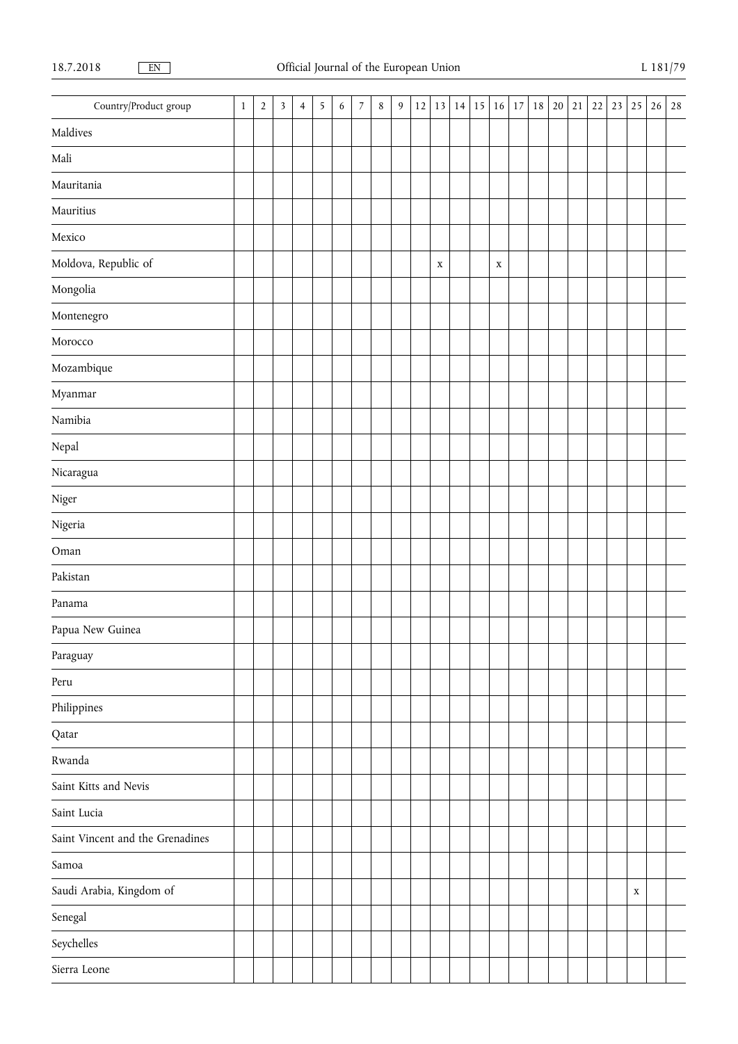| Country/Product group            | $\mathbf{1}$ | $\sqrt{2}$ | $\mathfrak{Z}$ | $\overline{4}$ | $\overline{5}$ | $\sqrt{6}$ | $\overline{7}$ | $\,8\,$ | 9 | 12 | 13          | 14 | 15 | 16          | 17 18 | 20 | $21\,$ | 22 | 23 25       | 26 | 28 |
|----------------------------------|--------------|------------|----------------|----------------|----------------|------------|----------------|---------|---|----|-------------|----|----|-------------|-------|----|--------|----|-------------|----|----|
| Maldives                         |              |            |                |                |                |            |                |         |   |    |             |    |    |             |       |    |        |    |             |    |    |
| Mali                             |              |            |                |                |                |            |                |         |   |    |             |    |    |             |       |    |        |    |             |    |    |
| Mauritania                       |              |            |                |                |                |            |                |         |   |    |             |    |    |             |       |    |        |    |             |    |    |
| Mauritius                        |              |            |                |                |                |            |                |         |   |    |             |    |    |             |       |    |        |    |             |    |    |
| Mexico                           |              |            |                |                |                |            |                |         |   |    |             |    |    |             |       |    |        |    |             |    |    |
| Moldova, Republic of             |              |            |                |                |                |            |                |         |   |    | $\mathbf X$ |    |    | $\mathbf X$ |       |    |        |    |             |    |    |
| Mongolia                         |              |            |                |                |                |            |                |         |   |    |             |    |    |             |       |    |        |    |             |    |    |
| Montenegro                       |              |            |                |                |                |            |                |         |   |    |             |    |    |             |       |    |        |    |             |    |    |
| Morocco                          |              |            |                |                |                |            |                |         |   |    |             |    |    |             |       |    |        |    |             |    |    |
| Mozambique                       |              |            |                |                |                |            |                |         |   |    |             |    |    |             |       |    |        |    |             |    |    |
| Myanmar                          |              |            |                |                |                |            |                |         |   |    |             |    |    |             |       |    |        |    |             |    |    |
| Namibia                          |              |            |                |                |                |            |                |         |   |    |             |    |    |             |       |    |        |    |             |    |    |
| $\ensuremath{\mathsf{Nepal}}$    |              |            |                |                |                |            |                |         |   |    |             |    |    |             |       |    |        |    |             |    |    |
| Nicaragua                        |              |            |                |                |                |            |                |         |   |    |             |    |    |             |       |    |        |    |             |    |    |
| Niger                            |              |            |                |                |                |            |                |         |   |    |             |    |    |             |       |    |        |    |             |    |    |
| Nigeria                          |              |            |                |                |                |            |                |         |   |    |             |    |    |             |       |    |        |    |             |    |    |
| Oman                             |              |            |                |                |                |            |                |         |   |    |             |    |    |             |       |    |        |    |             |    |    |
| Pakistan                         |              |            |                |                |                |            |                |         |   |    |             |    |    |             |       |    |        |    |             |    |    |
| Panama                           |              |            |                |                |                |            |                |         |   |    |             |    |    |             |       |    |        |    |             |    |    |
| Papua New Guinea                 |              |            |                |                |                |            |                |         |   |    |             |    |    |             |       |    |        |    |             |    |    |
| Paraguay                         |              |            |                |                |                |            |                |         |   |    |             |    |    |             |       |    |        |    |             |    |    |
| Peru                             |              |            |                |                |                |            |                |         |   |    |             |    |    |             |       |    |        |    |             |    |    |
| $\mathop{\mathrm{Philippines}}$  |              |            |                |                |                |            |                |         |   |    |             |    |    |             |       |    |        |    |             |    |    |
| Qatar                            |              |            |                |                |                |            |                |         |   |    |             |    |    |             |       |    |        |    |             |    |    |
| Rwanda                           |              |            |                |                |                |            |                |         |   |    |             |    |    |             |       |    |        |    |             |    |    |
| Saint Kitts and Nevis            |              |            |                |                |                |            |                |         |   |    |             |    |    |             |       |    |        |    |             |    |    |
| Saint Lucia                      |              |            |                |                |                |            |                |         |   |    |             |    |    |             |       |    |        |    |             |    |    |
| Saint Vincent and the Grenadines |              |            |                |                |                |            |                |         |   |    |             |    |    |             |       |    |        |    |             |    |    |
| Samoa                            |              |            |                |                |                |            |                |         |   |    |             |    |    |             |       |    |        |    |             |    |    |
| Saudi Arabia, Kingdom of         |              |            |                |                |                |            |                |         |   |    |             |    |    |             |       |    |        |    | $\mathbf X$ |    |    |
| Senegal                          |              |            |                |                |                |            |                |         |   |    |             |    |    |             |       |    |        |    |             |    |    |
| Seychelles                       |              |            |                |                |                |            |                |         |   |    |             |    |    |             |       |    |        |    |             |    |    |
| Sierra Leone                     |              |            |                |                |                |            |                |         |   |    |             |    |    |             |       |    |        |    |             |    |    |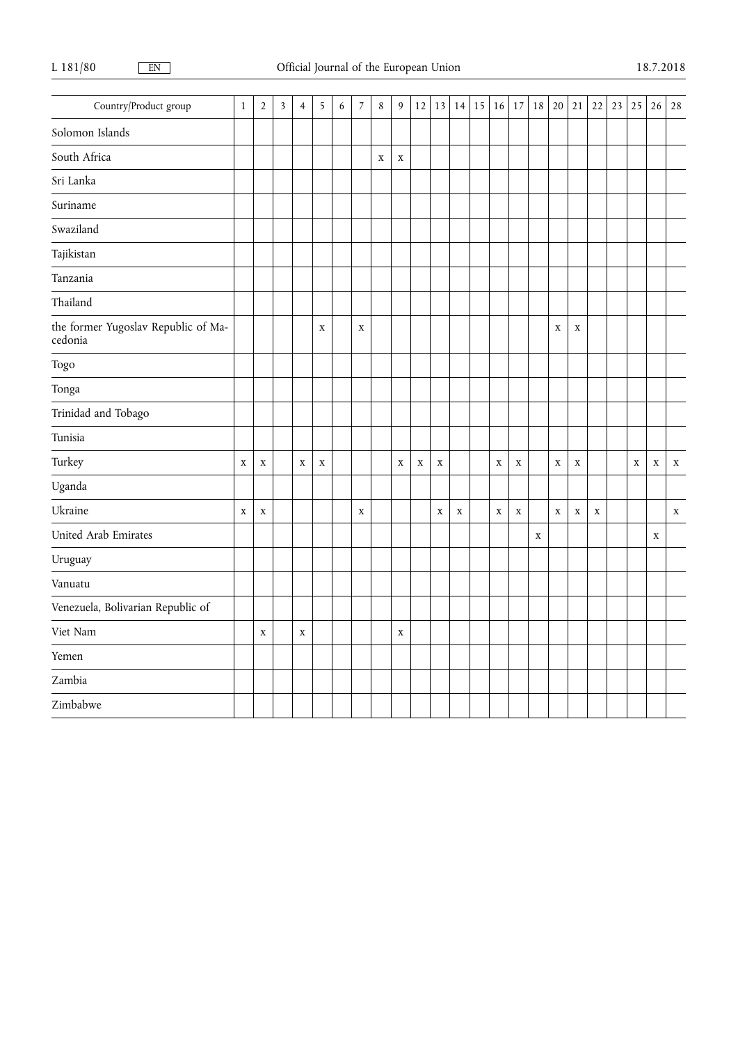| Country/Product group                          | $\mathbf 1$ | $\sqrt{2}$  | $\overline{\mathbf{3}}$ | $\overline{4}$ | 5           | $\boldsymbol{6}$ | $\overline{7}$ | $\,8\,$     | 9           | 12          | 13          | 14          | 15 | 16          | 17          | $18\,$      | 20          | 21          | 22          | 23 | 25          | 26          | $2\sqrt{8}$ |
|------------------------------------------------|-------------|-------------|-------------------------|----------------|-------------|------------------|----------------|-------------|-------------|-------------|-------------|-------------|----|-------------|-------------|-------------|-------------|-------------|-------------|----|-------------|-------------|-------------|
| Solomon Islands                                |             |             |                         |                |             |                  |                |             |             |             |             |             |    |             |             |             |             |             |             |    |             |             |             |
| South Africa                                   |             |             |                         |                |             |                  |                | $\mathbf X$ | $\mathbf X$ |             |             |             |    |             |             |             |             |             |             |    |             |             |             |
| Sri Lanka                                      |             |             |                         |                |             |                  |                |             |             |             |             |             |    |             |             |             |             |             |             |    |             |             |             |
| Suriname                                       |             |             |                         |                |             |                  |                |             |             |             |             |             |    |             |             |             |             |             |             |    |             |             |             |
| Swaziland                                      |             |             |                         |                |             |                  |                |             |             |             |             |             |    |             |             |             |             |             |             |    |             |             |             |
| Tajikistan                                     |             |             |                         |                |             |                  |                |             |             |             |             |             |    |             |             |             |             |             |             |    |             |             |             |
| Tanzania                                       |             |             |                         |                |             |                  |                |             |             |             |             |             |    |             |             |             |             |             |             |    |             |             |             |
| Thailand                                       |             |             |                         |                |             |                  |                |             |             |             |             |             |    |             |             |             |             |             |             |    |             |             |             |
| the former Yugoslav Republic of Ma-<br>cedonia |             |             |                         |                | $\mathbf X$ |                  | $\mathbf X$    |             |             |             |             |             |    |             |             |             | $\mathbf X$ | $\mathbf X$ |             |    |             |             |             |
| Togo                                           |             |             |                         |                |             |                  |                |             |             |             |             |             |    |             |             |             |             |             |             |    |             |             |             |
| Tonga                                          |             |             |                         |                |             |                  |                |             |             |             |             |             |    |             |             |             |             |             |             |    |             |             |             |
| Trinidad and Tobago                            |             |             |                         |                |             |                  |                |             |             |             |             |             |    |             |             |             |             |             |             |    |             |             |             |
| Tunisia                                        |             |             |                         |                |             |                  |                |             |             |             |             |             |    |             |             |             |             |             |             |    |             |             |             |
| Turkey                                         | $\mathbf x$ | $\mathbf X$ |                         | $\mathbf X$    | $\mathbf x$ |                  |                |             | $\mathbf X$ | $\mathbf X$ | $\mathbf x$ |             |    | $\mathbf X$ | $\mathbf X$ |             | $\mathbf X$ | $\mathbf X$ |             |    | $\mathbf X$ | $\mathbf X$ | $\mathbf X$ |
| Uganda                                         |             |             |                         |                |             |                  |                |             |             |             |             |             |    |             |             |             |             |             |             |    |             |             |             |
| Ukraine                                        | $\mathbf x$ | $\mathbf X$ |                         |                |             |                  | $\mathbf X$    |             |             |             | $\mathbf X$ | $\mathbf x$ |    | $\mathbf X$ | $\mathbf X$ |             | $\mathbf X$ | $\mathbf X$ | $\mathbf X$ |    |             |             | $\mathbf X$ |
| United Arab Emirates                           |             |             |                         |                |             |                  |                |             |             |             |             |             |    |             |             | $\mathbf X$ |             |             |             |    |             | $\mathbf X$ |             |
| Uruguay                                        |             |             |                         |                |             |                  |                |             |             |             |             |             |    |             |             |             |             |             |             |    |             |             |             |
| Vanuatu                                        |             |             |                         |                |             |                  |                |             |             |             |             |             |    |             |             |             |             |             |             |    |             |             |             |
| Venezuela, Bolivarian Republic of              |             |             |                         |                |             |                  |                |             |             |             |             |             |    |             |             |             |             |             |             |    |             |             |             |
| Viet Nam                                       |             | $\mathbf X$ |                         | $\mathbf X$    |             |                  |                |             | $\mathbf X$ |             |             |             |    |             |             |             |             |             |             |    |             |             |             |
| Yemen                                          |             |             |                         |                |             |                  |                |             |             |             |             |             |    |             |             |             |             |             |             |    |             |             |             |
| Zambia                                         |             |             |                         |                |             |                  |                |             |             |             |             |             |    |             |             |             |             |             |             |    |             |             |             |
| Zimbabwe                                       |             |             |                         |                |             |                  |                |             |             |             |             |             |    |             |             |             |             |             |             |    |             |             |             |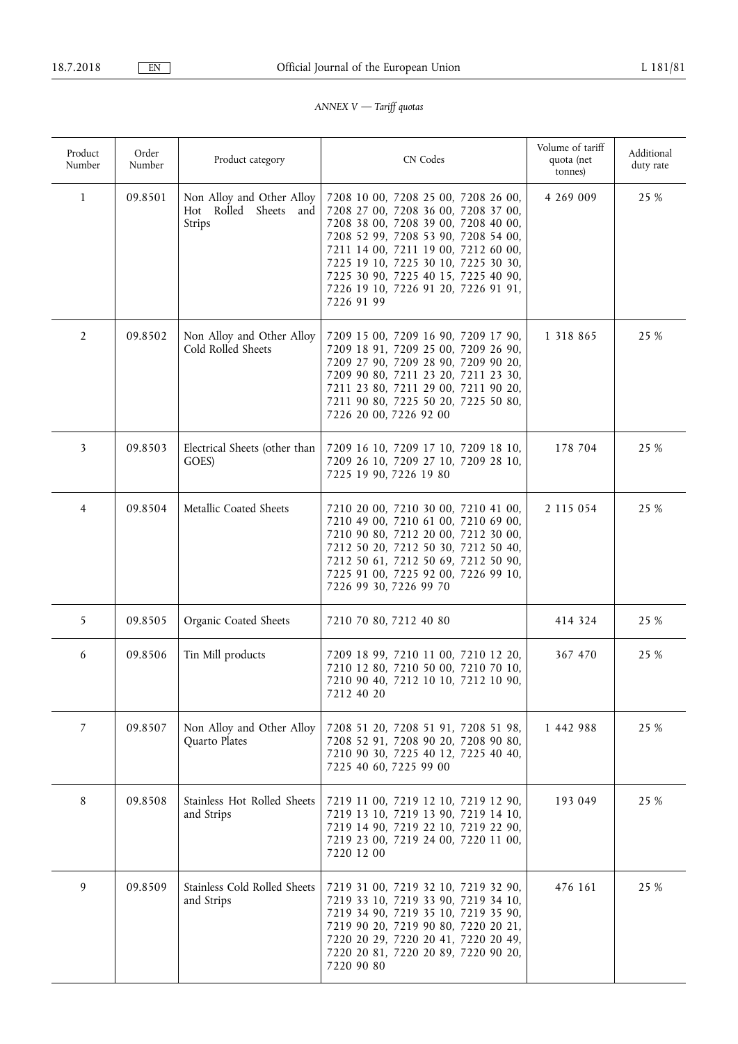# *ANNEX V — Tariff quotas*

| Product<br>Number | Order<br>Number | Product category                                                   | CN Codes                                                                                                                                                                                                                                                                                                                           | Volume of tariff<br>quota (net<br>tonnes) | Additional<br>duty rate |
|-------------------|-----------------|--------------------------------------------------------------------|------------------------------------------------------------------------------------------------------------------------------------------------------------------------------------------------------------------------------------------------------------------------------------------------------------------------------------|-------------------------------------------|-------------------------|
| $\mathbf{1}$      | 09.8501         | Non Alloy and Other Alloy<br>Hot Rolled<br>Sheets<br>and<br>Strips | 7208 10 00, 7208 25 00, 7208 26 00,<br>7208 27 00, 7208 36 00, 7208 37 00,<br>7208 38 00, 7208 39 00, 7208 40 00,<br>7208 52 99, 7208 53 90, 7208 54 00,<br>7211 14 00, 7211 19 00, 7212 60 00,<br>7225 19 10, 7225 30 10, 7225 30 30,<br>7225 30 90, 7225 40 15, 7225 40 90,<br>7226 19 10, 7226 91 20, 7226 91 91,<br>7226 91 99 | 4 269 009                                 | 25 %                    |
| 2                 | 09.8502         | Non Alloy and Other Alloy<br>Cold Rolled Sheets                    | 7209 15 00, 7209 16 90, 7209 17 90,<br>7209 18 91, 7209 25 00, 7209 26 90,<br>7209 27 90, 7209 28 90, 7209 90 20,<br>7209 90 80, 7211 23 20, 7211 23 30,<br>7211 23 80, 7211 29 00, 7211 90 20,<br>7211 90 80, 7225 50 20, 7225 50 80,<br>7226 20 00, 7226 92 00                                                                   | 1 3 1 8 8 6 5                             | 25 %                    |
| 3                 | 09.8503         | Electrical Sheets (other than<br>GOES)                             | 7209 16 10, 7209 17 10, 7209 18 10,<br>7209 26 10, 7209 27 10, 7209 28 10,<br>7225 19 90, 7226 19 80                                                                                                                                                                                                                               | 178 704                                   | 25 %                    |
| 4                 | 09.8504         | Metallic Coated Sheets                                             | 7210 20 00, 7210 30 00, 7210 41 00,<br>7210 49 00, 7210 61 00, 7210 69 00,<br>7210 90 80, 7212 20 00, 7212 30 00,<br>7212 50 20, 7212 50 30, 7212 50 40,<br>7212 50 61, 7212 50 69, 7212 50 90,<br>7225 91 00, 7225 92 00, 7226 99 10,<br>7226 99 30, 7226 99 70                                                                   | 2 115 054                                 | 25 %                    |
| 5                 | 09.8505         | Organic Coated Sheets                                              | 7210 70 80, 7212 40 80                                                                                                                                                                                                                                                                                                             | 414 324                                   | 25 %                    |
| 6                 | 09.8506         | Tin Mill products                                                  | 7209 18 99, 7210 11 00, 7210 12 20,<br>7210 12 80, 7210 50 00, 7210 70 10,<br>7210 90 40, 7212 10 10, 7212 10 90,<br>7212 40 20                                                                                                                                                                                                    | 367 470                                   | 25 %                    |
| 7                 | 09.8507         | Non Alloy and Other Alloy<br>Quarto Plates                         | 7208 51 20, 7208 51 91, 7208 51 98,<br>7208 52 91, 7208 90 20, 7208 90 80,<br>7210 90 30, 7225 40 12, 7225 40 40,<br>7225 40 60, 7225 99 00                                                                                                                                                                                        | 1 442 988                                 | 25 %                    |
| 8                 | 09.8508         | Stainless Hot Rolled Sheets<br>and Strips                          | 7219 11 00, 7219 12 10, 7219 12 90,<br>7219 13 10, 7219 13 90, 7219 14 10,<br>7219 14 90, 7219 22 10, 7219 22 90,<br>7219 23 00, 7219 24 00, 7220 11 00,<br>7220 12 00                                                                                                                                                             | 193 049                                   | 25 %                    |
| 9                 | 09.8509         | Stainless Cold Rolled Sheets<br>and Strips                         | 7219 31 00, 7219 32 10, 7219 32 90,<br>7219 33 10, 7219 33 90, 7219 34 10,<br>7219 34 90, 7219 35 10, 7219 35 90,<br>7219 90 20, 7219 90 80, 7220 20 21,<br>7220 20 29, 7220 20 41, 7220 20 49,<br>7220 20 81, 7220 20 89, 7220 90 20,<br>7220 90 80                                                                               | 476 161                                   | 25 %                    |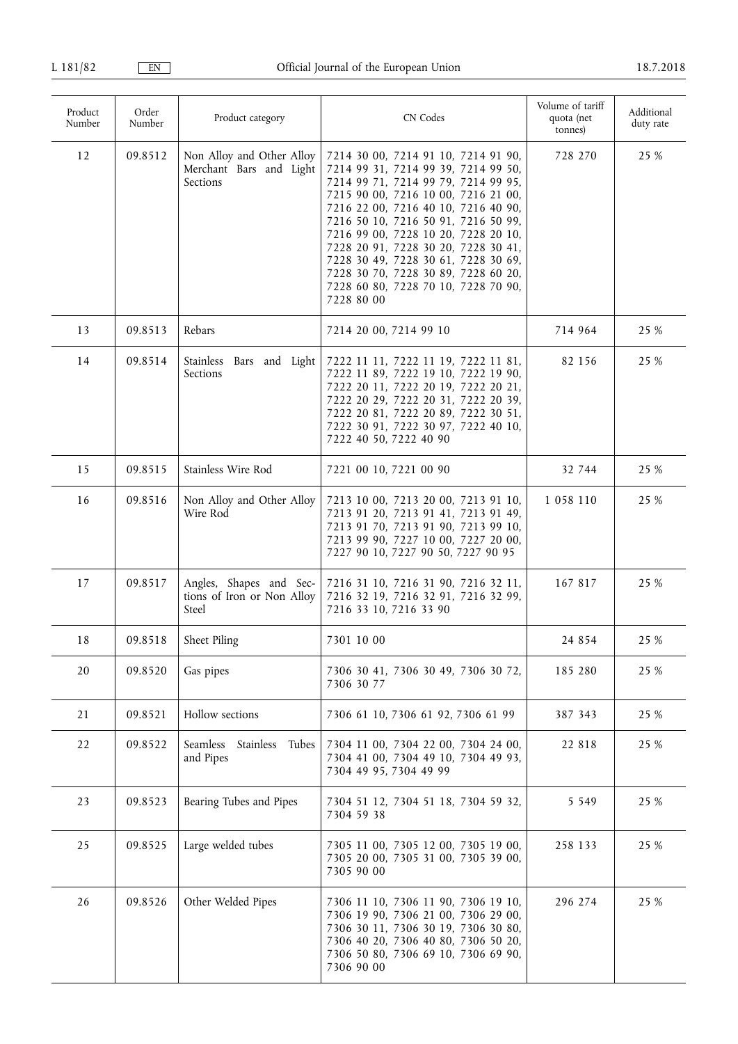| Product<br>Number | Order<br>Number | Product category                                                 | CN Codes                                                                                                                                                                                                                                                                                                                                                                                                                                                | Volume of tariff<br>quota (net<br>tonnes) | Additional<br>duty rate |
|-------------------|-----------------|------------------------------------------------------------------|---------------------------------------------------------------------------------------------------------------------------------------------------------------------------------------------------------------------------------------------------------------------------------------------------------------------------------------------------------------------------------------------------------------------------------------------------------|-------------------------------------------|-------------------------|
| 12                | 09.8512         | Non Alloy and Other Alloy<br>Merchant Bars and Light<br>Sections | 7214 30 00, 7214 91 10, 7214 91 90,<br>7214 99 31, 7214 99 39, 7214 99 50,<br>7214 99 71, 7214 99 79, 7214 99 95,<br>7215 90 00, 7216 10 00, 7216 21 00,<br>7216 22 00, 7216 40 10, 7216 40 90,<br>7216 50 10, 7216 50 91, 7216 50 99,<br>7216 99 00, 7228 10 20, 7228 20 10,<br>7228 20 91, 7228 30 20, 7228 30 41,<br>7228 30 49, 7228 30 61, 7228 30 69,<br>7228 30 70, 7228 30 89, 7228 60 20,<br>7228 60 80, 7228 70 10, 7228 70 90,<br>7228 80 00 | 728 270                                   | 25 %                    |
| 13                | 09.8513         | Rebars                                                           | 7214 20 00, 7214 99 10                                                                                                                                                                                                                                                                                                                                                                                                                                  | 714 964                                   | 25 %                    |
| 14                | 09.8514         | Stainless Bars and Light<br>Sections                             | 7222 11 11, 7222 11 19, 7222 11 81,<br>7222 11 89, 7222 19 10, 7222 19 90,<br>7222 20 11, 7222 20 19, 7222 20 21,<br>7222 20 29, 7222 20 31, 7222 20 39,<br>7222 20 81, 7222 20 89, 7222 30 51,<br>7222 30 91, 7222 30 97, 7222 40 10,<br>7222 40 50, 7222 40 90                                                                                                                                                                                        | 82 156                                    | 25 %                    |
| 15                | 09.8515         | Stainless Wire Rod                                               | 7221 00 10, 7221 00 90                                                                                                                                                                                                                                                                                                                                                                                                                                  | 32 744                                    | 25 %                    |
| 16                | 09.8516         | Non Alloy and Other Alloy<br>Wire Rod                            | 7213 10 00, 7213 20 00, 7213 91 10,<br>7213 91 20, 7213 91 41, 7213 91 49,<br>7213 91 70, 7213 91 90, 7213 99 10,<br>7213 99 90, 7227 10 00, 7227 20 00,<br>7227 90 10, 7227 90 50, 7227 90 95                                                                                                                                                                                                                                                          | 1 058 110                                 | 25 %                    |
| 17                | 09.8517         | Angles, Shapes and Sec-<br>tions of Iron or Non Alloy<br>Steel   | 7216 31 10, 7216 31 90, 7216 32 11,<br>7216 32 19, 7216 32 91, 7216 32 99,<br>7216 33 10, 7216 33 90                                                                                                                                                                                                                                                                                                                                                    | 167 817                                   | 25 %                    |
| 18                | 09.8518         | Sheet Piling                                                     | 7301 10 00                                                                                                                                                                                                                                                                                                                                                                                                                                              | 24 8 5 4                                  | 25 %                    |
| 20                | 09.8520         | Gas pipes                                                        | 7306 30 41, 7306 30 49, 7306 30 72,<br>7306 30 77                                                                                                                                                                                                                                                                                                                                                                                                       | 185 280                                   | 25 %                    |
| 21                | 09.8521         | Hollow sections                                                  | 7306 61 10, 7306 61 92, 7306 61 99                                                                                                                                                                                                                                                                                                                                                                                                                      | 387 343                                   | 25 %                    |
| 22                | 09.8522         | Seamless<br>Stainless<br>Tubes<br>and Pipes                      | 7304 11 00, 7304 22 00, 7304 24 00,<br>7304 41 00, 7304 49 10, 7304 49 93,<br>7304 49 95, 7304 49 99                                                                                                                                                                                                                                                                                                                                                    | 22 818                                    | 25 %                    |
| 23                | 09.8523         | Bearing Tubes and Pipes                                          | 7304 51 12, 7304 51 18, 7304 59 32,<br>7304 59 38                                                                                                                                                                                                                                                                                                                                                                                                       | 5 5 4 9                                   | 25 %                    |
| 25                | 09.8525         | Large welded tubes                                               | 7305 11 00, 7305 12 00, 7305 19 00,<br>7305 20 00, 7305 31 00, 7305 39 00,<br>7305 90 00                                                                                                                                                                                                                                                                                                                                                                | 258 133                                   | 25 %                    |
| 26                | 09.8526         | Other Welded Pipes                                               | 7306 11 10, 7306 11 90, 7306 19 10,<br>7306 19 90, 7306 21 00, 7306 29 00,<br>7306 30 11, 7306 30 19, 7306 30 80,<br>7306 40 20, 7306 40 80, 7306 50 20,<br>7306 50 80, 7306 69 10, 7306 69 90,<br>7306 90 00                                                                                                                                                                                                                                           | 296 274                                   | 25 %                    |